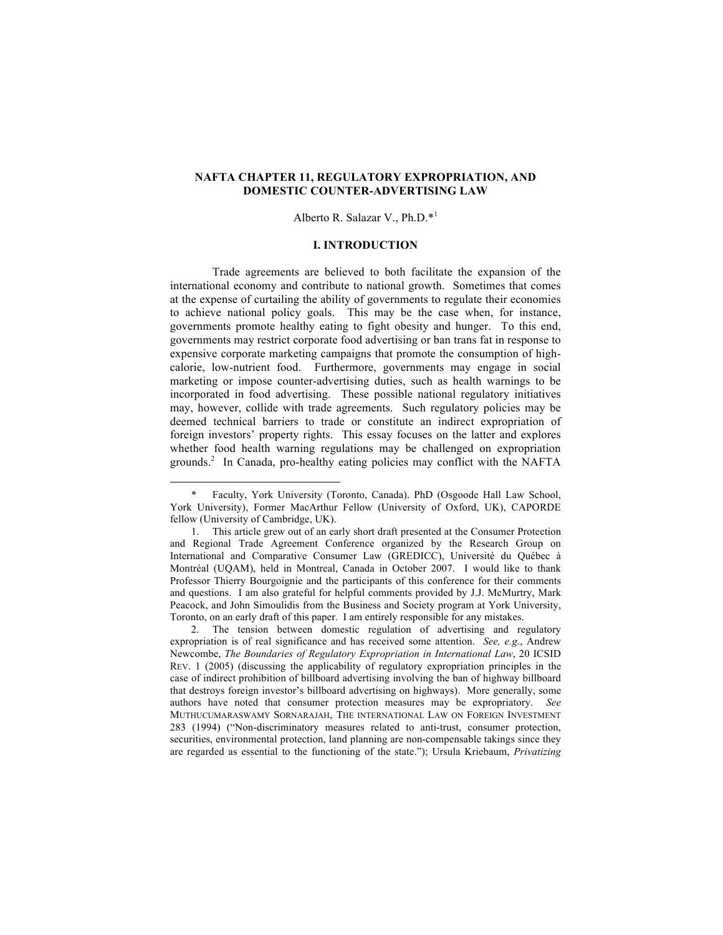## **NAFTA CHAPTER 11, REGULATORY EXPROPRIATION, AND DOMESTIC COUNTER-ADVERTISING LAW**

#### Alberto R. Salazar V., Ph.D.\*<sup>1</sup>

## **I. INTRODUCTION**

Trade agreements are believed to both facilitate the expansion of the international economy and contribute to national growth. Sometimes that comes at the expense of curtailing the ability of governments to regulate their economies to achieve national policy goals. This may be the case when, for instance, governments promote healthy eating to fight obesity and hunger. To this end, governments may restrict corporate food advertising or ban trans fat in response to expensive corporate marketing campaigns that promote the consumption of highcalorie, low-nutrient food. Furthermore, governments may engage in social marketing or impose counter-advertising duties, such as health warnings to be incorporated in food advertising. These possible national regulatory initiatives may, however, collide with trade agreements. Such regulatory policies may be deemed technical barriers to trade or constitute an indirect expropriation of foreign investors' property rights. This essay focuses on the latter and explores whether food health warning regulations may be challenged on expropriation grounds.<sup>2</sup> In Canada, pro-healthy eating policies may conflict with the NAFTA

Faculty, York University (Toronto, Canada). PhD (Osgoode Hall Law School, York University), Former MacArthur Fellow (University of Oxford, UK), CAPORDE fellow (University of Cambridge, UK).

<sup>1.</sup> This article grew out of an early short draft presented at the Consumer Protection and Regional Trade Agreement Conference organized by the Research Group on International and Comparative Consumer Law (GREDICC), Université du Québec à Montréal (UQAM), held in Montreal, Canada in October 2007. I would like to thank Professor Thierry Bourgoignie and the participants of this conference for their comments and questions. I am also grateful for helpful comments provided by J.J. McMurtry, Mark Peacock, and John Simoulidis from the Business and Society program at York University, Toronto, on an early draft of this paper. I am entirely responsible for any mistakes.

The tension between domestic regulation of advertising and regulatory expropriation is of real significance and has received some attention. *See, e.g.*, Andrew Newcombe, *The Boundaries of Regulatory Expropriation in International Law*, 20 ICSID REV. 1 (2005) (discussing the applicability of regulatory expropriation principles in the case of indirect prohibition of billboard advertising involving the ban of highway billboard that destroys foreign investor's billboard advertising on highways). More generally, some authors have noted that consumer protection measures may be expropriatory. *See* MUTHUCUMARASWAMY SORNARAJAH, THE INTERNATIONAL LAW ON FOREIGN INVESTMENT 283 (1994) ("Non-discriminatory measures related to anti-trust, consumer protection, securities, environmental protection, land planning are non-compensable takings since they are regarded as essential to the functioning of the state."); Ursula Kriebaum, *Privatizing*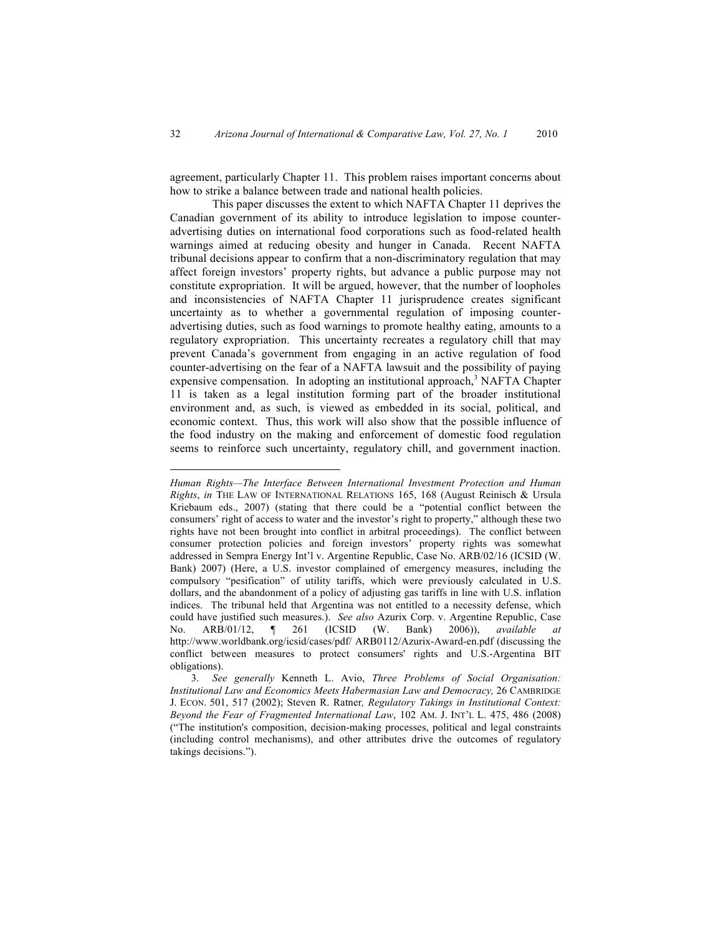agreement, particularly Chapter 11. This problem raises important concerns about how to strike a balance between trade and national health policies.

This paper discusses the extent to which NAFTA Chapter 11 deprives the Canadian government of its ability to introduce legislation to impose counteradvertising duties on international food corporations such as food-related health warnings aimed at reducing obesity and hunger in Canada. Recent NAFTA tribunal decisions appear to confirm that a non-discriminatory regulation that may affect foreign investors' property rights, but advance a public purpose may not constitute expropriation. It will be argued, however, that the number of loopholes and inconsistencies of NAFTA Chapter 11 jurisprudence creates significant uncertainty as to whether a governmental regulation of imposing counteradvertising duties, such as food warnings to promote healthy eating, amounts to a regulatory expropriation. This uncertainty recreates a regulatory chill that may prevent Canada's government from engaging in an active regulation of food counter-advertising on the fear of a NAFTA lawsuit and the possibility of paying expensive compensation. In adopting an institutional approach,<sup>3</sup> NAFTA Chapter 11 is taken as a legal institution forming part of the broader institutional environment and, as such, is viewed as embedded in its social, political, and economic context. Thus, this work will also show that the possible influence of the food industry on the making and enforcement of domestic food regulation seems to reinforce such uncertainty, regulatory chill, and government inaction.

 $\overline{a}$ 

*Human Rights—The Interface Between International Investment Protection and Human Rights*, *in* THE LAW OF INTERNATIONAL RELATIONS 165, 168 (August Reinisch & Ursula Kriebaum eds., 2007) (stating that there could be a "potential conflict between the consumers' right of access to water and the investor's right to property," although these two rights have not been brought into conflict in arbitral proceedings). The conflict between consumer protection policies and foreign investors' property rights was somewhat addressed in Sempra Energy Int'l v. Argentine Republic, Case No. ARB/02/16 (ICSID (W. Bank) 2007) (Here, a U.S. investor complained of emergency measures, including the compulsory "pesification" of utility tariffs, which were previously calculated in U.S. dollars, and the abandonment of a policy of adjusting gas tariffs in line with U.S. inflation indices. The tribunal held that Argentina was not entitled to a necessity defense, which could have justified such measures.). *See also* Azurix Corp. v. Argentine Republic, Case No. ARB/01/12, ¶ 261 (ICSID (W. Bank) 2006)), *available at* http://www.worldbank.org/icsid/cases/pdf/ ARB0112/Azurix-Award-en.pdf (discussing the conflict between measures to protect consumers' rights and U.S.-Argentina BIT obligations).

<sup>3.</sup> *See generally* Kenneth L. Avio, *Three Problems of Social Organisation: Institutional Law and Economics Meets Habermasian Law and Democracy,* 26 CAMBRIDGE J. ECON. 501, 517 (2002); Steven R. Ratner*, Regulatory Takings in Institutional Context: Beyond the Fear of Fragmented International Law*, 102 AM. J. INT'L L. 475, 486 (2008) ("The institution's composition, decision-making processes, political and legal constraints (including control mechanisms), and other attributes drive the outcomes of regulatory takings decisions.").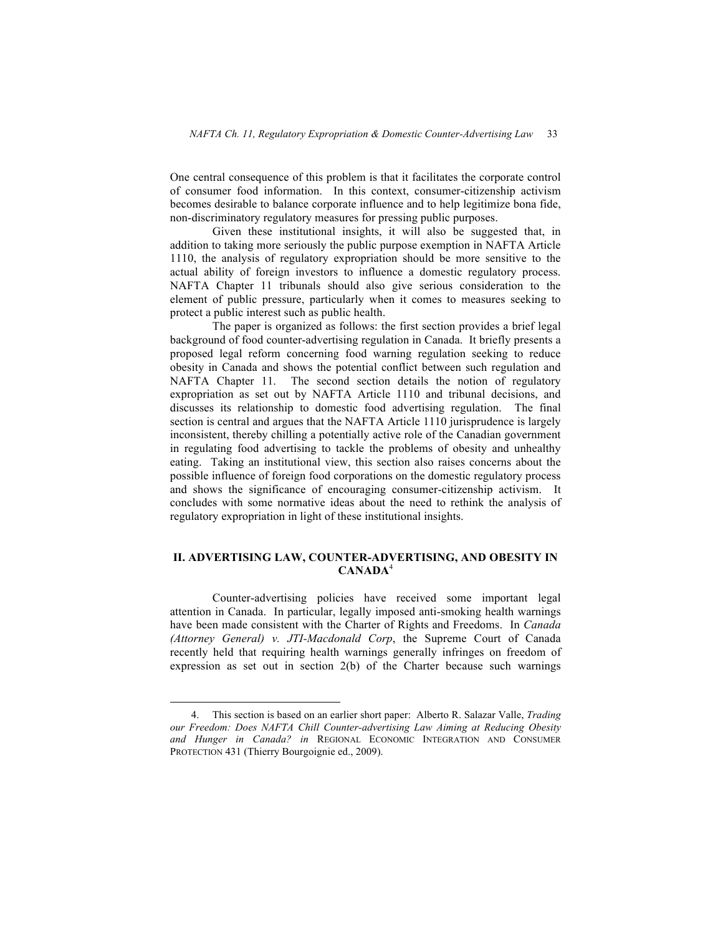One central consequence of this problem is that it facilitates the corporate control of consumer food information. In this context, consumer-citizenship activism becomes desirable to balance corporate influence and to help legitimize bona fide, non-discriminatory regulatory measures for pressing public purposes.

Given these institutional insights, it will also be suggested that, in addition to taking more seriously the public purpose exemption in NAFTA Article 1110, the analysis of regulatory expropriation should be more sensitive to the actual ability of foreign investors to influence a domestic regulatory process. NAFTA Chapter 11 tribunals should also give serious consideration to the element of public pressure, particularly when it comes to measures seeking to protect a public interest such as public health.

The paper is organized as follows: the first section provides a brief legal background of food counter-advertising regulation in Canada. It briefly presents a proposed legal reform concerning food warning regulation seeking to reduce obesity in Canada and shows the potential conflict between such regulation and NAFTA Chapter 11. The second section details the notion of regulatory expropriation as set out by NAFTA Article 1110 and tribunal decisions, and discusses its relationship to domestic food advertising regulation. The final section is central and argues that the NAFTA Article 1110 jurisprudence is largely inconsistent, thereby chilling a potentially active role of the Canadian government in regulating food advertising to tackle the problems of obesity and unhealthy eating. Taking an institutional view, this section also raises concerns about the possible influence of foreign food corporations on the domestic regulatory process and shows the significance of encouraging consumer-citizenship activism. It concludes with some normative ideas about the need to rethink the analysis of regulatory expropriation in light of these institutional insights.

# **II. ADVERTISING LAW, COUNTER-ADVERTISING, AND OBESITY IN CANADA**<sup>4</sup>

Counter-advertising policies have received some important legal attention in Canada. In particular, legally imposed anti-smoking health warnings have been made consistent with the Charter of Rights and Freedoms. In *Canada (Attorney General) v. JTI-Macdonald Corp*, the Supreme Court of Canada recently held that requiring health warnings generally infringes on freedom of expression as set out in section 2(b) of the Charter because such warnings

 <sup>4.</sup> This section is based on an earlier short paper: Alberto R. Salazar Valle, *Trading our Freedom: Does NAFTA Chill Counter-advertising Law Aiming at Reducing Obesity and Hunger in Canada? in* REGIONAL ECONOMIC INTEGRATION AND CONSUMER PROTECTION 431 (Thierry Bourgoignie ed., 2009).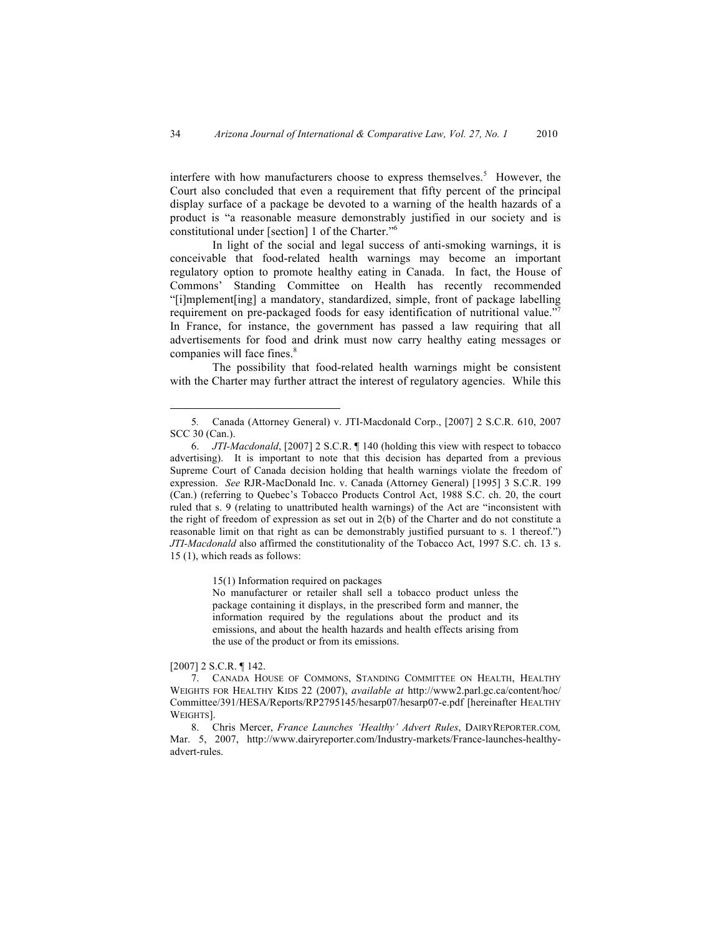interfere with how manufacturers choose to express themselves.<sup>5</sup> However, the Court also concluded that even a requirement that fifty percent of the principal display surface of a package be devoted to a warning of the health hazards of a product is "a reasonable measure demonstrably justified in our society and is constitutional under [section] 1 of the Charter."<sup>6</sup>

In light of the social and legal success of anti-smoking warnings, it is conceivable that food-related health warnings may become an important regulatory option to promote healthy eating in Canada. In fact, the House of Commons' Standing Committee on Health has recently recommended "[i]mplement[ing] a mandatory, standardized, simple, front of package labelling requirement on pre-packaged foods for easy identification of nutritional value."<sup>7</sup> In France, for instance, the government has passed a law requiring that all advertisements for food and drink must now carry healthy eating messages or companies will face fines.<sup>8</sup>

The possibility that food-related health warnings might be consistent with the Charter may further attract the interest of regulatory agencies. While this

15(1) Information required on packages

No manufacturer or retailer shall sell a tobacco product unless the package containing it displays, in the prescribed form and manner, the information required by the regulations about the product and its emissions, and about the health hazards and health effects arising from the use of the product or from its emissions.

#### [2007] 2 S.C.R. ¶ 142.

8. Chris Mercer, *France Launches 'Healthy' Advert Rules*, DAIRYREPORTER.COM*,* Mar. 5, 2007, http://www.dairyreporter.com/Industry-markets/France-launches-healthyadvert-rules.

 <sup>5</sup>*.* Canada (Attorney General) v. JTI-Macdonald Corp., [2007] 2 S.C.R. 610, 2007 SCC 30 (Can.).

<sup>6.</sup> *JTI-Macdonald*, [2007] 2 S.C.R. ¶ 140 (holding this view with respect to tobacco advertising). It is important to note that this decision has departed from a previous Supreme Court of Canada decision holding that health warnings violate the freedom of expression. *See* RJR-MacDonald Inc. v. Canada (Attorney General) [1995] 3 S.C.R. 199 (Can.) (referring to Quebec's Tobacco Products Control Act, 1988 S.C. ch. 20, the court ruled that s. 9 (relating to unattributed health warnings) of the Act are "inconsistent with the right of freedom of expression as set out in 2(b) of the Charter and do not constitute a reasonable limit on that right as can be demonstrably justified pursuant to s. 1 thereof.") *JTI-Macdonald* also affirmed the constitutionality of the Tobacco Act, 1997 S.C. ch. 13 s. 15 (1), which reads as follows:

<sup>7.</sup> CANADA HOUSE OF COMMONS, STANDING COMMITTEE ON HEALTH, HEALTHY WEIGHTS FOR HEALTHY KIDS 22 (2007), *available at* http://www2.parl.gc.ca/content/hoc/ Committee/391/HESA/Reports/RP2795145/hesarp07/hesarp07-e.pdf [hereinafter HEALTHY WEIGHTS].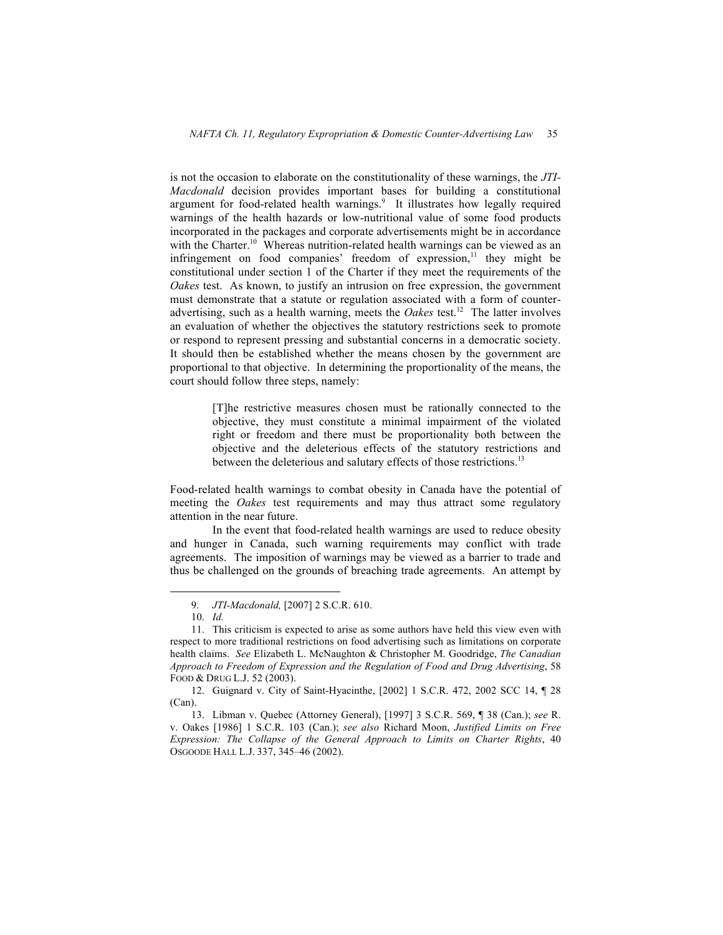is not the occasion to elaborate on the constitutionality of these warnings, the *JTI-Macdonald* decision provides important bases for building a constitutional argument for food-related health warnings.<sup>9</sup> It illustrates how legally required warnings of the health hazards or low-nutritional value of some food products incorporated in the packages and corporate advertisements might be in accordance with the Charter.<sup>10</sup> Whereas nutrition-related health warnings can be viewed as an infringement on food companies' freedom of expression, $\frac{11}{11}$  they might be constitutional under section 1 of the Charter if they meet the requirements of the *Oakes* test. As known, to justify an intrusion on free expression, the government must demonstrate that a statute or regulation associated with a form of counteradvertising, such as a health warning, meets the *Oakes* test.<sup>12</sup> The latter involves an evaluation of whether the objectives the statutory restrictions seek to promote or respond to represent pressing and substantial concerns in a democratic society. It should then be established whether the means chosen by the government are proportional to that objective. In determining the proportionality of the means, the court should follow three steps, namely:

> [T]he restrictive measures chosen must be rationally connected to the objective, they must constitute a minimal impairment of the violated right or freedom and there must be proportionality both between the objective and the deleterious effects of the statutory restrictions and between the deleterious and salutary effects of those restrictions.<sup>13</sup>

Food-related health warnings to combat obesity in Canada have the potential of meeting the *Oakes* test requirements and may thus attract some regulatory attention in the near future.

In the event that food-related health warnings are used to reduce obesity and hunger in Canada, such warning requirements may conflict with trade agreements. The imposition of warnings may be viewed as a barrier to trade and thus be challenged on the grounds of breaching trade agreements. An attempt by

 <sup>9.</sup> *JTI-Macdonald,* [2007] 2 S.C.R. 610.

<sup>10.</sup> *Id.*

<sup>11.</sup> This criticism is expected to arise as some authors have held this view even with respect to more traditional restrictions on food advertising such as limitations on corporate health claims. *See* Elizabeth L. McNaughton & Christopher M. Goodridge, *The Canadian Approach to Freedom of Expression and the Regulation of Food and Drug Advertising*, 58 FOOD & DRUG L.J. 52 (2003).

<sup>12.</sup> Guignard v. City of Saint-Hyacinthe, [2002] 1 S.C.R. 472, 2002 SCC 14, ¶ 28 (Can).

<sup>13.</sup> Libman v. Quebec (Attorney General), [1997] 3 S.C.R. 569, ¶ 38 (Can.); *see* R. v. Oakes [1986] 1 S.C.R. 103 (Can.); *see also* Richard Moon, *Justified Limits on Free Expression: The Collapse of the General Approach to Limits on Charter Rights*, 40 OSGOODE HALL L.J. 337, 345–46 (2002).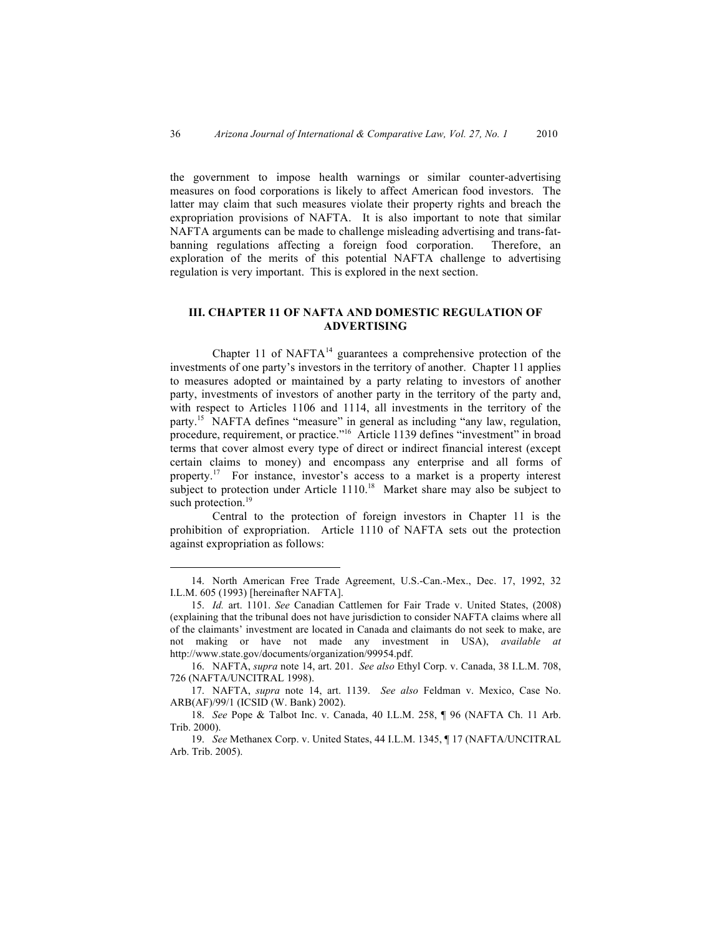the government to impose health warnings or similar counter-advertising measures on food corporations is likely to affect American food investors. The latter may claim that such measures violate their property rights and breach the expropriation provisions of NAFTA. It is also important to note that similar NAFTA arguments can be made to challenge misleading advertising and trans-fatbanning regulations affecting a foreign food corporation. Therefore, an exploration of the merits of this potential NAFTA challenge to advertising regulation is very important. This is explored in the next section.

# **III. CHAPTER 11 OF NAFTA AND DOMESTIC REGULATION OF ADVERTISING**

Chapter 11 of  $NAFTA^{14}$  guarantees a comprehensive protection of the investments of one party's investors in the territory of another. Chapter 11 applies to measures adopted or maintained by a party relating to investors of another party, investments of investors of another party in the territory of the party and, with respect to Articles 1106 and 1114, all investments in the territory of the party.<sup>15</sup> NAFTA defines "measure" in general as including "any law, regulation, procedure, requirement, or practice."16 Article 1139 defines "investment" in broad terms that cover almost every type of direct or indirect financial interest (except certain claims to money) and encompass any enterprise and all forms of property.17 For instance, investor's access to a market is a property interest subject to protection under Article  $1110$ <sup>18</sup> Market share may also be subject to such protection.<sup>19</sup>

Central to the protection of foreign investors in Chapter 11 is the prohibition of expropriation. Article 1110 of NAFTA sets out the protection against expropriation as follows:

 <sup>14.</sup> North American Free Trade Agreement, U.S.-Can.-Mex., Dec. 17, 1992, 32 I.L.M. 605 (1993) [hereinafter NAFTA].

<sup>15.</sup> *Id.* art. 1101. *See* Canadian Cattlemen for Fair Trade v. United States, (2008) (explaining that the tribunal does not have jurisdiction to consider NAFTA claims where all of the claimants' investment are located in Canada and claimants do not seek to make, are not making or have not made any investment in USA), *available at*  http://www.state.gov/documents/organization/99954.pdf.

<sup>16.</sup> NAFTA, *supra* note 14, art. 201. *See also* Ethyl Corp. v. Canada, 38 I.L.M. 708, 726 (NAFTA/UNCITRAL 1998).

<sup>17.</sup> NAFTA, *supra* note 14, art. 1139. *See also* Feldman v. Mexico, Case No. ARB(AF)/99/1 (ICSID (W. Bank) 2002).

<sup>18.</sup> *See* Pope & Talbot Inc. v. Canada, 40 I.L.M. 258, ¶ 96 (NAFTA Ch. 11 Arb. Trib. 2000).

<sup>19.</sup> *See* Methanex Corp. v. United States, 44 I.L.M. 1345, ¶ 17 (NAFTA/UNCITRAL Arb. Trib. 2005).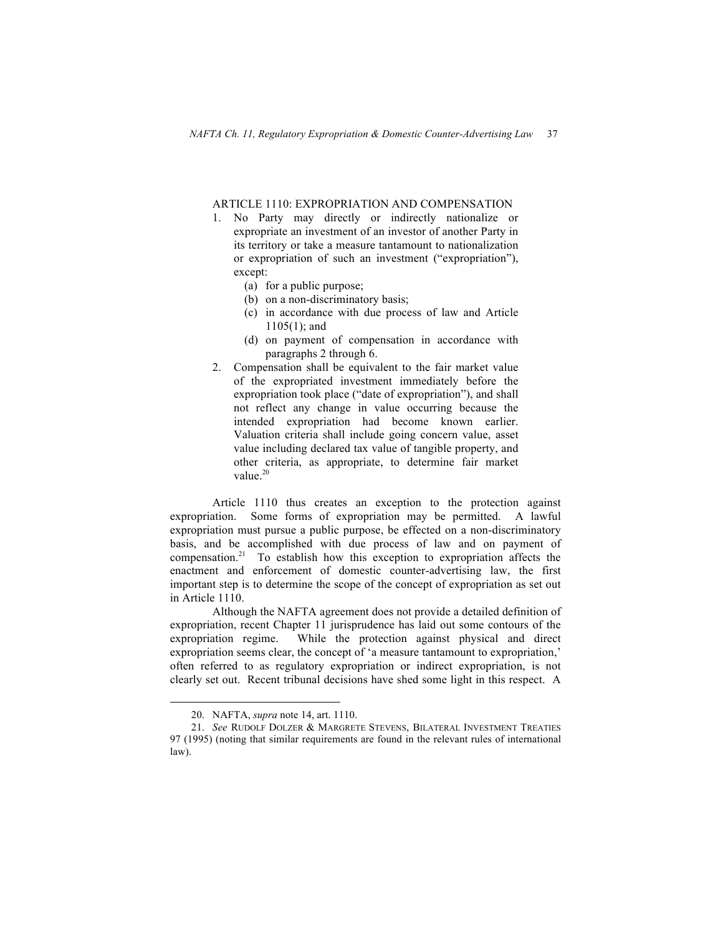## ARTICLE 1110: EXPROPRIATION AND COMPENSATION

- 1. No Party may directly or indirectly nationalize or expropriate an investment of an investor of another Party in its territory or take a measure tantamount to nationalization or expropriation of such an investment ("expropriation"), except:
	- (a) for a public purpose;
	- (b) on a non-discriminatory basis;
	- (c) in accordance with due process of law and Article 1105(1); and
	- (d) on payment of compensation in accordance with paragraphs 2 through 6.
- 2. Compensation shall be equivalent to the fair market value of the expropriated investment immediately before the expropriation took place ("date of expropriation"), and shall not reflect any change in value occurring because the intended expropriation had become known earlier. Valuation criteria shall include going concern value, asset value including declared tax value of tangible property, and other criteria, as appropriate, to determine fair market value.<sup>20</sup>

Article 1110 thus creates an exception to the protection against expropriation. Some forms of expropriation may be permitted. A lawful expropriation must pursue a public purpose, be effected on a non-discriminatory basis, and be accomplished with due process of law and on payment of compensation.<sup>21</sup> To establish how this exception to expropriation affects the enactment and enforcement of domestic counter-advertising law, the first important step is to determine the scope of the concept of expropriation as set out in Article 1110.

Although the NAFTA agreement does not provide a detailed definition of expropriation, recent Chapter 11 jurisprudence has laid out some contours of the expropriation regime. While the protection against physical and direct expropriation seems clear, the concept of 'a measure tantamount to expropriation,' often referred to as regulatory expropriation or indirect expropriation, is not clearly set out. Recent tribunal decisions have shed some light in this respect. A

 <sup>20.</sup> NAFTA, *supra* note 14, art. 1110.

<sup>21.</sup> *See* RUDOLF DOLZER & MARGRETE STEVENS, BILATERAL INVESTMENT TREATIES 97 (1995) (noting that similar requirements are found in the relevant rules of international law).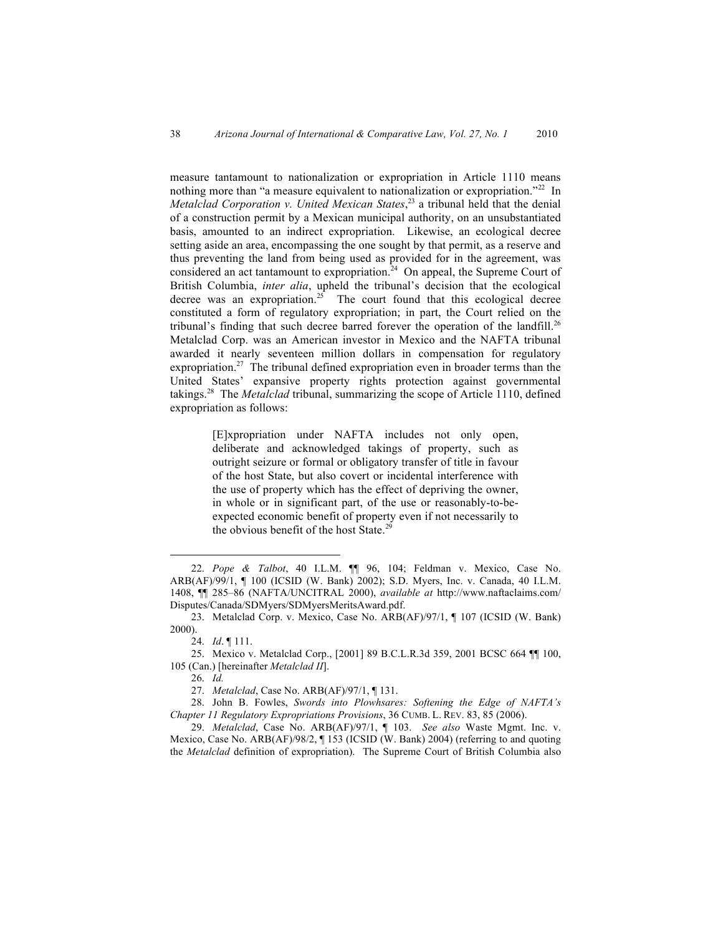measure tantamount to nationalization or expropriation in Article 1110 means nothing more than "a measure equivalent to nationalization or expropriation."<sup>22</sup> In *Metalclad Corporation v. United Mexican States*, <sup>23</sup> a tribunal held that the denial of a construction permit by a Mexican municipal authority, on an unsubstantiated basis, amounted to an indirect expropriation. Likewise, an ecological decree setting aside an area, encompassing the one sought by that permit, as a reserve and thus preventing the land from being used as provided for in the agreement, was considered an act tantamount to expropriation.<sup>24</sup> On appeal, the Supreme Court of British Columbia, *inter alia*, upheld the tribunal's decision that the ecological decree was an expropriation.<sup>25</sup> The court found that this ecological decree constituted a form of regulatory expropriation; in part, the Court relied on the tribunal's finding that such decree barred forever the operation of the landfill.<sup>26</sup> Metalclad Corp. was an American investor in Mexico and the NAFTA tribunal awarded it nearly seventeen million dollars in compensation for regulatory expropriation.<sup>27</sup> The tribunal defined expropriation even in broader terms than the United States' expansive property rights protection against governmental takings.<sup>28</sup> The *Metalclad* tribunal, summarizing the scope of Article 1110, defined expropriation as follows:

> [E]xpropriation under NAFTA includes not only open, deliberate and acknowledged takings of property, such as outright seizure or formal or obligatory transfer of title in favour of the host State, but also covert or incidental interference with the use of property which has the effect of depriving the owner, in whole or in significant part, of the use or reasonably-to-beexpected economic benefit of property even if not necessarily to the obvious benefit of the host State.<sup>29</sup>

 <sup>22.</sup> *Pope & Talbot*, 40 I.L.M. ¶¶ 96, 104; Feldman v. Mexico, Case No. ARB(AF)/99/1, ¶ 100 (ICSID (W. Bank) 2002); S.D. Myers, Inc. v. Canada, 40 I.L.M. 1408, ¶¶ 285–86 (NAFTA/UNCITRAL 2000), *available at* http://www.naftaclaims.com/ Disputes/Canada/SDMyers/SDMyersMeritsAward.pdf.

<sup>23.</sup> Metalclad Corp. v. Mexico, Case No. ARB(AF)/97/1, ¶ 107 (ICSID (W. Bank) 2000).

<sup>24.</sup> *Id*. ¶ 111.

<sup>25.</sup> Mexico v. Metalclad Corp., [2001] 89 B.C.L.R.3d 359, 2001 BCSC 664 ¶¶ 100, 105 (Can.) [hereinafter *Metalclad II*].

<sup>26.</sup> *Id.*

<sup>27.</sup> *Metalclad*, Case No. ARB(AF)/97/1, ¶ 131.

<sup>28.</sup> John B. Fowles, *Swords into Plowhsares: Softening the Edge of NAFTA's Chapter 11 Regulatory Expropriations Provisions*, 36 CUMB. L. REV. 83, 85 (2006).

<sup>29.</sup> *Metalclad*, Case No. ARB(AF)/97/1, ¶ 103. *See also* Waste Mgmt. Inc. v. Mexico, Case No. ARB(AF)/98/2, ¶ 153 (ICSID (W. Bank) 2004) (referring to and quoting the *Metalclad* definition of expropriation). The Supreme Court of British Columbia also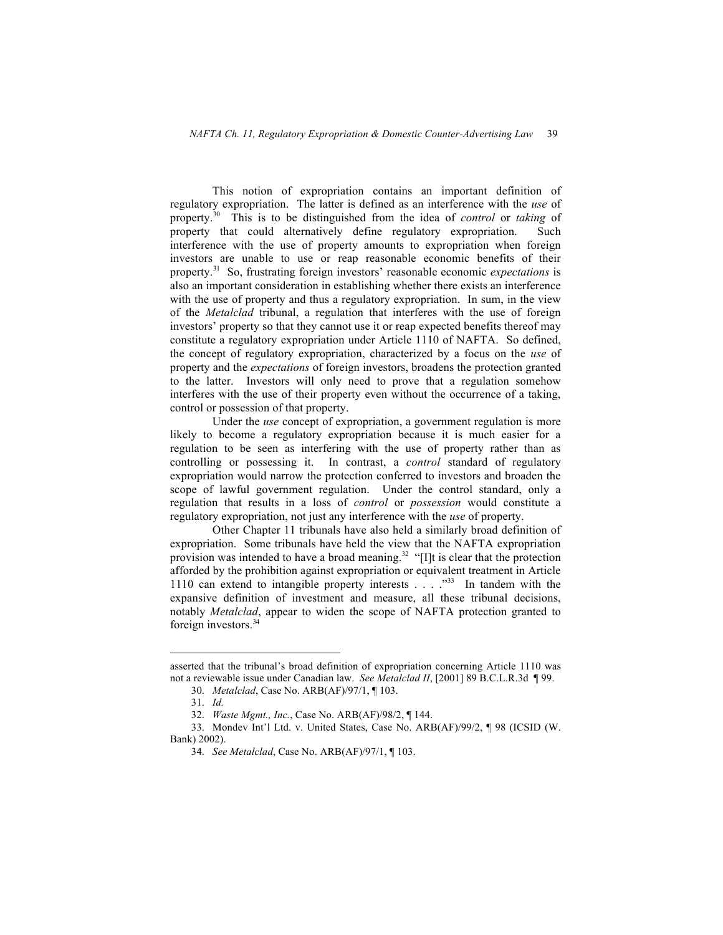This notion of expropriation contains an important definition of regulatory expropriation. The latter is defined as an interference with the *use* of property.<sup>30</sup> This is to be distinguished from the idea of *control* or *taking* of property that could alternatively define regulatory expropriation. Such interference with the use of property amounts to expropriation when foreign investors are unable to use or reap reasonable economic benefits of their property.<sup>31</sup> So, frustrating foreign investors' reasonable economic *expectations* is also an important consideration in establishing whether there exists an interference with the use of property and thus a regulatory expropriation. In sum, in the view of the *Metalclad* tribunal, a regulation that interferes with the use of foreign investors' property so that they cannot use it or reap expected benefits thereof may constitute a regulatory expropriation under Article 1110 of NAFTA. So defined, the concept of regulatory expropriation, characterized by a focus on the *use* of property and the *expectations* of foreign investors, broadens the protection granted to the latter. Investors will only need to prove that a regulation somehow interferes with the use of their property even without the occurrence of a taking, control or possession of that property.

Under the *use* concept of expropriation, a government regulation is more likely to become a regulatory expropriation because it is much easier for a regulation to be seen as interfering with the use of property rather than as controlling or possessing it. In contrast, a *control* standard of regulatory expropriation would narrow the protection conferred to investors and broaden the scope of lawful government regulation. Under the control standard, only a regulation that results in a loss of *control* or *possession* would constitute a regulatory expropriation, not just any interference with the *use* of property.

Other Chapter 11 tribunals have also held a similarly broad definition of expropriation. Some tribunals have held the view that the NAFTA expropriation provision was intended to have a broad meaning.<sup>32</sup> "[I]t is clear that the protection afforded by the prohibition against expropriation or equivalent treatment in Article 1110 can extend to intangible property interests . . . .<sup>333</sup> In tandem with the expansive definition of investment and measure, all these tribunal decisions, notably *Metalclad*, appear to widen the scope of NAFTA protection granted to foreign investors.<sup>34</sup>

asserted that the tribunal's broad definition of expropriation concerning Article 1110 was not a reviewable issue under Canadian law. *See Metalclad II*, [2001] 89 B.C.L.R.3d ¶ 99.

<sup>30.</sup> *Metalclad*, Case No. ARB(AF)/97/1, ¶ 103.

<sup>31.</sup> *Id.*

<sup>32.</sup> *Waste Mgmt., Inc.*, Case No. ARB(AF)/98/2, ¶ 144.

<sup>33.</sup> Mondev Int'l Ltd. v. United States, Case No. ARB(AF)/99/2, ¶ 98 (ICSID (W. Bank) 2002).

<sup>34.</sup> *See Metalclad*, Case No. ARB(AF)/97/1, ¶ 103.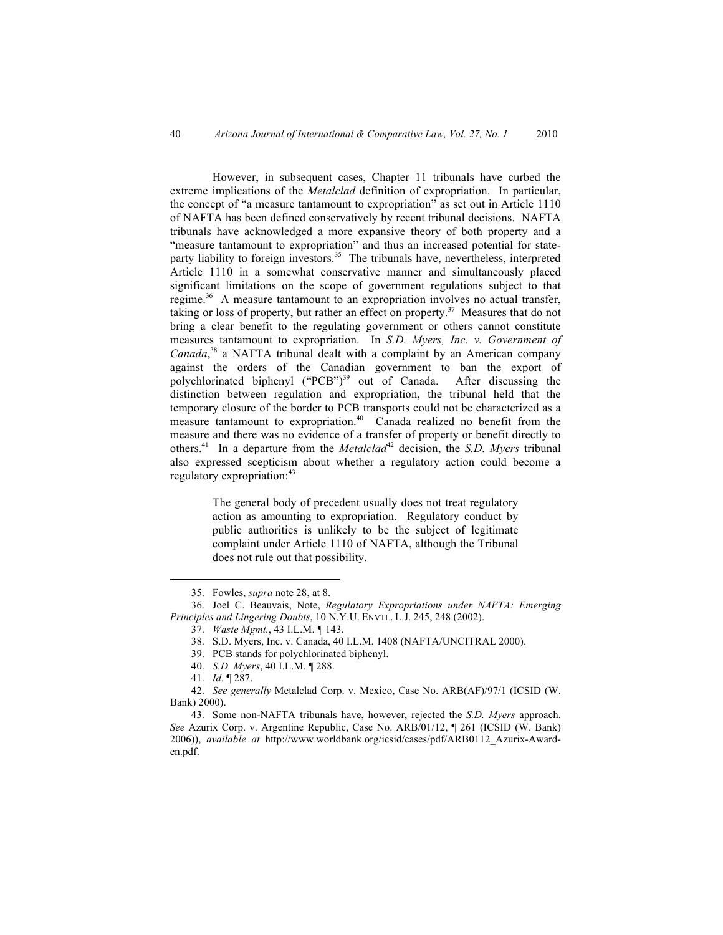However, in subsequent cases, Chapter 11 tribunals have curbed the extreme implications of the *Metalclad* definition of expropriation. In particular, the concept of "a measure tantamount to expropriation" as set out in Article 1110 of NAFTA has been defined conservatively by recent tribunal decisions. NAFTA tribunals have acknowledged a more expansive theory of both property and a "measure tantamount to expropriation" and thus an increased potential for stateparty liability to foreign investors.<sup>35</sup> The tribunals have, nevertheless, interpreted Article 1110 in a somewhat conservative manner and simultaneously placed significant limitations on the scope of government regulations subject to that regime.<sup>36</sup> A measure tantamount to an expropriation involves no actual transfer, taking or loss of property, but rather an effect on property.<sup>37</sup> Measures that do not bring a clear benefit to the regulating government or others cannot constitute measures tantamount to expropriation. In *S.D. Myers, Inc. v. Government of Canada*, 38 a NAFTA tribunal dealt with a complaint by an American company against the orders of the Canadian government to ban the export of polychlorinated biphenyl ("PCB")<sup>39</sup> out of Canada. After discussing the distinction between regulation and expropriation, the tribunal held that the temporary closure of the border to PCB transports could not be characterized as a measure tantamount to expropriation.<sup>40</sup> Canada realized no benefit from the measure and there was no evidence of a transfer of property or benefit directly to others.<sup>41</sup> In a departure from the *Metalclad*<sup>42</sup> decision, the *S.D. Myers* tribunal also expressed scepticism about whether a regulatory action could become a regulatory expropriation:<sup>43</sup>

> The general body of precedent usually does not treat regulatory action as amounting to expropriation. Regulatory conduct by public authorities is unlikely to be the subject of legitimate complaint under Article 1110 of NAFTA, although the Tribunal does not rule out that possibility.

38. S.D. Myers, Inc. v. Canada, 40 I.L.M. 1408 (NAFTA/UNCITRAL 2000).

 <sup>35.</sup> Fowles, *supra* note 28, at 8.

<sup>36.</sup> Joel C. Beauvais, Note, *Regulatory Expropriations under NAFTA: Emerging Principles and Lingering Doubts*, 10 N.Y.U. ENVTL. L.J. 245, 248 (2002).

<sup>37.</sup> *Waste Mgmt.*, 43 I.L.M. *¶* 143.

<sup>39.</sup> PCB stands for polychlorinated biphenyl.

<sup>40.</sup> *S.D. Myers*, 40 I.L.M. ¶ 288.

<sup>41.</sup> *Id.* ¶ 287.

<sup>42.</sup> *See generally* Metalclad Corp. v. Mexico, Case No. ARB(AF)/97/1 (ICSID (W. Bank) 2000).

<sup>43.</sup> Some non-NAFTA tribunals have, however, rejected the *S.D. Myers* approach. *See* Azurix Corp. v. Argentine Republic, Case No. ARB/01/12, ¶ 261 (ICSID (W. Bank) 2006)), *available at* http://www.worldbank.org/icsid/cases/pdf/ARB0112\_Azurix-Awarden.pdf.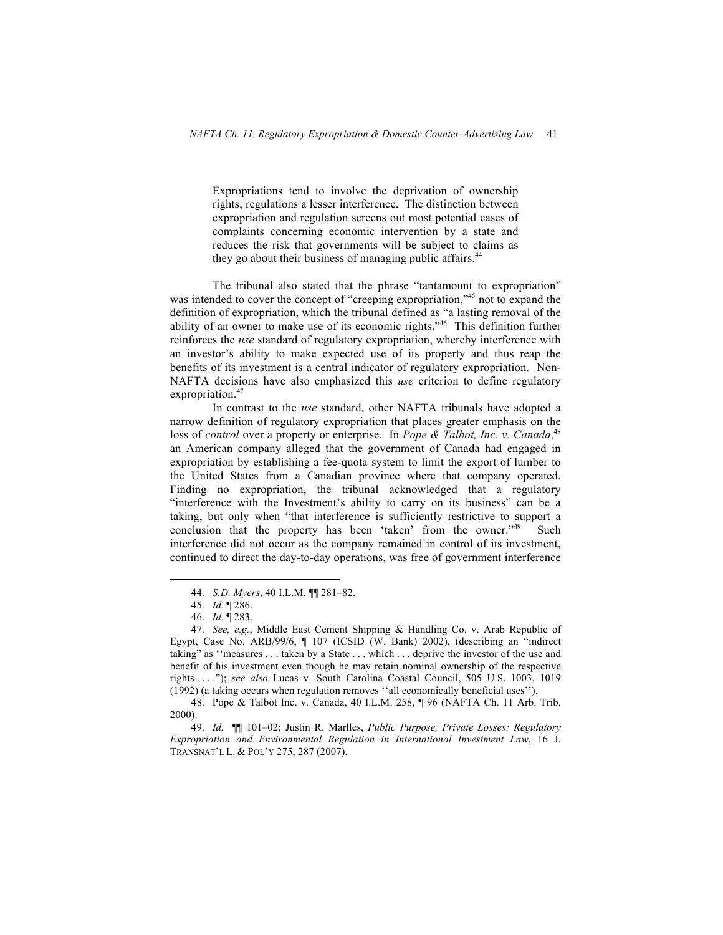Expropriations tend to involve the deprivation of ownership rights; regulations a lesser interference. The distinction between expropriation and regulation screens out most potential cases of complaints concerning economic intervention by a state and reduces the risk that governments will be subject to claims as they go about their business of managing public affairs.<sup>44</sup>

The tribunal also stated that the phrase "tantamount to expropriation" was intended to cover the concept of "creeping expropriation,"<sup>45</sup> not to expand the definition of expropriation, which the tribunal defined as "a lasting removal of the ability of an owner to make use of its economic rights."<sup>46</sup> This definition further reinforces the *use* standard of regulatory expropriation, whereby interference with an investor's ability to make expected use of its property and thus reap the benefits of its investment is a central indicator of regulatory expropriation. Non-NAFTA decisions have also emphasized this *use* criterion to define regulatory expropriation.<sup>47</sup>

In contrast to the *use* standard, other NAFTA tribunals have adopted a narrow definition of regulatory expropriation that places greater emphasis on the loss of *control* over a property or enterprise. In *Pope & Talbot, Inc. v. Canada*,<sup>48</sup> an American company alleged that the government of Canada had engaged in expropriation by establishing a fee-quota system to limit the export of lumber to the United States from a Canadian province where that company operated. Finding no expropriation, the tribunal acknowledged that a regulatory "interference with the Investment's ability to carry on its business" can be a taking, but only when "that interference is sufficiently restrictive to support a conclusion that the property has been 'taken' from the owner."<sup>49</sup> Such interference did not occur as the company remained in control of its investment, continued to direct the day-to-day operations, was free of government interference

 <sup>44.</sup> *S.D. Myers*, 40 I.L.M. ¶¶ 281–82.

<sup>45.</sup> *Id.* ¶ 286.

<sup>46.</sup> *Id.* ¶ 283.

<sup>47.</sup> *See, e.g.*, Middle East Cement Shipping & Handling Co. v. Arab Republic of Egypt, Case No. ARB/99/6, ¶ 107 (ICSID (W. Bank) 2002), (describing an "indirect taking" as ''measures . . . taken by a State . . . which . . . deprive the investor of the use and benefit of his investment even though he may retain nominal ownership of the respective rights . . . ."); *see also* Lucas v. South Carolina Coastal Council, 505 U.S. 1003, 1019 (1992) (a taking occurs when regulation removes ''all economically beneficial uses'').

<sup>48.</sup> Pope & Talbot Inc. v. Canada, 40 I.L.M. 258, ¶ 96 (NAFTA Ch. 11 Arb. Trib. 2000).

<sup>49.</sup> *Id.* ¶¶ 101–02; Justin R. Marlles, *Public Purpose, Private Losses: Regulatory Expropriation and Environmental Regulation in International Investment Law*, 16 J. TRANSNAT'L L. & POL'Y 275, 287 (2007).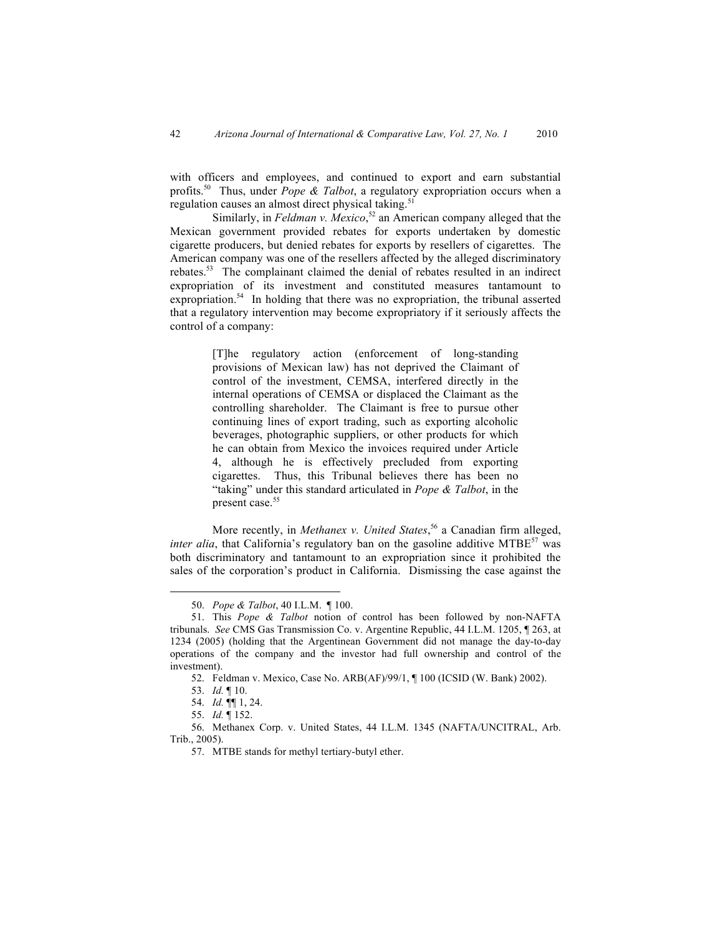with officers and employees, and continued to export and earn substantial profits.<sup>50</sup> Thus, under *Pope & Talbot*, a regulatory expropriation occurs when a regulation causes an almost direct physical taking.<sup>51</sup>

Similarly, in *Feldman v. Mexico*,<sup>52</sup> an American company alleged that the Mexican government provided rebates for exports undertaken by domestic cigarette producers, but denied rebates for exports by resellers of cigarettes. The American company was one of the resellers affected by the alleged discriminatory rebates.53 The complainant claimed the denial of rebates resulted in an indirect expropriation of its investment and constituted measures tantamount to expropriation.<sup>54</sup> In holding that there was no expropriation, the tribunal asserted that a regulatory intervention may become expropriatory if it seriously affects the control of a company:

> [T]he regulatory action (enforcement of long-standing provisions of Mexican law) has not deprived the Claimant of control of the investment, CEMSA, interfered directly in the internal operations of CEMSA or displaced the Claimant as the controlling shareholder. The Claimant is free to pursue other continuing lines of export trading, such as exporting alcoholic beverages, photographic suppliers, or other products for which he can obtain from Mexico the invoices required under Article 4, although he is effectively precluded from exporting cigarettes. Thus, this Tribunal believes there has been no "taking" under this standard articulated in *Pope & Talbot*, in the present case.<sup>55</sup>

More recently, in *Methanex v. United States*, 56 a Canadian firm alleged, *inter alia*, that California's regulatory ban on the gasoline additive MTBE<sup>57</sup> was both discriminatory and tantamount to an expropriation since it prohibited the sales of the corporation's product in California. Dismissing the case against the

 <sup>50.</sup> *Pope & Talbot*, 40 I.L.M. ¶ 100.

<sup>51.</sup> This *Pope & Talbot* notion of control has been followed by non-NAFTA tribunals. *See* CMS Gas Transmission Co. v. Argentine Republic, 44 I.L.M. 1205, ¶ 263, at 1234 (2005) (holding that the Argentinean Government did not manage the day-to-day operations of the company and the investor had full ownership and control of the investment).

<sup>52.</sup> Feldman v. Mexico, Case No. ARB(AF)/99/1, ¶ 100 (ICSID (W. Bank) 2002).

<sup>53.</sup> *Id.* ¶ 10.

<sup>54.</sup> *Id.* ¶¶ 1, 24.

<sup>55.</sup> *Id.* ¶ 152.

<sup>56.</sup> Methanex Corp. v. United States, 44 I.L.M. 1345 (NAFTA/UNCITRAL, Arb. Trib., 2005).

<sup>57.</sup> MTBE stands for methyl tertiary-butyl ether.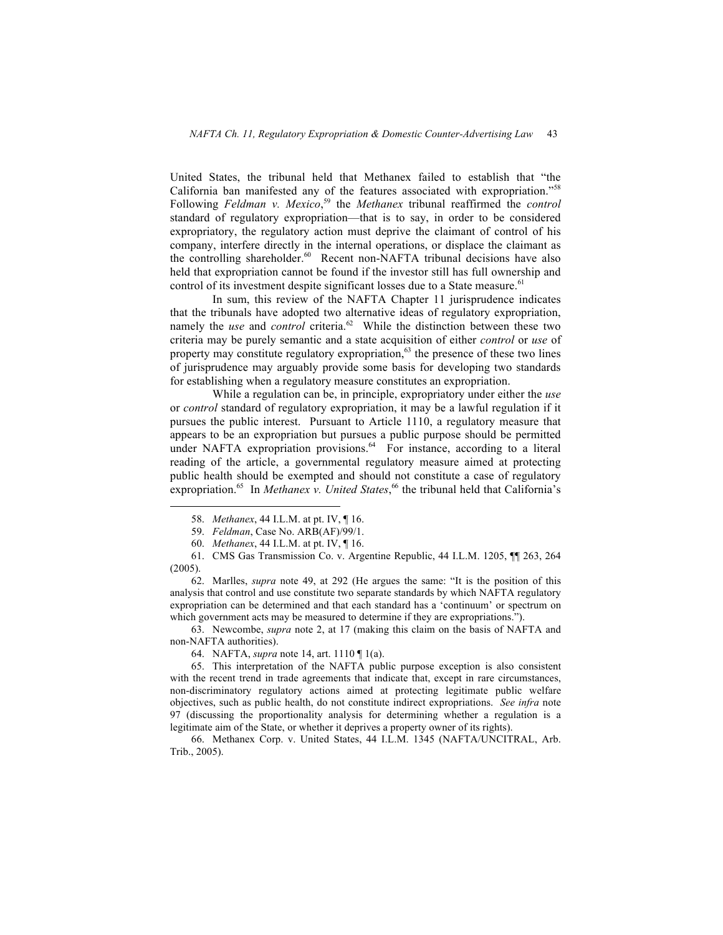United States, the tribunal held that Methanex failed to establish that "the California ban manifested any of the features associated with expropriation."<sup>58</sup> Following *Feldman v. Mexico*, 59 the *Methanex* tribunal reaffirmed the *control* standard of regulatory expropriation—that is to say, in order to be considered expropriatory, the regulatory action must deprive the claimant of control of his company, interfere directly in the internal operations, or displace the claimant as the controlling shareholder. <sup>60</sup> Recent non-NAFTA tribunal decisions have also held that expropriation cannot be found if the investor still has full ownership and control of its investment despite significant losses due to a State measure.<sup>61</sup>

In sum, this review of the NAFTA Chapter 11 jurisprudence indicates that the tribunals have adopted two alternative ideas of regulatory expropriation, namely the *use* and *control* criteria.<sup>62</sup> While the distinction between these two criteria may be purely semantic and a state acquisition of either *control* or *use* of property may constitute regulatory expropriation, $63$  the presence of these two lines of jurisprudence may arguably provide some basis for developing two standards for establishing when a regulatory measure constitutes an expropriation.

While a regulation can be, in principle, expropriatory under either the *use* or *control* standard of regulatory expropriation, it may be a lawful regulation if it pursues the public interest. Pursuant to Article 1110, a regulatory measure that appears to be an expropriation but pursues a public purpose should be permitted under NAFTA expropriation provisions.<sup>64</sup> For instance, according to a literal reading of the article, a governmental regulatory measure aimed at protecting public health should be exempted and should not constitute a case of regulatory expropriation.<sup>65</sup> In *Methanex v. United States*, <sup>66</sup> the tribunal held that California's

62. Marlles, *supra* note 49, at 292 (He argues the same: "It is the position of this analysis that control and use constitute two separate standards by which NAFTA regulatory expropriation can be determined and that each standard has a 'continuum' or spectrum on which government acts may be measured to determine if they are expropriations.").

63. Newcombe, *supra* note 2, at 17 (making this claim on the basis of NAFTA and non-NAFTA authorities).

64. NAFTA, *supra* note 14, art. 1110 ¶ 1(a).

65. This interpretation of the NAFTA public purpose exception is also consistent with the recent trend in trade agreements that indicate that, except in rare circumstances, non-discriminatory regulatory actions aimed at protecting legitimate public welfare objectives, such as public health, do not constitute indirect expropriations. *See infra* note 97 (discussing the proportionality analysis for determining whether a regulation is a legitimate aim of the State, or whether it deprives a property owner of its rights).

66. Methanex Corp. v. United States, 44 I.L.M. 1345 (NAFTA/UNCITRAL, Arb. Trib., 2005).

 <sup>58.</sup> *Methanex*, 44 I.L.M. at pt. IV, ¶ 16.

<sup>59.</sup> *Feldman*, Case No. ARB(AF)/99/1.

<sup>60.</sup> *Methanex*, 44 I.L.M. at pt. IV, ¶ 16.

<sup>61.</sup> CMS Gas Transmission Co. v. Argentine Republic, 44 I.L.M. 1205, ¶¶ 263, 264 (2005).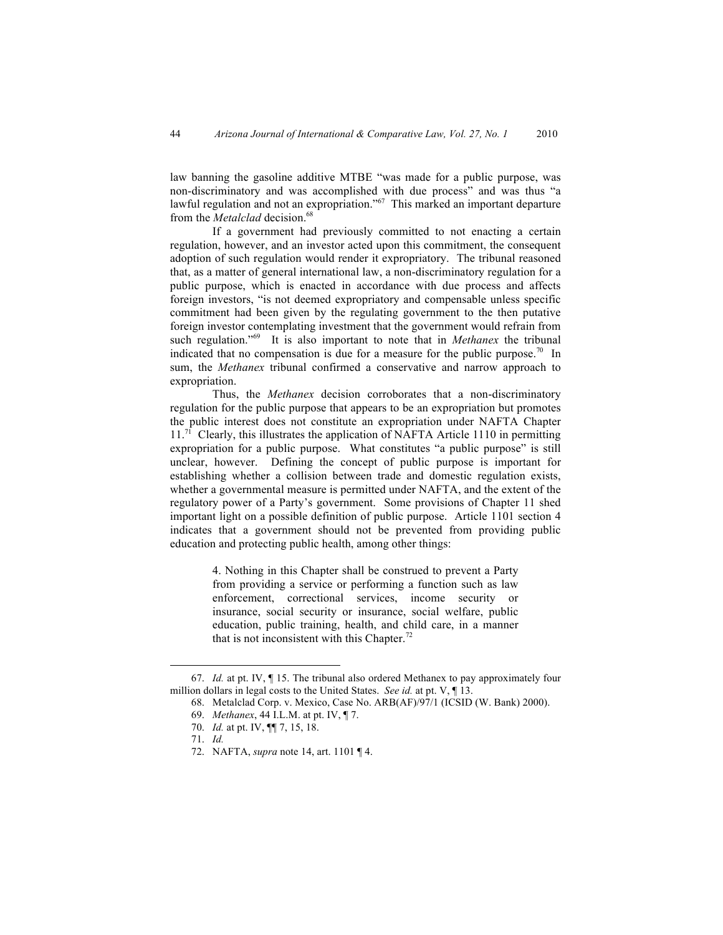law banning the gasoline additive MTBE "was made for a public purpose, was non-discriminatory and was accomplished with due process" and was thus "a lawful regulation and not an expropriation."<sup>67</sup> This marked an important departure from the *Metalclad* decision. 68

If a government had previously committed to not enacting a certain regulation, however, and an investor acted upon this commitment, the consequent adoption of such regulation would render it expropriatory. The tribunal reasoned that, as a matter of general international law, a non-discriminatory regulation for a public purpose, which is enacted in accordance with due process and affects foreign investors, "is not deemed expropriatory and compensable unless specific commitment had been given by the regulating government to the then putative foreign investor contemplating investment that the government would refrain from such regulation."<sup>69</sup> It is also important to note that in *Methanex* the tribunal indicated that no compensation is due for a measure for the public purpose.<sup>70</sup> In sum, the *Methanex* tribunal confirmed a conservative and narrow approach to expropriation.

Thus, the *Methanex* decision corroborates that a non-discriminatory regulation for the public purpose that appears to be an expropriation but promotes the public interest does not constitute an expropriation under NAFTA Chapter 11.<sup>71</sup> Clearly, this illustrates the application of NAFTA Article 1110 in permitting expropriation for a public purpose. What constitutes "a public purpose" is still unclear, however. Defining the concept of public purpose is important for establishing whether a collision between trade and domestic regulation exists, whether a governmental measure is permitted under NAFTA, and the extent of the regulatory power of a Party's government. Some provisions of Chapter 11 shed important light on a possible definition of public purpose. Article 1101 section 4 indicates that a government should not be prevented from providing public education and protecting public health, among other things:

> 4. Nothing in this Chapter shall be construed to prevent a Party from providing a service or performing a function such as law enforcement, correctional services, income security or insurance, social security or insurance, social welfare, public education, public training, health, and child care, in a manner that is not inconsistent with this Chapter.<sup>72</sup>

 <sup>67.</sup> *Id.* at pt. IV, ¶ 15. The tribunal also ordered Methanex to pay approximately four million dollars in legal costs to the United States. *See id.* at pt. V, ¶ 13.

<sup>68.</sup> Metalclad Corp. v. Mexico, Case No. ARB(AF)/97/1 (ICSID (W. Bank) 2000).

<sup>69.</sup> *Methanex*, 44 I.L.M. at pt. IV, ¶ 7.

<sup>70.</sup> *Id.* at pt. IV, ¶¶ 7, 15, 18.

<sup>71.</sup> *Id.*

<sup>72.</sup> NAFTA, *supra* note 14, art. 1101 ¶ 4.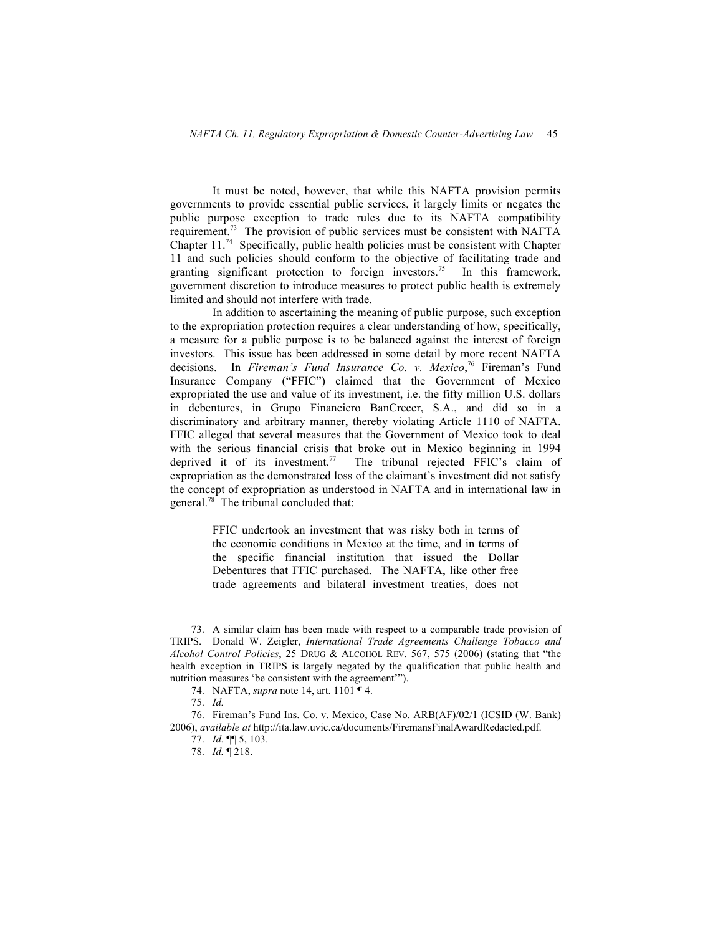It must be noted, however, that while this NAFTA provision permits governments to provide essential public services, it largely limits or negates the public purpose exception to trade rules due to its NAFTA compatibility requirement.<sup>73</sup> The provision of public services must be consistent with NAFTA Chapter 11.<sup>74</sup> Specifically, public health policies must be consistent with Chapter 11 and such policies should conform to the objective of facilitating trade and granting significant protection to foreign investors.<sup>75</sup> In this framework, government discretion to introduce measures to protect public health is extremely limited and should not interfere with trade.

In addition to ascertaining the meaning of public purpose, such exception to the expropriation protection requires a clear understanding of how, specifically, a measure for a public purpose is to be balanced against the interest of foreign investors. This issue has been addressed in some detail by more recent NAFTA decisions. In *Fireman's Fund Insurance Co. v. Mexico*, <sup>76</sup> Fireman's Fund Insurance Company ("FFIC") claimed that the Government of Mexico expropriated the use and value of its investment, i.e. the fifty million U.S. dollars in debentures, in Grupo Financiero BanCrecer, S.A., and did so in a discriminatory and arbitrary manner, thereby violating Article 1110 of NAFTA. FFIC alleged that several measures that the Government of Mexico took to deal with the serious financial crisis that broke out in Mexico beginning in 1994 deprived it of its investment.<sup>77</sup> The tribunal rejected FFIC's claim of The tribunal rejected FFIC's claim of expropriation as the demonstrated loss of the claimant's investment did not satisfy the concept of expropriation as understood in NAFTA and in international law in general.<sup>78</sup> The tribunal concluded that:

> FFIC undertook an investment that was risky both in terms of the economic conditions in Mexico at the time, and in terms of the specific financial institution that issued the Dollar Debentures that FFIC purchased. The NAFTA, like other free trade agreements and bilateral investment treaties, does not

 <sup>73.</sup> A similar claim has been made with respect to a comparable trade provision of TRIPS. Donald W. Zeigler, *International Trade Agreements Challenge Tobacco and Alcohol Control Policies*, 25 DRUG & ALCOHOL REV. 567, 575 (2006) (stating that "the health exception in TRIPS is largely negated by the qualification that public health and nutrition measures 'be consistent with the agreement'").

<sup>74.</sup> NAFTA, *supra* note 14, art. 1101 ¶ 4.

<sup>75.</sup> *Id.*

<sup>76.</sup> Fireman's Fund Ins. Co. v. Mexico, Case No. ARB(AF)/02/1 (ICSID (W. Bank) 2006), *available at* http://ita.law.uvic.ca/documents/FiremansFinalAwardRedacted.pdf.

<sup>77.</sup> *Id.* ¶¶ 5, 103.

<sup>78.</sup> *Id.* ¶ 218.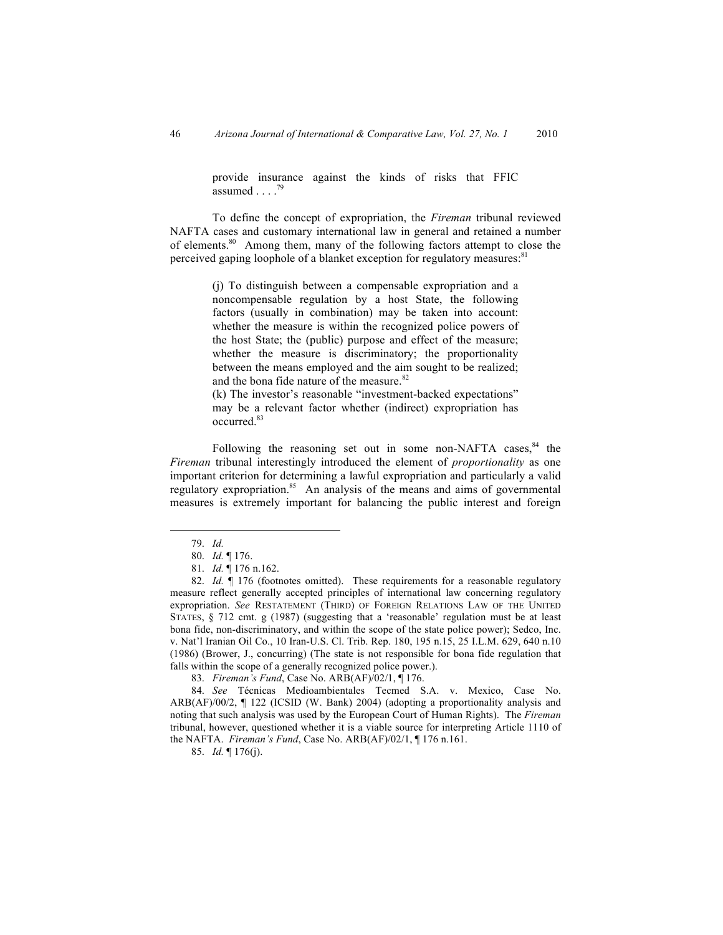provide insurance against the kinds of risks that FFIC assumed . . . . 79

To define the concept of expropriation, the *Fireman* tribunal reviewed NAFTA cases and customary international law in general and retained a number of elements.80 Among them, many of the following factors attempt to close the perceived gaping loophole of a blanket exception for regulatory measures.<sup>81</sup>

> (j) To distinguish between a compensable expropriation and a noncompensable regulation by a host State, the following factors (usually in combination) may be taken into account: whether the measure is within the recognized police powers of the host State; the (public) purpose and effect of the measure; whether the measure is discriminatory; the proportionality between the means employed and the aim sought to be realized; and the bona fide nature of the measure.<sup>82</sup>

> (k) The investor's reasonable "investment-backed expectations" may be a relevant factor whether (indirect) expropriation has occurred.<sup>83</sup>

Following the reasoning set out in some non-NAFTA cases, $84$  the *Fireman* tribunal interestingly introduced the element of *proportionality* as one important criterion for determining a lawful expropriation and particularly a valid regulatory expropriation.<sup>85</sup> An analysis of the means and aims of governmental measures is extremely important for balancing the public interest and foreign

83. *Fireman's Fund*, Case No. ARB(AF)/02/1, ¶ 176.

84. *See* Técnicas Medioambientales Tecmed S.A. v. Mexico, Case No. ARB(AF)/00/2, ¶ 122 (ICSID (W. Bank) 2004) (adopting a proportionality analysis and noting that such analysis was used by the European Court of Human Rights). The *Fireman* tribunal, however, questioned whether it is a viable source for interpreting Article 1110 of the NAFTA. *Fireman's Fund*, Case No. ARB(AF)/02/1, ¶ 176 n.161.

85. *Id.* ¶ 176(j).

 <sup>79.</sup> *Id.*

<sup>80.</sup> *Id.* ¶ 176.

<sup>81.</sup> *Id.* ¶ 176 n.162.

<sup>82.</sup> *Id.*  $\parallel$  176 (footnotes omitted). These requirements for a reasonable regulatory measure reflect generally accepted principles of international law concerning regulatory expropriation. *See* RESTATEMENT (THIRD) OF FOREIGN RELATIONS LAW OF THE UNITED STATES, § 712 cmt. g (1987) (suggesting that a 'reasonable' regulation must be at least bona fide, non-discriminatory, and within the scope of the state police power); Sedco, Inc. v. Nat'l Iranian Oil Co., 10 Iran-U.S. Cl. Trib. Rep. 180, 195 n.15, 25 I.L.M. 629, 640 n.10 (1986) (Brower, J., concurring) (The state is not responsible for bona fide regulation that falls within the scope of a generally recognized police power.).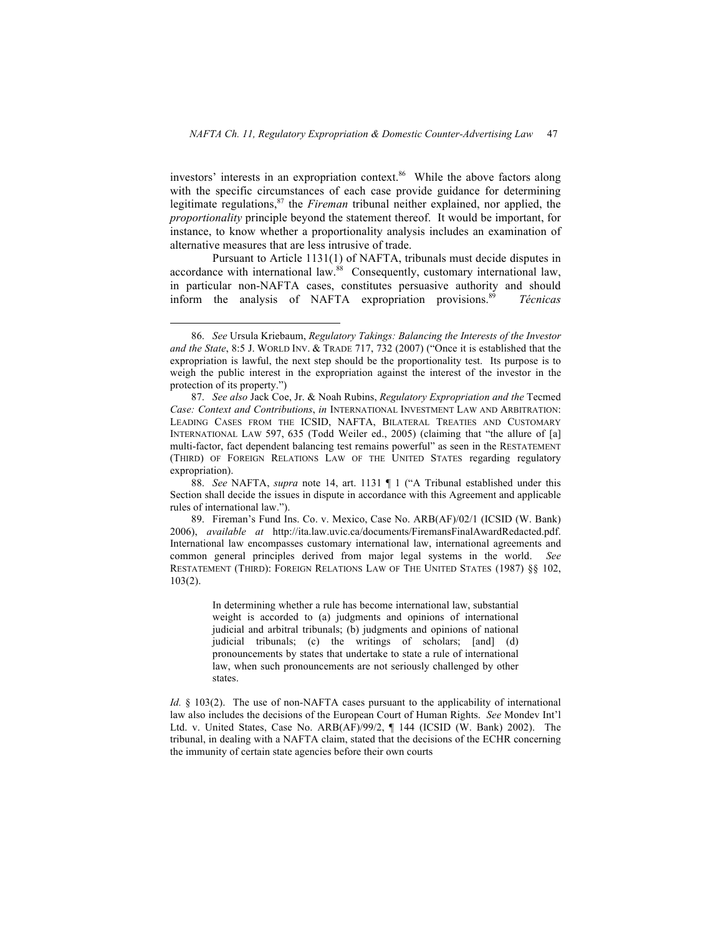investors' interests in an expropriation context. $86$  While the above factors along with the specific circumstances of each case provide guidance for determining legitimate regulations, 87 the *Fireman* tribunal neither explained, nor applied, the *proportionality* principle beyond the statement thereof. It would be important, for instance, to know whether a proportionality analysis includes an examination of alternative measures that are less intrusive of trade.

Pursuant to Article 1131(1) of NAFTA, tribunals must decide disputes in accordance with international law.<sup>88</sup> Consequently, customary international law, in particular non-NAFTA cases, constitutes persuasive authority and should inform the analysis of NAFTA expropriation provisions.89 *Técnicas* 

In determining whether a rule has become international law, substantial weight is accorded to (a) judgments and opinions of international judicial and arbitral tribunals; (b) judgments and opinions of national judicial tribunals; (c) the writings of scholars; [and] (d) pronouncements by states that undertake to state a rule of international law, when such pronouncements are not seriously challenged by other states.

*Id.* § 103(2). The use of non-NAFTA cases pursuant to the applicability of international law also includes the decisions of the European Court of Human Rights. *See* Mondev Int'l Ltd. v. United States, Case No. ARB(AF)/99/2, ¶ 144 (ICSID (W. Bank) 2002). The tribunal, in dealing with a NAFTA claim, stated that the decisions of the ECHR concerning the immunity of certain state agencies before their own courts

 <sup>86.</sup> *See* Ursula Kriebaum, *Regulatory Takings: Balancing the Interests of the Investor and the State*, 8:5 J. WORLD INV. & TRADE 717, 732 (2007) ("Once it is established that the expropriation is lawful, the next step should be the proportionality test. Its purpose is to weigh the public interest in the expropriation against the interest of the investor in the protection of its property.")

<sup>87.</sup> *See also* Jack Coe, Jr. & Noah Rubins, *Regulatory Expropriation and the* Tecmed *Case: Context and Contributions*, *in* INTERNATIONAL INVESTMENT LAW AND ARBITRATION: LEADING CASES FROM THE ICSID, NAFTA, BILATERAL TREATIES AND CUSTOMARY INTERNATIONAL LAW 597, 635 (Todd Weiler ed., 2005) (claiming that "the allure of [a] multi-factor, fact dependent balancing test remains powerful" as seen in the RESTATEMENT (THIRD) OF FOREIGN RELATIONS LAW OF THE UNITED STATES regarding regulatory expropriation).

<sup>88.</sup> *See* NAFTA, *supra* note 14, art. 1131 ¶ 1 ("A Tribunal established under this Section shall decide the issues in dispute in accordance with this Agreement and applicable rules of international law.").

<sup>89.</sup> Fireman's Fund Ins. Co. v. Mexico, Case No. ARB(AF)/02/1 (ICSID (W. Bank) 2006), *available at* http://ita.law.uvic.ca/documents/FiremansFinalAwardRedacted.pdf. International law encompasses customary international law, international agreements and common general principles derived from major legal systems in the world. *See* RESTATEMENT (THIRD): FOREIGN RELATIONS LAW OF THE UNITED STATES (1987) §§ 102, 103(2).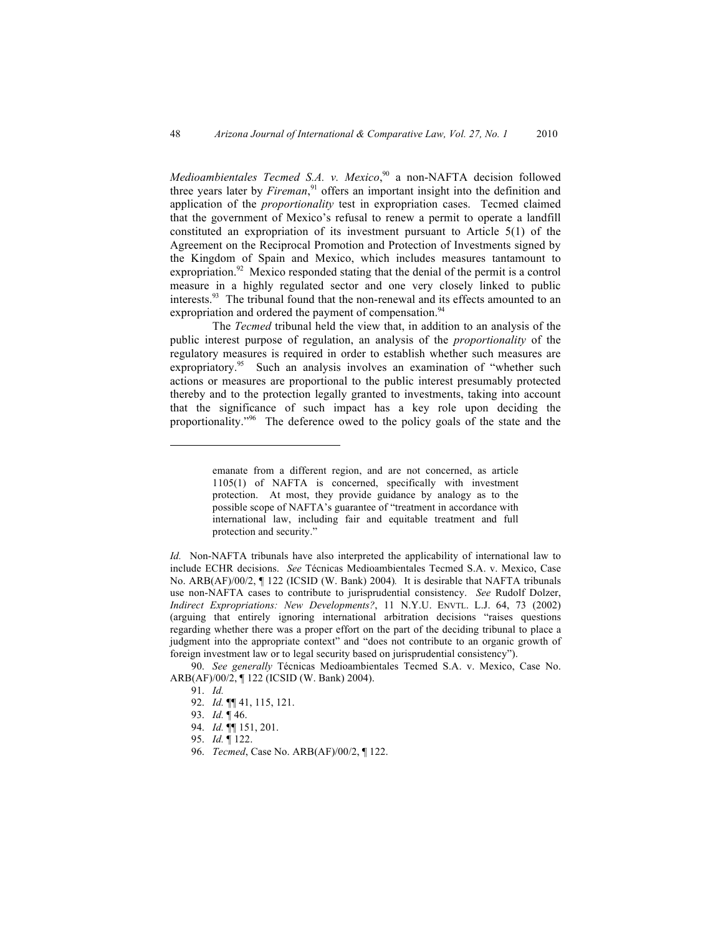*Medioambientales Tecmed S.A. v. Mexico*, <sup>90</sup> a non-NAFTA decision followed three years later by *Fireman*, 91 offers an important insight into the definition and application of the *proportionality* test in expropriation cases. Tecmed claimed that the government of Mexico's refusal to renew a permit to operate a landfill constituted an expropriation of its investment pursuant to Article 5(1) of the Agreement on the Reciprocal Promotion and Protection of Investments signed by the Kingdom of Spain and Mexico, which includes measures tantamount to expropriation.<sup>92</sup> Mexico responded stating that the denial of the permit is a control measure in a highly regulated sector and one very closely linked to public interests.<sup>93</sup> The tribunal found that the non-renewal and its effects amounted to an expropriation and ordered the payment of compensation.<sup>94</sup>

The *Tecmed* tribunal held the view that, in addition to an analysis of the public interest purpose of regulation, an analysis of the *proportionality* of the regulatory measures is required in order to establish whether such measures are expropriatory.<sup>95</sup> Such an analysis involves an examination of "whether such actions or measures are proportional to the public interest presumably protected thereby and to the protection legally granted to investments, taking into account that the significance of such impact has a key role upon deciding the proportionality."<sup>96</sup> The deference owed to the policy goals of the state and the

*Id.* Non-NAFTA tribunals have also interpreted the applicability of international law to include ECHR decisions. *See* Técnicas Medioambientales Tecmed S.A. v. Mexico, Case No. ARB(AF)/00/2, ¶ 122 (ICSID (W. Bank) 2004)*.* It is desirable that NAFTA tribunals use non-NAFTA cases to contribute to jurisprudential consistency. *See* Rudolf Dolzer, *Indirect Expropriations: New Developments?*, 11 N.Y.U. ENVTL. L.J. 64, 73 (2002) (arguing that entirely ignoring international arbitration decisions "raises questions regarding whether there was a proper effort on the part of the deciding tribunal to place a judgment into the appropriate context" and "does not contribute to an organic growth of foreign investment law or to legal security based on jurisprudential consistency").

90. *See generally* Técnicas Medioambientales Tecmed S.A. v. Mexico, Case No. ARB(AF)/00/2, ¶ 122 (ICSID (W. Bank) 2004).

91. *Id.*

- 92. *Id.* ¶¶ 41, 115, 121.
- 93. *Id.* ¶ 46.
- 94. *Id.* ¶¶ 151, 201.
- 95. *Id.* ¶ 122.
- 96. *Tecmed*, Case No. ARB(AF)/00/2, ¶ 122.

 $\overline{a}$ 

emanate from a different region, and are not concerned, as article 1105(1) of NAFTA is concerned, specifically with investment protection. At most, they provide guidance by analogy as to the possible scope of NAFTA's guarantee of "treatment in accordance with international law, including fair and equitable treatment and full protection and security."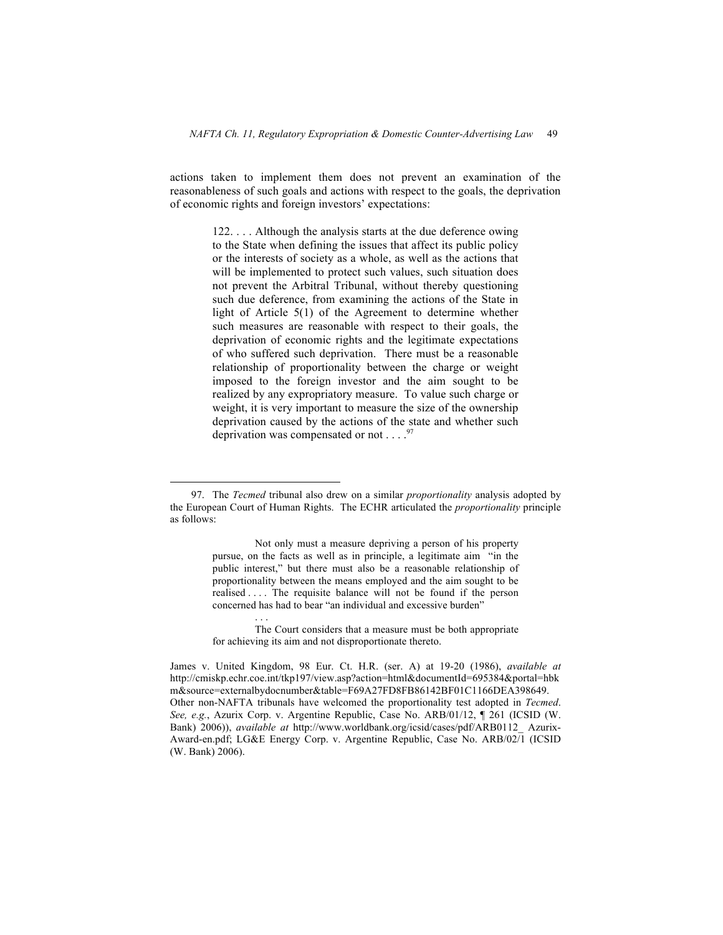actions taken to implement them does not prevent an examination of the reasonableness of such goals and actions with respect to the goals, the deprivation of economic rights and foreign investors' expectations:

> 122. . . . Although the analysis starts at the due deference owing to the State when defining the issues that affect its public policy or the interests of society as a whole, as well as the actions that will be implemented to protect such values, such situation does not prevent the Arbitral Tribunal, without thereby questioning such due deference, from examining the actions of the State in light of Article 5(1) of the Agreement to determine whether such measures are reasonable with respect to their goals, the deprivation of economic rights and the legitimate expectations of who suffered such deprivation. There must be a reasonable relationship of proportionality between the charge or weight imposed to the foreign investor and the aim sought to be realized by any expropriatory measure. To value such charge or weight, it is very important to measure the size of the ownership deprivation caused by the actions of the state and whether such deprivation was compensated or not  $\dots$ .<sup>97</sup>

. . .

 <sup>97.</sup> The *Tecmed* tribunal also drew on a similar *proportionality* analysis adopted by the European Court of Human Rights. The ECHR articulated the *proportionality* principle as follows:

Not only must a measure depriving a person of his property pursue, on the facts as well as in principle, a legitimate aim "in the public interest," but there must also be a reasonable relationship of proportionality between the means employed and the aim sought to be realised . . . . The requisite balance will not be found if the person concerned has had to bear "an individual and excessive burden"

The Court considers that a measure must be both appropriate for achieving its aim and not disproportionate thereto.

James v. United Kingdom, 98 Eur. Ct. H.R. (ser. A) at 19-20 (1986), *available at* http://cmiskp.echr.coe.int/tkp197/view.asp?action=html&documentId=695384&portal=hbk m&source=externalbydocnumber&table=F69A27FD8FB86142BF01C1166DEA398649. Other non-NAFTA tribunals have welcomed the proportionality test adopted in *Tecmed*. *See, e.g.*, Azurix Corp. v. Argentine Republic, Case No. ARB/01/12, ¶ 261 (ICSID (W. Bank) 2006)), *available at* http://www.worldbank.org/icsid/cases/pdf/ARB0112\_ Azurix-Award-en.pdf; LG&E Energy Corp. v. Argentine Republic, Case No. ARB/02/1 (ICSID (W. Bank) 2006).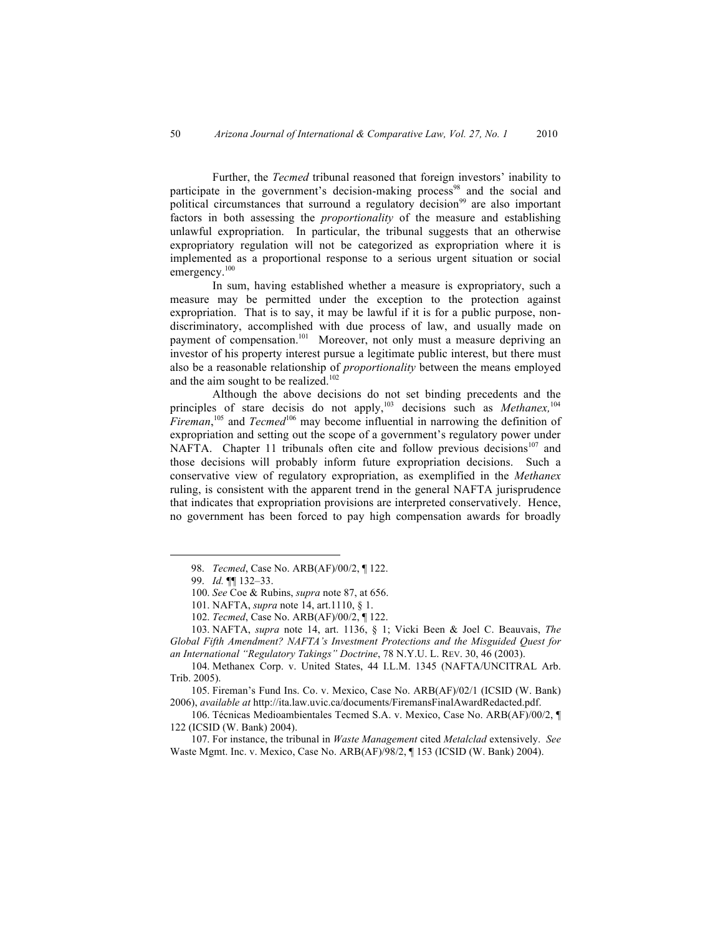Further, the *Tecmed* tribunal reasoned that foreign investors' inability to participate in the government's decision-making process<sup>98</sup> and the social and political circumstances that surround a regulatory decision<sup>99</sup> are also important factors in both assessing the *proportionality* of the measure and establishing unlawful expropriation. In particular, the tribunal suggests that an otherwise expropriatory regulation will not be categorized as expropriation where it is implemented as a proportional response to a serious urgent situation or social emergency.<sup>100</sup>

In sum, having established whether a measure is expropriatory, such a measure may be permitted under the exception to the protection against expropriation. That is to say, it may be lawful if it is for a public purpose, nondiscriminatory, accomplished with due process of law, and usually made on payment of compensation.<sup>101</sup> Moreover, not only must a measure depriving an investor of his property interest pursue a legitimate public interest, but there must also be a reasonable relationship of *proportionality* between the means employed and the aim sought to be realized.<sup>102</sup>

Although the above decisions do not set binding precedents and the principles of stare decisis do not apply,103 decisions such as *Methanex,*<sup>104</sup> *Fireman*, 105 and *Tecmed*106 may become influential in narrowing the definition of expropriation and setting out the scope of a government's regulatory power under NAFTA. Chapter 11 tribunals often cite and follow previous decisions<sup>107</sup> and those decisions will probably inform future expropriation decisions. Such a conservative view of regulatory expropriation, as exemplified in the *Methanex* ruling, is consistent with the apparent trend in the general NAFTA jurisprudence that indicates that expropriation provisions are interpreted conservatively. Hence, no government has been forced to pay high compensation awards for broadly

107. For instance, the tribunal in *Waste Management* cited *Metalclad* extensively. *See* Waste Mgmt. Inc. v. Mexico, Case No. ARB(AF)/98/2, ¶ 153 (ICSID (W. Bank) 2004).

 <sup>98.</sup> *Tecmed*, Case No. ARB(AF)/00/2, ¶ 122.

<sup>99.</sup> *Id.* ¶¶ 132–33.

<sup>100.</sup> *See* Coe & Rubins, *supra* note 87, at 656.

<sup>101.</sup> NAFTA, *supra* note 14, art.1110, § 1.

<sup>102.</sup> *Tecmed*, Case No. ARB(AF)/00/2, ¶ 122.

<sup>103.</sup> NAFTA, *supra* note 14, art. 1136, § 1; Vicki Been & Joel C. Beauvais, *The Global Fifth Amendment? NAFTA's Investment Protections and the Misguided Quest for an International "Regulatory Takings" Doctrine*, 78 N.Y.U. L. REV. 30, 46 (2003).

<sup>104.</sup> Methanex Corp. v. United States, 44 I.L.M. 1345 (NAFTA/UNCITRAL Arb. Trib. 2005).

<sup>105.</sup> Fireman's Fund Ins. Co. v. Mexico, Case No. ARB(AF)/02/1 (ICSID (W. Bank) 2006), *available at* http://ita.law.uvic.ca/documents/FiremansFinalAwardRedacted.pdf.

<sup>106.</sup> Técnicas Medioambientales Tecmed S.A. v. Mexico, Case No. ARB(AF)/00/2, ¶ 122 (ICSID (W. Bank) 2004).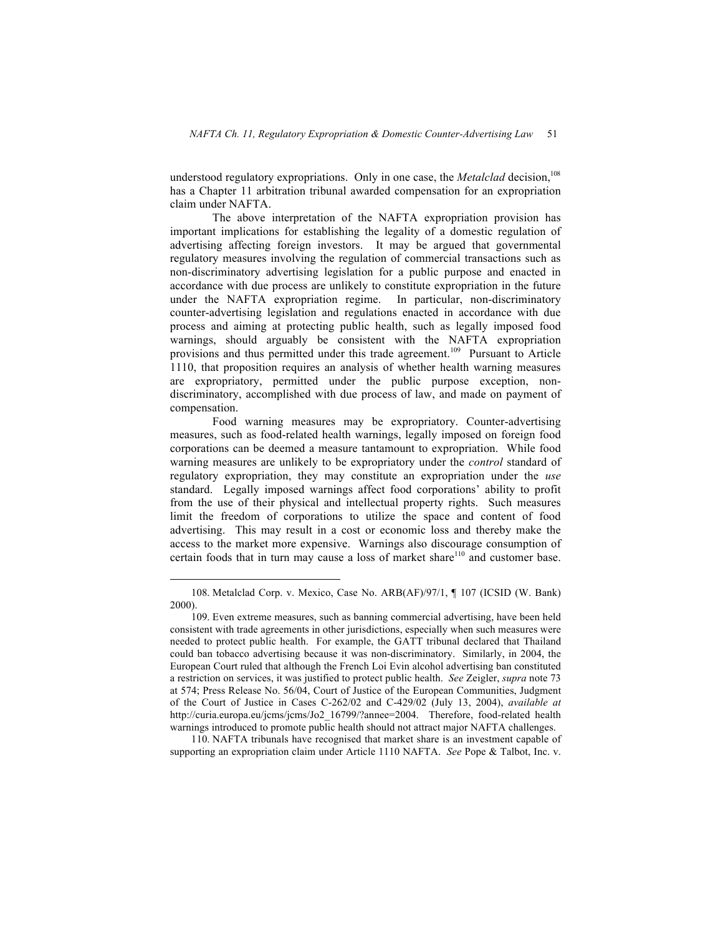understood regulatory expropriations. Only in one case, the *Metalclad* decision, 108 has a Chapter 11 arbitration tribunal awarded compensation for an expropriation claim under NAFTA.

The above interpretation of the NAFTA expropriation provision has important implications for establishing the legality of a domestic regulation of advertising affecting foreign investors. It may be argued that governmental regulatory measures involving the regulation of commercial transactions such as non-discriminatory advertising legislation for a public purpose and enacted in accordance with due process are unlikely to constitute expropriation in the future under the NAFTA expropriation regime. In particular, non-discriminatory counter-advertising legislation and regulations enacted in accordance with due process and aiming at protecting public health, such as legally imposed food warnings, should arguably be consistent with the NAFTA expropriation provisions and thus permitted under this trade agreement.<sup>109</sup> Pursuant to Article 1110, that proposition requires an analysis of whether health warning measures are expropriatory, permitted under the public purpose exception, nondiscriminatory, accomplished with due process of law, and made on payment of compensation.

Food warning measures may be expropriatory. Counter-advertising measures, such as food-related health warnings, legally imposed on foreign food corporations can be deemed a measure tantamount to expropriation. While food warning measures are unlikely to be expropriatory under the *control* standard of regulatory expropriation, they may constitute an expropriation under the *use* standard. Legally imposed warnings affect food corporations' ability to profit from the use of their physical and intellectual property rights. Such measures limit the freedom of corporations to utilize the space and content of food advertising. This may result in a cost or economic loss and thereby make the access to the market more expensive. Warnings also discourage consumption of certain foods that in turn may cause a loss of market share<sup>110</sup> and customer base.

110. NAFTA tribunals have recognised that market share is an investment capable of supporting an expropriation claim under Article 1110 NAFTA. *See* Pope & Talbot, Inc. v.

 <sup>108.</sup> Metalclad Corp. v. Mexico, Case No. ARB(AF)/97/1, ¶ 107 (ICSID (W. Bank) 2000).

<sup>109.</sup> Even extreme measures, such as banning commercial advertising, have been held consistent with trade agreements in other jurisdictions, especially when such measures were needed to protect public health. For example, the GATT tribunal declared that Thailand could ban tobacco advertising because it was non-discriminatory. Similarly, in 2004, the European Court ruled that although the French Loi Evin alcohol advertising ban constituted a restriction on services, it was justified to protect public health. *See* Zeigler, *supra* note 73 at 574; Press Release No. 56/04, Court of Justice of the European Communities, Judgment of the Court of Justice in Cases C-262/02 and C-429/02 (July 13, 2004), *available at* http://curia.europa.eu/jcms/jcms/Jo2\_16799/?annee=2004. Therefore, food-related health warnings introduced to promote public health should not attract major NAFTA challenges.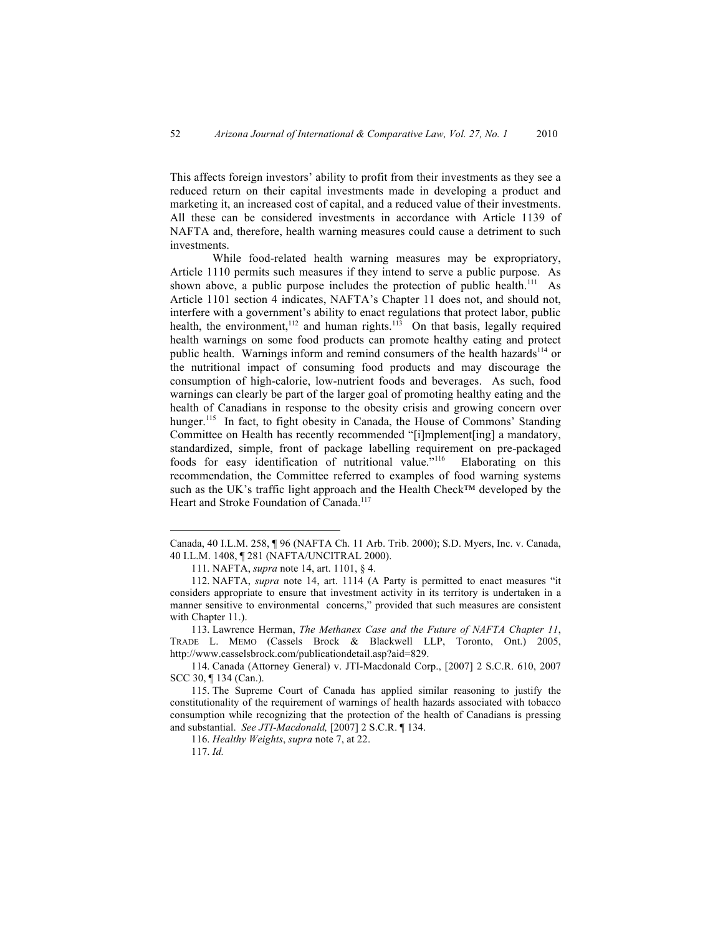This affects foreign investors' ability to profit from their investments as they see a reduced return on their capital investments made in developing a product and marketing it, an increased cost of capital, and a reduced value of their investments. All these can be considered investments in accordance with Article 1139 of NAFTA and, therefore, health warning measures could cause a detriment to such investments.

While food-related health warning measures may be expropriatory, Article 1110 permits such measures if they intend to serve a public purpose. As shown above, a public purpose includes the protection of public health.<sup>111</sup> As Article 1101 section 4 indicates, NAFTA's Chapter 11 does not, and should not, interfere with a government's ability to enact regulations that protect labor, public health, the environment,<sup>112</sup> and human rights.<sup>113</sup> On that basis, legally required health warnings on some food products can promote healthy eating and protect public health. Warnings inform and remind consumers of the health hazards<sup>114</sup> or the nutritional impact of consuming food products and may discourage the consumption of high-calorie, low-nutrient foods and beverages. As such, food warnings can clearly be part of the larger goal of promoting healthy eating and the health of Canadians in response to the obesity crisis and growing concern over hunger.<sup>115</sup> In fact, to fight obesity in Canada, the House of Commons' Standing Committee on Health has recently recommended "[i]mplement[ing] a mandatory, standardized, simple, front of package labelling requirement on pre-packaged foods for easy identification of nutritional value.<sup>5116</sup> Elaborating on this recommendation, the Committee referred to examples of food warning systems such as the UK's traffic light approach and the Health Check™ developed by the Heart and Stroke Foundation of Canada.<sup>117</sup>

116. *Healthy Weights*, *supra* note 7, at 22.

Canada, 40 I.L.M. 258, ¶ 96 (NAFTA Ch. 11 Arb. Trib. 2000); S.D. Myers, Inc. v. Canada, 40 I.L.M. 1408, ¶ 281 (NAFTA/UNCITRAL 2000).

<sup>111.</sup> NAFTA, *supra* note 14, art. 1101, § 4.

<sup>112.</sup> NAFTA, *supra* note 14, art. 1114 (A Party is permitted to enact measures "it considers appropriate to ensure that investment activity in its territory is undertaken in a manner sensitive to environmental concerns," provided that such measures are consistent with Chapter 11.).

<sup>113.</sup> Lawrence Herman, *The Methanex Case and the Future of NAFTA Chapter 11*, TRADE L. MEMO (Cassels Brock & Blackwell LLP, Toronto, Ont.) 2005, http://www.casselsbrock.com/publicationdetail.asp?aid=829.

<sup>114.</sup> Canada (Attorney General) v. JTI-Macdonald Corp., [2007] 2 S.C.R. 610, 2007 SCC 30, ¶ 134 (Can.).

<sup>115.</sup> The Supreme Court of Canada has applied similar reasoning to justify the constitutionality of the requirement of warnings of health hazards associated with tobacco consumption while recognizing that the protection of the health of Canadians is pressing and substantial. *See JTI-Macdonald,* [2007] 2 S.C.R. ¶ 134.

<sup>117.</sup> *Id.*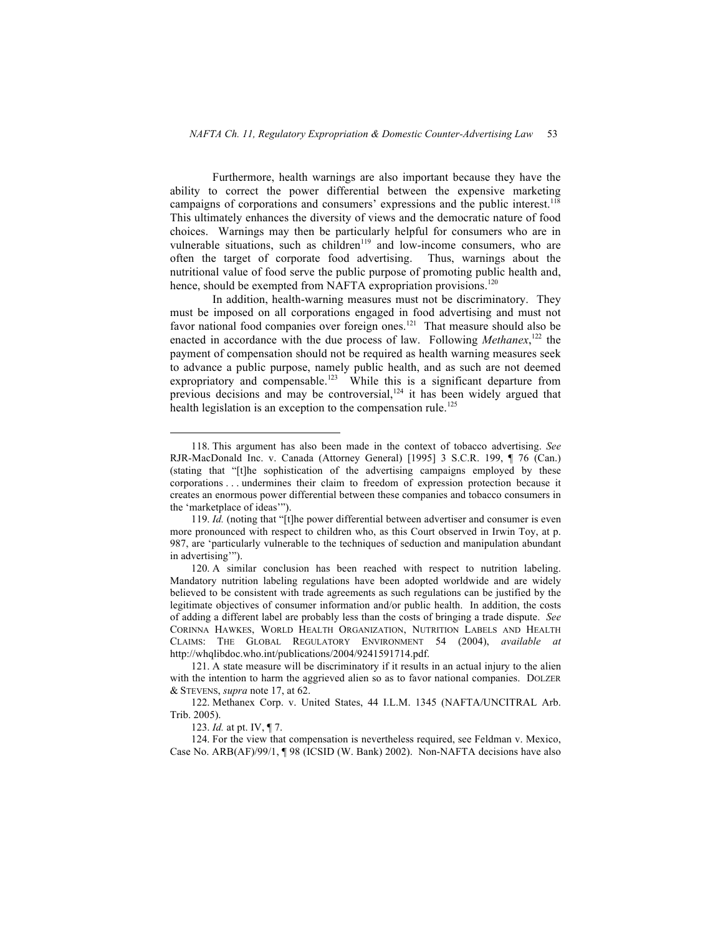Furthermore, health warnings are also important because they have the ability to correct the power differential between the expensive marketing campaigns of corporations and consumers' expressions and the public interest.<sup>118</sup> This ultimately enhances the diversity of views and the democratic nature of food choices. Warnings may then be particularly helpful for consumers who are in vulnerable situations, such as children<sup>119</sup> and low-income consumers, who are often the target of corporate food advertising. Thus, warnings about the nutritional value of food serve the public purpose of promoting public health and, hence, should be exempted from NAFTA expropriation provisions.<sup>120</sup>

In addition, health-warning measures must not be discriminatory. They must be imposed on all corporations engaged in food advertising and must not favor national food companies over foreign ones.<sup>121</sup> That measure should also be enacted in accordance with the due process of law. Following *Methanex*<sup>122</sup>, the payment of compensation should not be required as health warning measures seek to advance a public purpose, namely public health, and as such are not deemed expropriatory and compensable.<sup>123</sup> While this is a significant departure from previous decisions and may be controversial, $124$  it has been widely argued that health legislation is an exception to the compensation rule.<sup>125</sup>

123. *Id.* at pt. IV, ¶ 7.

124. For the view that compensation is nevertheless required, see Feldman v. Mexico, Case No. ARB(AF)/99/1, ¶ 98 (ICSID (W. Bank) 2002). Non-NAFTA decisions have also

 <sup>118.</sup> This argument has also been made in the context of tobacco advertising. *See* RJR-MacDonald Inc. v. Canada (Attorney General) [1995] 3 S.C.R. 199, ¶ 76 (Can.) (stating that "[t]he sophistication of the advertising campaigns employed by these corporations . . . undermines their claim to freedom of expression protection because it creates an enormous power differential between these companies and tobacco consumers in the 'marketplace of ideas'").

<sup>119.</sup> *Id.* (noting that "[t]he power differential between advertiser and consumer is even more pronounced with respect to children who, as this Court observed in Irwin Toy, at p. 987, are 'particularly vulnerable to the techniques of seduction and manipulation abundant in advertising'").

<sup>120.</sup> A similar conclusion has been reached with respect to nutrition labeling. Mandatory nutrition labeling regulations have been adopted worldwide and are widely believed to be consistent with trade agreements as such regulations can be justified by the legitimate objectives of consumer information and/or public health. In addition, the costs of adding a different label are probably less than the costs of bringing a trade dispute. *See* CORINNA HAWKES, WORLD HEALTH ORGANIZATION, NUTRITION LABELS AND HEALTH CLAIMS: THE GLOBAL REGULATORY ENVIRONMENT 54 (2004), *available at* http://whqlibdoc.who.int/publications/2004/9241591714.pdf.

<sup>121.</sup> A state measure will be discriminatory if it results in an actual injury to the alien with the intention to harm the aggrieved alien so as to favor national companies. DOLZER & STEVENS, *supra* note 17, at 62.

<sup>122.</sup> Methanex Corp. v. United States, 44 I.L.M. 1345 (NAFTA/UNCITRAL Arb. Trib. 2005).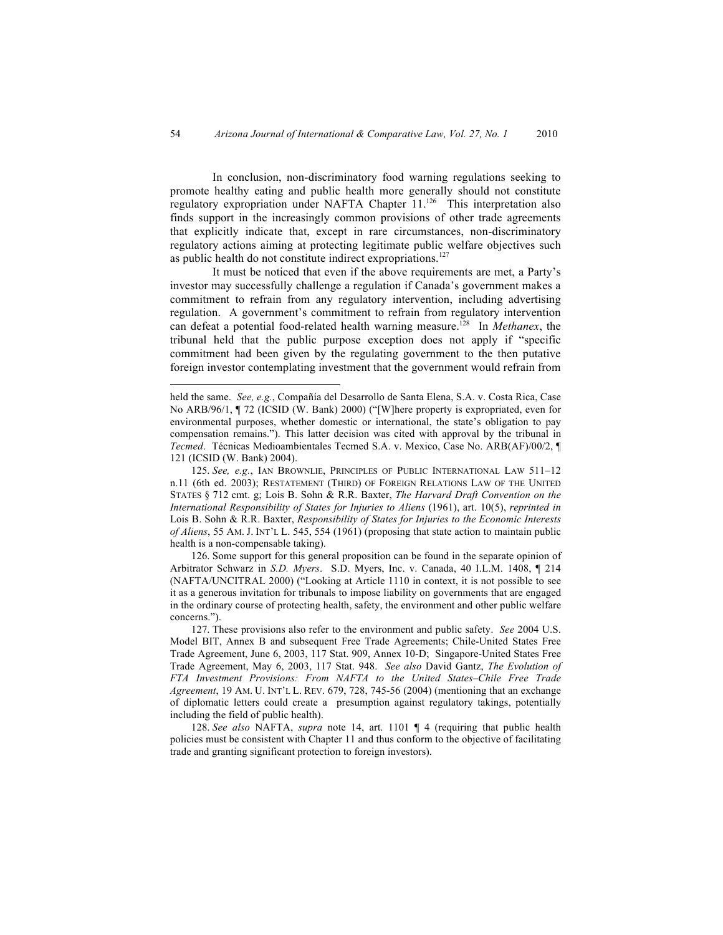In conclusion, non-discriminatory food warning regulations seeking to promote healthy eating and public health more generally should not constitute regulatory expropriation under NAFTA Chapter 11.<sup>126</sup> This interpretation also finds support in the increasingly common provisions of other trade agreements that explicitly indicate that, except in rare circumstances, non-discriminatory regulatory actions aiming at protecting legitimate public welfare objectives such as public health do not constitute indirect expropriations.<sup>127</sup>

It must be noticed that even if the above requirements are met, a Party's investor may successfully challenge a regulation if Canada's government makes a commitment to refrain from any regulatory intervention, including advertising regulation. A government's commitment to refrain from regulatory intervention can defeat a potential food-related health warning measure.128 In *Methanex*, the tribunal held that the public purpose exception does not apply if "specific commitment had been given by the regulating government to the then putative foreign investor contemplating investment that the government would refrain from

126. Some support for this general proposition can be found in the separate opinion of Arbitrator Schwarz in *S.D. Myers*. S.D. Myers, Inc. v. Canada, 40 I.L.M. 1408, ¶ 214 (NAFTA/UNCITRAL 2000) ("Looking at Article 1110 in context, it is not possible to see it as a generous invitation for tribunals to impose liability on governments that are engaged in the ordinary course of protecting health, safety, the environment and other public welfare concerns.").

held the same. *See, e.g.*, Compañía del Desarrollo de Santa Elena, S.A. v. Costa Rica, Case No ARB/96/1, ¶ 72 (ICSID (W. Bank) 2000) ("[W]here property is expropriated, even for environmental purposes, whether domestic or international, the state's obligation to pay compensation remains."). This latter decision was cited with approval by the tribunal in *Tecmed*. Técnicas Medioambientales Tecmed S.A. v. Mexico, Case No. ARB(AF)/00/2, ¶ 121 (ICSID (W. Bank) 2004).

<sup>125.</sup> *See, e.g.*, IAN BROWNLIE, PRINCIPLES OF PUBLIC INTERNATIONAL LAW 511–12 n.11 (6th ed. 2003); RESTATEMENT (THIRD) OF FOREIGN RELATIONS LAW OF THE UNITED STATES § 712 cmt. g; Lois B. Sohn & R.R. Baxter, *The Harvard Draft Convention on the International Responsibility of States for Injuries to Aliens* (1961), art. 10(5), *reprinted in* Lois B. Sohn & R.R. Baxter, *Responsibility of States for Injuries to the Economic Interests of Aliens*, 55 AM. J. INT'L L. 545, 554 (1961) (proposing that state action to maintain public health is a non-compensable taking).

<sup>127.</sup> These provisions also refer to the environment and public safety. *See* 2004 U.S. Model BIT, Annex B and subsequent Free Trade Agreements; Chile-United States Free Trade Agreement, June 6, 2003, 117 Stat. 909, Annex 10-D; Singapore-United States Free Trade Agreement, May 6, 2003, 117 Stat. 948. *See also* David Gantz, *The Evolution of FTA Investment Provisions: From NAFTA to the United States–Chile Free Trade Agreement*, 19 AM. U. INT'L L. REV. 679, 728, 745-56 (2004) (mentioning that an exchange of diplomatic letters could create a presumption against regulatory takings, potentially including the field of public health).

<sup>128.</sup> *See also* NAFTA, *supra* note 14, art. 1101 ¶ 4 (requiring that public health policies must be consistent with Chapter 11 and thus conform to the objective of facilitating trade and granting significant protection to foreign investors).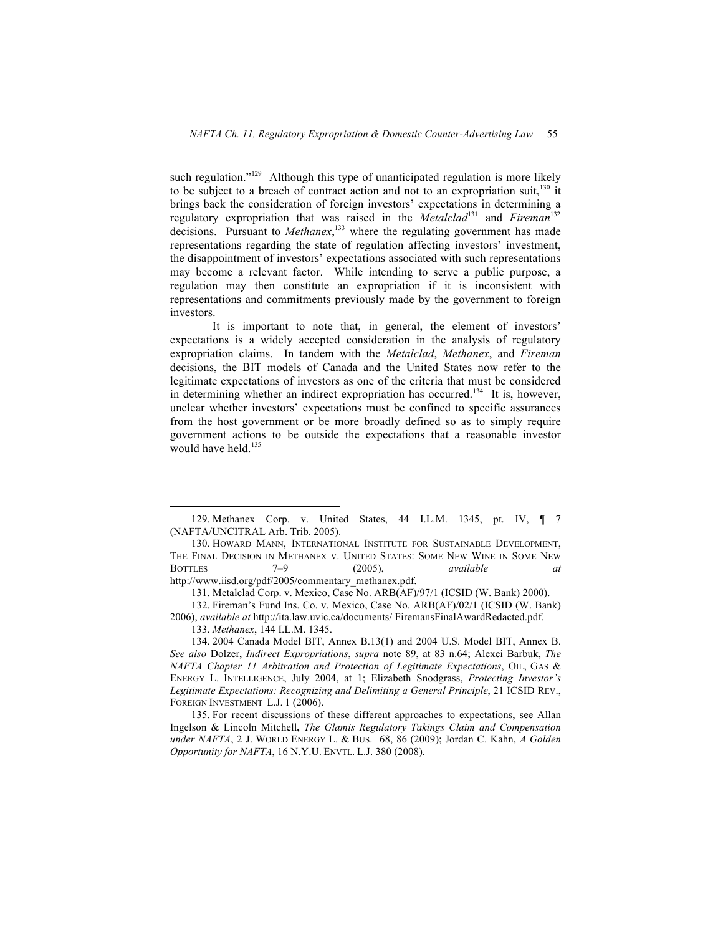such regulation."<sup>129</sup> Although this type of unanticipated regulation is more likely to be subject to a breach of contract action and not to an expropriation suit, $130$  it brings back the consideration of foreign investors' expectations in determining a regulatory expropriation that was raised in the *Metalclad*131 and *Fireman*<sup>132</sup> decisions. Pursuant to *Methanex*, 133 where the regulating government has made representations regarding the state of regulation affecting investors' investment, the disappointment of investors' expectations associated with such representations may become a relevant factor. While intending to serve a public purpose, a regulation may then constitute an expropriation if it is inconsistent with representations and commitments previously made by the government to foreign investors.

It is important to note that, in general, the element of investors' expectations is a widely accepted consideration in the analysis of regulatory expropriation claims. In tandem with the *Metalclad*, *Methanex*, and *Fireman* decisions, the BIT models of Canada and the United States now refer to the legitimate expectations of investors as one of the criteria that must be considered in determining whether an indirect expropriation has occurred.<sup>134</sup> It is, however, unclear whether investors' expectations must be confined to specific assurances from the host government or be more broadly defined so as to simply require government actions to be outside the expectations that a reasonable investor would have held.<sup>135</sup>

http://www.iisd.org/pdf/2005/commentary\_methanex.pdf.

131. Metalclad Corp. v. Mexico, Case No. ARB(AF)/97/1 (ICSID (W. Bank) 2000).

 <sup>129.</sup> Methanex Corp. v. United States, 44 I.L.M. 1345, pt. IV, ¶ 7 (NAFTA/UNCITRAL Arb. Trib. 2005).

<sup>130.</sup> HOWARD MANN, INTERNATIONAL INSTITUTE FOR SUSTAINABLE DEVELOPMENT, THE FINAL DECISION IN METHANEX V. UNITED STATES: SOME NEW WINE IN SOME NEW BOTTLES 7–9 (2005), *available at*

<sup>132.</sup> Fireman's Fund Ins. Co. v. Mexico, Case No. ARB(AF)/02/1 (ICSID (W. Bank) 2006), *available at* http://ita.law.uvic.ca/documents/ FiremansFinalAwardRedacted.pdf.

<sup>133.</sup> *Methanex*, 144 I.L.M. 1345.

<sup>134.</sup> 2004 Canada Model BIT, Annex B.13(1) and 2004 U.S. Model BIT, Annex B. *See also* Dolzer, *Indirect Expropriations*, *supra* note 89, at 83 n.64; Alexei Barbuk, *The NAFTA Chapter 11 Arbitration and Protection of Legitimate Expectations*, OIL, GAS & ENERGY L. INTELLIGENCE, July 2004, at 1; Elizabeth Snodgrass, *Protecting Investor's Legitimate Expectations: Recognizing and Delimiting a General Principle*, 21 ICSID REV., FOREIGN INVESTMENT L.J. 1 (2006).

<sup>135.</sup> For recent discussions of these different approaches to expectations, see Allan Ingelson & Lincoln Mitchell**,** *The Glamis Regulatory Takings Claim and Compensation under NAFTA*, 2 J. WORLD ENERGY L. & BUS. 68, 86 (2009); Jordan C. Kahn, *A Golden Opportunity for NAFTA*, 16 N.Y.U. ENVTL. L.J. 380 (2008).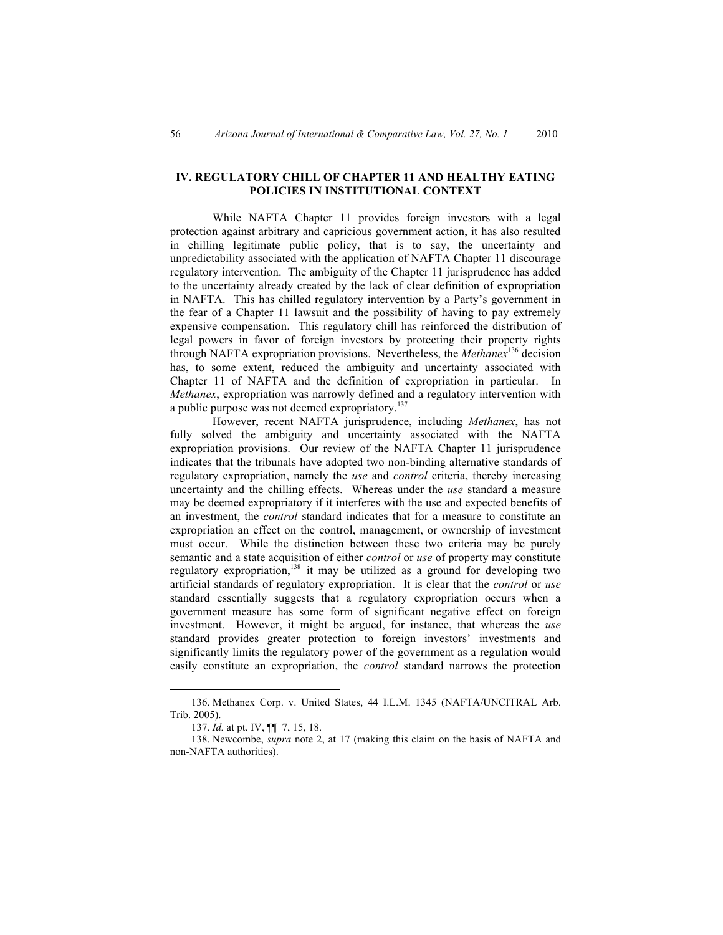## **IV. REGULATORY CHILL OF CHAPTER 11 AND HEALTHY EATING POLICIES IN INSTITUTIONAL CONTEXT**

While NAFTA Chapter 11 provides foreign investors with a legal protection against arbitrary and capricious government action, it has also resulted in chilling legitimate public policy, that is to say, the uncertainty and unpredictability associated with the application of NAFTA Chapter 11 discourage regulatory intervention. The ambiguity of the Chapter 11 jurisprudence has added to the uncertainty already created by the lack of clear definition of expropriation in NAFTA. This has chilled regulatory intervention by a Party's government in the fear of a Chapter 11 lawsuit and the possibility of having to pay extremely expensive compensation. This regulatory chill has reinforced the distribution of legal powers in favor of foreign investors by protecting their property rights through NAFTA expropriation provisions. Nevertheless, the *Methanex*136 decision has, to some extent, reduced the ambiguity and uncertainty associated with Chapter 11 of NAFTA and the definition of expropriation in particular. In *Methanex*, expropriation was narrowly defined and a regulatory intervention with a public purpose was not deemed expropriatory.<sup>137</sup>

However, recent NAFTA jurisprudence, including *Methanex*, has not fully solved the ambiguity and uncertainty associated with the NAFTA expropriation provisions. Our review of the NAFTA Chapter 11 jurisprudence indicates that the tribunals have adopted two non-binding alternative standards of regulatory expropriation, namely the *use* and *control* criteria, thereby increasing uncertainty and the chilling effects. Whereas under the *use* standard a measure may be deemed expropriatory if it interferes with the use and expected benefits of an investment, the *control* standard indicates that for a measure to constitute an expropriation an effect on the control, management, or ownership of investment must occur. While the distinction between these two criteria may be purely semantic and a state acquisition of either *control* or *use* of property may constitute regulatory expropriation,<sup>138</sup> it may be utilized as a ground for developing two artificial standards of regulatory expropriation. It is clear that the *control* or *use* standard essentially suggests that a regulatory expropriation occurs when a government measure has some form of significant negative effect on foreign investment. However, it might be argued, for instance, that whereas the *use* standard provides greater protection to foreign investors' investments and significantly limits the regulatory power of the government as a regulation would easily constitute an expropriation, the *control* standard narrows the protection

 <sup>136.</sup> Methanex Corp. v. United States, 44 I.L.M. 1345 (NAFTA/UNCITRAL Arb. Trib. 2005).

<sup>137.</sup> *Id.* at pt. IV, ¶¶ 7, 15, 18.

<sup>138.</sup> Newcombe, *supra* note 2, at 17 (making this claim on the basis of NAFTA and non-NAFTA authorities).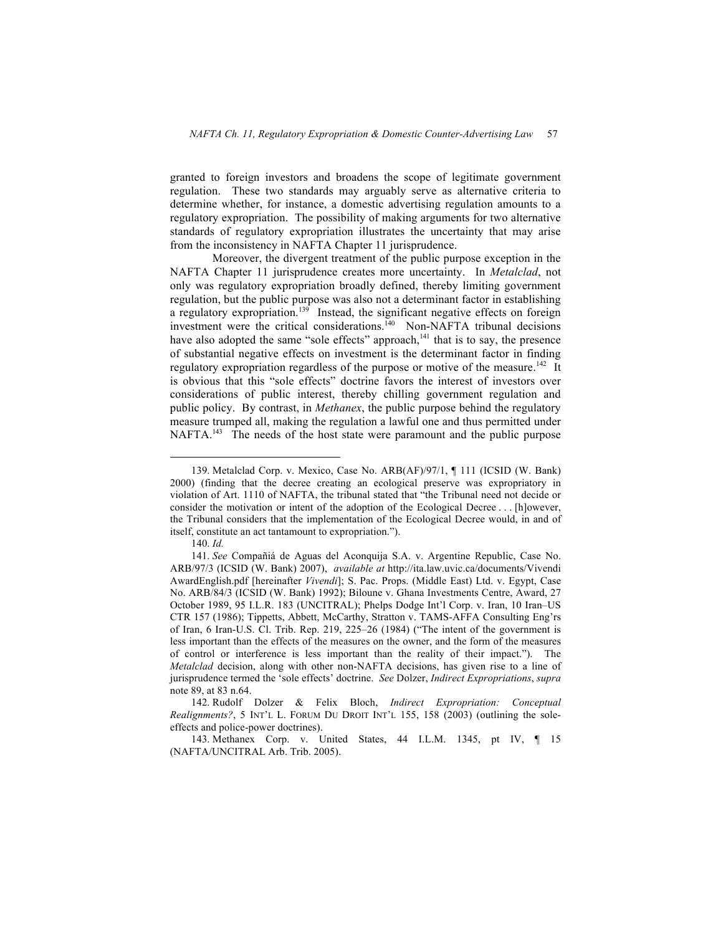granted to foreign investors and broadens the scope of legitimate government regulation. These two standards may arguably serve as alternative criteria to determine whether, for instance, a domestic advertising regulation amounts to a regulatory expropriation. The possibility of making arguments for two alternative standards of regulatory expropriation illustrates the uncertainty that may arise from the inconsistency in NAFTA Chapter 11 jurisprudence.

Moreover, the divergent treatment of the public purpose exception in the NAFTA Chapter 11 jurisprudence creates more uncertainty. In *Metalclad*, not only was regulatory expropriation broadly defined, thereby limiting government regulation, but the public purpose was also not a determinant factor in establishing a regulatory expropriation.<sup>139</sup> Instead, the significant negative effects on foreign investment were the critical considerations.<sup>140</sup> Non-NAFTA tribunal decisions have also adopted the same "sole effects" approach, $141$  that is to say, the presence of substantial negative effects on investment is the determinant factor in finding regulatory expropriation regardless of the purpose or motive of the measure.<sup>142</sup> It is obvious that this "sole effects" doctrine favors the interest of investors over considerations of public interest, thereby chilling government regulation and public policy. By contrast, in *Methanex*, the public purpose behind the regulatory measure trumped all, making the regulation a lawful one and thus permitted under NAFTA.<sup>143</sup> The needs of the host state were paramount and the public purpose

140. *Id.*

 <sup>139.</sup> Metalclad Corp. v. Mexico, Case No. ARB(AF)/97/1, ¶ 111 (ICSID (W. Bank) 2000) (finding that the decree creating an ecological preserve was expropriatory in violation of Art. 1110 of NAFTA, the tribunal stated that "the Tribunal need not decide or consider the motivation or intent of the adoption of the Ecological Decree . . . [h]owever, the Tribunal considers that the implementation of the Ecological Decree would, in and of itself, constitute an act tantamount to expropriation.").

<sup>141.</sup> *See* Compañiá de Aguas del Aconquija S.A. v. Argentine Republic, Case No. ARB/97/3 (ICSID (W. Bank) 2007), *available at* http://ita.law.uvic.ca/documents/Vivendi AwardEnglish.pdf [hereinafter *Vivendi*]; S. Pac. Props. (Middle East) Ltd. v. Egypt, Case No. ARB/84/3 (ICSID (W. Bank) 1992); Biloune v. Ghana Investments Centre, Award, 27 October 1989, 95 I.L.R. 183 (UNCITRAL); Phelps Dodge Int'l Corp. v. Iran, 10 Iran–US CTR 157 (1986); Tippetts, Abbett, McCarthy, Stratton v. TAMS-AFFA Consulting Eng'rs of Iran, 6 Iran-U.S. Cl. Trib. Rep. 219, 225–26 (1984) ("The intent of the government is less important than the effects of the measures on the owner, and the form of the measures of control or interference is less important than the reality of their impact."). The *Metalclad* decision, along with other non-NAFTA decisions, has given rise to a line of jurisprudence termed the 'sole effects' doctrine. *See* Dolzer, *Indirect Expropriations*, *supra*  note 89, at 83 n.64.

<sup>142.</sup> Rudolf Dolzer & Felix Bloch, *Indirect Expropriation: Conceptual Realignments?*, 5 INT'L L. FORUM DU DROIT INT'L 155, 158 (2003) (outlining the soleeffects and police-power doctrines).

<sup>143.</sup> Methanex Corp. v. United States, 44 I.L.M. 1345, pt IV, ¶ 15 (NAFTA/UNCITRAL Arb. Trib. 2005).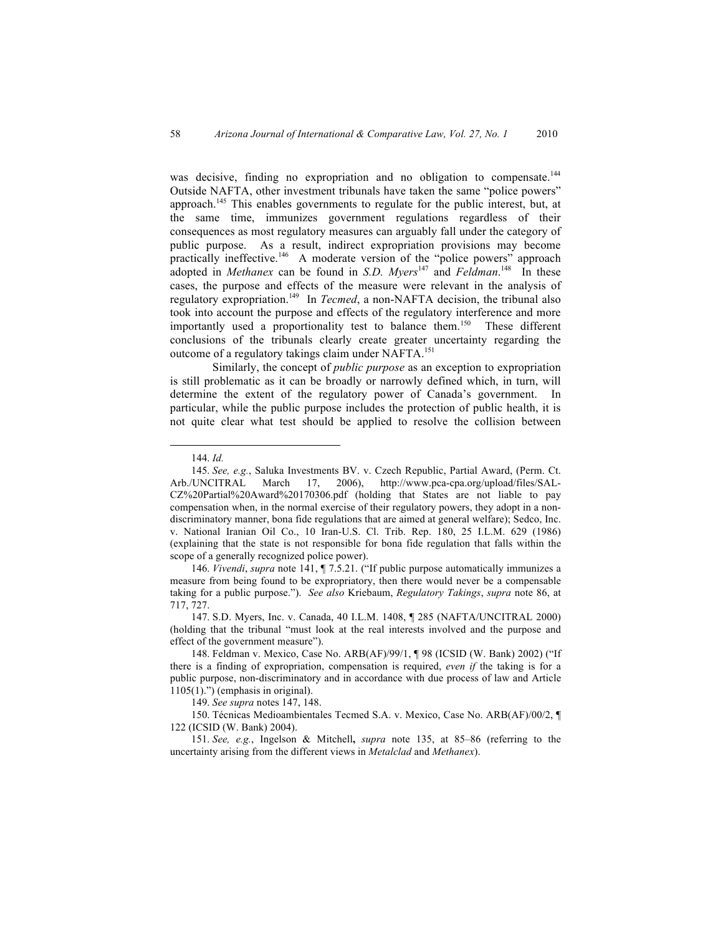was decisive, finding no expropriation and no obligation to compensate.<sup>144</sup> Outside NAFTA, other investment tribunals have taken the same "police powers" approach.145 This enables governments to regulate for the public interest, but, at the same time, immunizes government regulations regardless of their consequences as most regulatory measures can arguably fall under the category of public purpose. As a result, indirect expropriation provisions may become practically ineffective.<sup>146</sup> A moderate version of the "police powers" approach adopted in *Methanex* can be found in *S.D. Myers*<sup>147</sup> and *Feldman*.<sup>148</sup> In these cases, the purpose and effects of the measure were relevant in the analysis of regulatory expropriation.149 In *Tecmed*, a non-NAFTA decision, the tribunal also took into account the purpose and effects of the regulatory interference and more importantly used a proportionality test to balance them.<sup>150</sup> These different conclusions of the tribunals clearly create greater uncertainty regarding the outcome of a regulatory takings claim under NAFTA.<sup>151</sup>

Similarly, the concept of *public purpose* as an exception to expropriation is still problematic as it can be broadly or narrowly defined which, in turn, will determine the extent of the regulatory power of Canada's government. In particular, while the public purpose includes the protection of public health, it is not quite clear what test should be applied to resolve the collision between

146. *Vivendi*, *supra* note 141, ¶ 7.5.21. ("If public purpose automatically immunizes a measure from being found to be expropriatory, then there would never be a compensable taking for a public purpose."). *See also* Kriebaum, *Regulatory Takings*, *supra* note 86, at 717, 727.

147. S.D. Myers, Inc. v. Canada, 40 I.L.M. 1408, ¶ 285 (NAFTA/UNCITRAL 2000) (holding that the tribunal "must look at the real interests involved and the purpose and effect of the government measure").

149. *See supra* notes 147, 148.

150. Técnicas Medioambientales Tecmed S.A. v. Mexico, Case No. ARB(AF)/00/2, ¶ 122 (ICSID (W. Bank) 2004).

151. *See, e.g.*, Ingelson & Mitchell**,** *supra* note 135, at 85–86 (referring to the uncertainty arising from the different views in *Metalclad* and *Methanex*).

 <sup>144.</sup> *Id.*

<sup>145.</sup> *See, e.g.*, Saluka Investments BV. v. Czech Republic, Partial Award, (Perm. Ct. Arb./UNCITRAL March 17, 2006), http://www.pca-cpa.org/upload/files/SAL-CZ%20Partial%20Award%20170306.pdf (holding that States are not liable to pay compensation when, in the normal exercise of their regulatory powers, they adopt in a nondiscriminatory manner, bona fide regulations that are aimed at general welfare); Sedco, Inc. v. National Iranian Oil Co., 10 Iran-U.S. Cl. Trib. Rep. 180, 25 I.L.M. 629 (1986) (explaining that the state is not responsible for bona fide regulation that falls within the scope of a generally recognized police power).

<sup>148.</sup> Feldman v. Mexico, Case No. ARB(AF)/99/1, ¶ 98 (ICSID (W. Bank) 2002) ("If there is a finding of expropriation, compensation is required, *even if* the taking is for a public purpose, non-discriminatory and in accordance with due process of law and Article  $1105(1)$ .") (emphasis in original).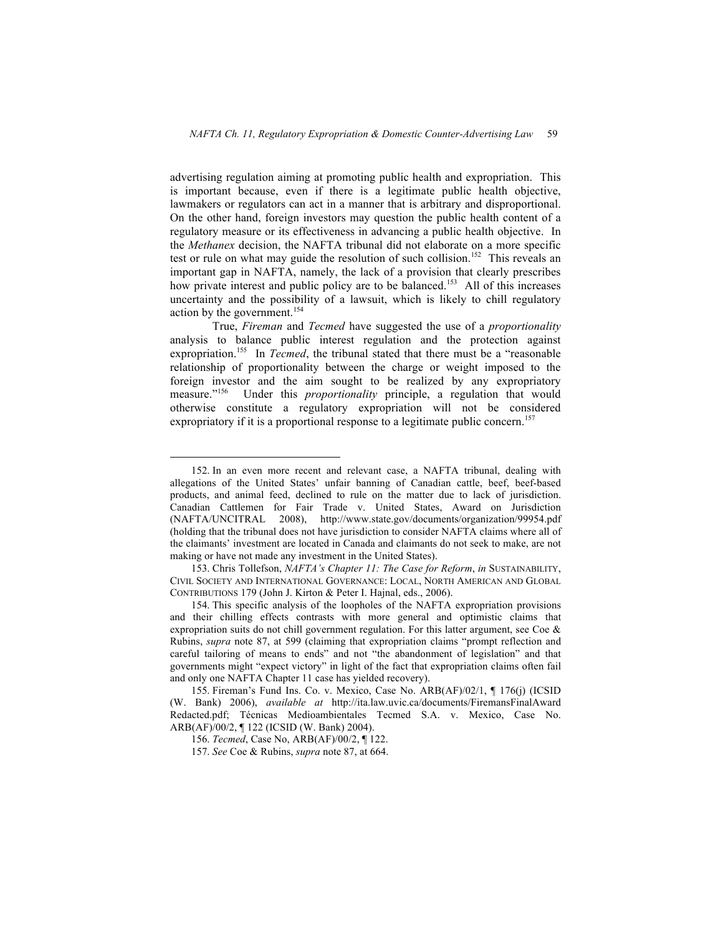advertising regulation aiming at promoting public health and expropriation. This is important because, even if there is a legitimate public health objective, lawmakers or regulators can act in a manner that is arbitrary and disproportional. On the other hand, foreign investors may question the public health content of a regulatory measure or its effectiveness in advancing a public health objective. In the *Methanex* decision, the NAFTA tribunal did not elaborate on a more specific test or rule on what may guide the resolution of such collision.<sup>152</sup> This reveals an important gap in NAFTA, namely, the lack of a provision that clearly prescribes how private interest and public policy are to be balanced.<sup>153</sup> All of this increases uncertainty and the possibility of a lawsuit, which is likely to chill regulatory action by the government.<sup>154</sup>

True, *Fireman* and *Tecmed* have suggested the use of a *proportionality* analysis to balance public interest regulation and the protection against expropriation. 155 In *Tecmed*, the tribunal stated that there must be a "reasonable relationship of proportionality between the charge or weight imposed to the foreign investor and the aim sought to be realized by any expropriatory measure."<sup>156</sup> Under this *proportionality* principle, a regulation that would otherwise constitute a regulatory expropriation will not be considered expropriatory if it is a proportional response to a legitimate public concern.<sup>157</sup>

 <sup>152.</sup> In an even more recent and relevant case, a NAFTA tribunal, dealing with allegations of the United States' unfair banning of Canadian cattle, beef, beef-based products, and animal feed, declined to rule on the matter due to lack of jurisdiction. Canadian Cattlemen for Fair Trade v. United States, Award on Jurisdiction (NAFTA/UNCITRAL 2008), http://www.state.gov/documents/organization/99954.pdf (holding that the tribunal does not have jurisdiction to consider NAFTA claims where all of the claimants' investment are located in Canada and claimants do not seek to make, are not making or have not made any investment in the United States).

<sup>153.</sup> Chris Tollefson, *NAFTA's Chapter 11: The Case for Reform*, *in* SUSTAINABILITY, CIVIL SOCIETY AND INTERNATIONAL GOVERNANCE: LOCAL, NORTH AMERICAN AND GLOBAL CONTRIBUTIONS 179 (John J. Kirton & Peter I. Hajnal, eds., 2006).

<sup>154.</sup> This specific analysis of the loopholes of the NAFTA expropriation provisions and their chilling effects contrasts with more general and optimistic claims that expropriation suits do not chill government regulation. For this latter argument, see Coe & Rubins, *supra* note 87, at 599 (claiming that expropriation claims "prompt reflection and careful tailoring of means to ends" and not "the abandonment of legislation" and that governments might "expect victory" in light of the fact that expropriation claims often fail and only one NAFTA Chapter 11 case has yielded recovery).

<sup>155.</sup> Fireman's Fund Ins. Co. v. Mexico, Case No. ARB(AF)/02/1, ¶ 176(j) (ICSID (W. Bank) 2006), *available at* http://ita.law.uvic.ca/documents/FiremansFinalAward Redacted.pdf; Técnicas Medioambientales Tecmed S.A. v. Mexico, Case No. ARB(AF)/00/2, ¶ 122 (ICSID (W. Bank) 2004).

<sup>156.</sup> *Tecmed*, Case No, ARB(AF)/00/2, ¶ 122.

<sup>157.</sup> *See* Coe & Rubins, *supra* note 87, at 664.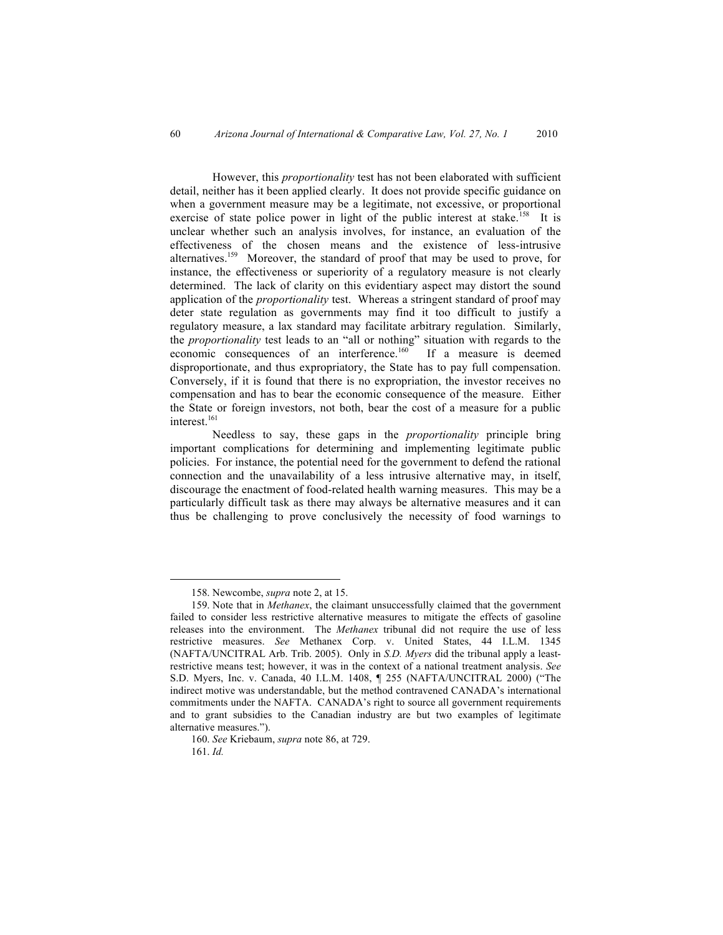However, this *proportionality* test has not been elaborated with sufficient detail, neither has it been applied clearly. It does not provide specific guidance on when a government measure may be a legitimate, not excessive, or proportional exercise of state police power in light of the public interest at stake.<sup>158</sup> It is unclear whether such an analysis involves, for instance, an evaluation of the effectiveness of the chosen means and the existence of less-intrusive alternatives.159 Moreover, the standard of proof that may be used to prove, for instance, the effectiveness or superiority of a regulatory measure is not clearly determined. The lack of clarity on this evidentiary aspect may distort the sound application of the *proportionality* test. Whereas a stringent standard of proof may deter state regulation as governments may find it too difficult to justify a regulatory measure, a lax standard may facilitate arbitrary regulation. Similarly, the *proportionality* test leads to an "all or nothing" situation with regards to the economic consequences of an interference.<sup>160</sup> If a measure is deemed disproportionate, and thus expropriatory, the State has to pay full compensation. Conversely, if it is found that there is no expropriation, the investor receives no compensation and has to bear the economic consequence of the measure. Either the State or foreign investors, not both, bear the cost of a measure for a public interest.<sup>161</sup>

Needless to say, these gaps in the *proportionality* principle bring important complications for determining and implementing legitimate public policies. For instance, the potential need for the government to defend the rational connection and the unavailability of a less intrusive alternative may, in itself, discourage the enactment of food-related health warning measures. This may be a particularly difficult task as there may always be alternative measures and it can thus be challenging to prove conclusively the necessity of food warnings to

 <sup>158.</sup> Newcombe, *supra* note 2, at 15.

<sup>159.</sup> Note that in *Methanex*, the claimant unsuccessfully claimed that the government failed to consider less restrictive alternative measures to mitigate the effects of gasoline releases into the environment. The *Methanex* tribunal did not require the use of less restrictive measures. *See* Methanex Corp. v. United States, 44 I.L.M. 1345 (NAFTA/UNCITRAL Arb. Trib. 2005). Only in *S.D. Myers* did the tribunal apply a leastrestrictive means test; however, it was in the context of a national treatment analysis. *See*  S.D. Myers, Inc. v. Canada, 40 I.L.M. 1408, ¶ 255 (NAFTA/UNCITRAL 2000) ("The indirect motive was understandable, but the method contravened CANADA's international commitments under the NAFTA. CANADA's right to source all government requirements and to grant subsidies to the Canadian industry are but two examples of legitimate alternative measures.").

<sup>160.</sup> *See* Kriebaum, *supra* note 86, at 729.

<sup>161.</sup> *Id.*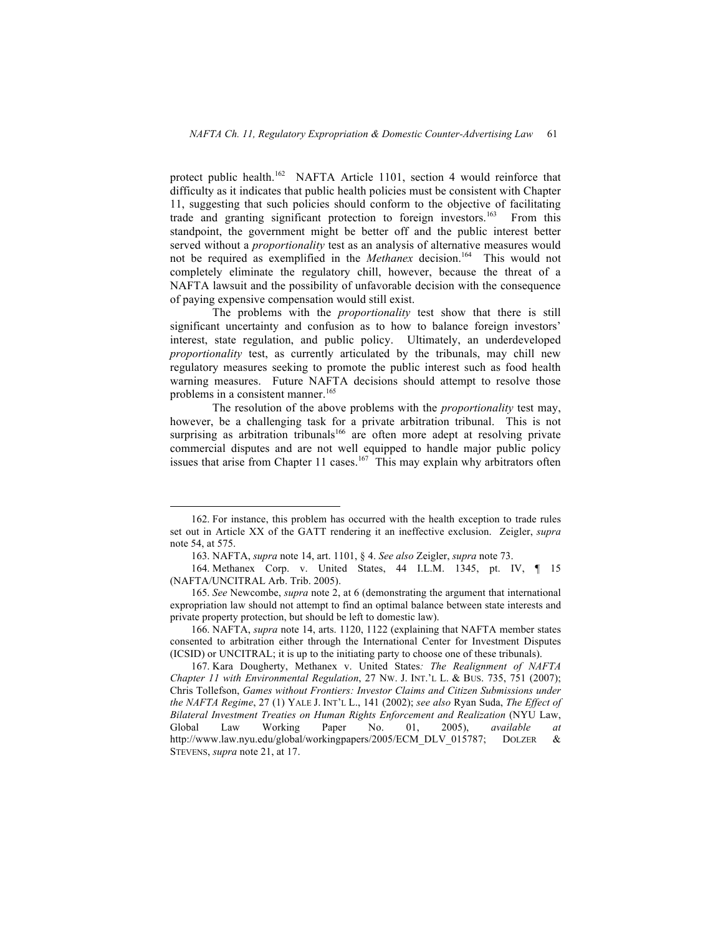protect public health.<sup>162</sup> NAFTA Article 1101, section 4 would reinforce that difficulty as it indicates that public health policies must be consistent with Chapter 11, suggesting that such policies should conform to the objective of facilitating trade and granting significant protection to foreign investors.<sup>163</sup> From this standpoint, the government might be better off and the public interest better served without a *proportionality* test as an analysis of alternative measures would not be required as exemplified in the *Methanex* decision. 164 This would not completely eliminate the regulatory chill, however, because the threat of a NAFTA lawsuit and the possibility of unfavorable decision with the consequence of paying expensive compensation would still exist.

The problems with the *proportionality* test show that there is still significant uncertainty and confusion as to how to balance foreign investors' interest, state regulation, and public policy. Ultimately, an underdeveloped *proportionality* test, as currently articulated by the tribunals, may chill new regulatory measures seeking to promote the public interest such as food health warning measures. Future NAFTA decisions should attempt to resolve those problems in a consistent manner.<sup>165</sup>

The resolution of the above problems with the *proportionality* test may, however, be a challenging task for a private arbitration tribunal. This is not surprising as arbitration tribunals<sup>166</sup> are often more adept at resolving private commercial disputes and are not well equipped to handle major public policy issues that arise from Chapter 11 cases.<sup>167</sup> This may explain why arbitrators often

 <sup>162.</sup> For instance, this problem has occurred with the health exception to trade rules set out in Article XX of the GATT rendering it an ineffective exclusion. Zeigler, *supra* note 54, at 575.

<sup>163.</sup> NAFTA, *supra* note 14, art. 1101, § 4. *See also* Zeigler, *supra* note 73.

<sup>164.</sup> Methanex Corp. v. United States, 44 I.L.M. 1345, pt. IV, ¶ 15 (NAFTA/UNCITRAL Arb. Trib. 2005).

<sup>165.</sup> *See* Newcombe, *supra* note 2, at 6 (demonstrating the argument that international expropriation law should not attempt to find an optimal balance between state interests and private property protection, but should be left to domestic law).

<sup>166.</sup> NAFTA, *supra* note 14, arts. 1120, 1122 (explaining that NAFTA member states consented to arbitration either through the International Center for Investment Disputes (ICSID) or UNCITRAL; it is up to the initiating party to choose one of these tribunals).

<sup>167.</sup> Kara Dougherty, Methanex v. United States*: The Realignment of NAFTA Chapter 11 with Environmental Regulation*, 27 NW. J. INT.'L L. & BUS. 735, 751 (2007); Chris Tollefson, *Games without Frontiers: Investor Claims and Citizen Submissions under the NAFTA Regime*, 27 (1) YALE J. INT'L L., 141 (2002); *see also* Ryan Suda, *The Effect of Bilateral Investment Treaties on Human Rights Enforcement and Realization* (NYU Law, Global Law Working Paper No. 01, 2005), *available at*  http://www.law.nyu.edu/global/workingpapers/2005/ECM\_DLV\_015787; DOLZER & STEVENS, *supra* note 21, at 17.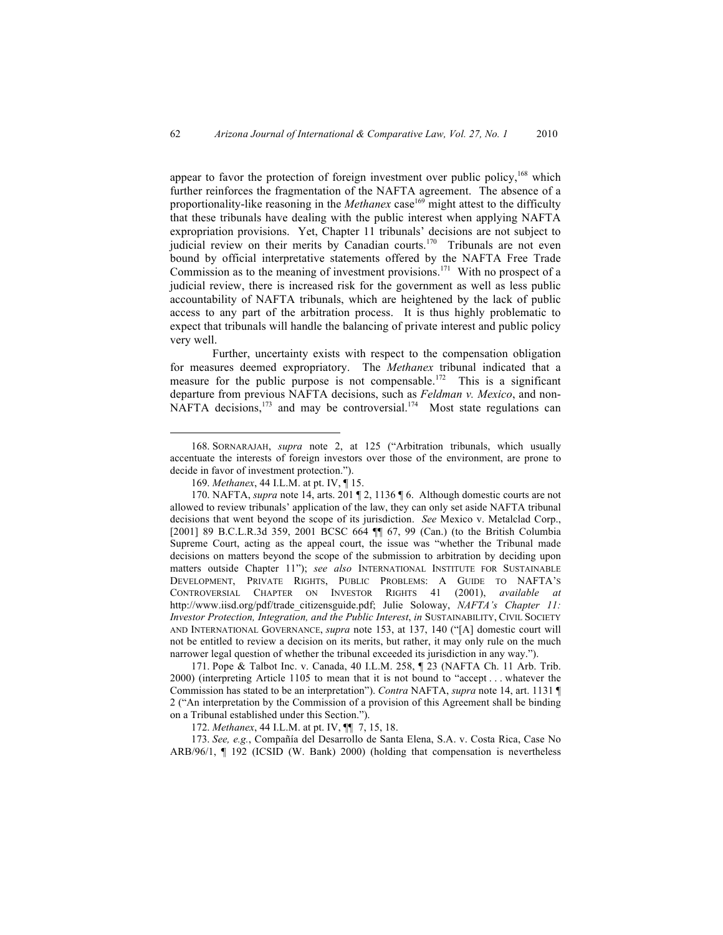appear to favor the protection of foreign investment over public policy,<sup>168</sup> which further reinforces the fragmentation of the NAFTA agreement. The absence of a proportionality-like reasoning in the *Methanex* case<sup>169</sup> might attest to the difficulty that these tribunals have dealing with the public interest when applying NAFTA expropriation provisions. Yet, Chapter 11 tribunals' decisions are not subject to judicial review on their merits by Canadian courts.<sup>170</sup> Tribunals are not even bound by official interpretative statements offered by the NAFTA Free Trade Commission as to the meaning of investment provisions.<sup>171</sup> With no prospect of a judicial review, there is increased risk for the government as well as less public accountability of NAFTA tribunals, which are heightened by the lack of public access to any part of the arbitration process. It is thus highly problematic to expect that tribunals will handle the balancing of private interest and public policy very well.

Further, uncertainty exists with respect to the compensation obligation for measures deemed expropriatory. The *Methanex* tribunal indicated that a measure for the public purpose is not compensable.<sup>172</sup> This is a significant departure from previous NAFTA decisions, such as *Feldman v. Mexico*, and non-NAFTA decisions,<sup>173</sup> and may be controversial.<sup>174</sup> Most state regulations can

171. Pope & Talbot Inc. v. Canada, 40 I.L.M. 258, ¶ 23 (NAFTA Ch. 11 Arb. Trib. 2000) (interpreting Article 1105 to mean that it is not bound to "accept . . . whatever the Commission has stated to be an interpretation"). *Contra* NAFTA, *supra* note 14, art. 1131 ¶ 2 ("An interpretation by the Commission of a provision of this Agreement shall be binding on a Tribunal established under this Section.").

172. *Methanex*, 44 I.L.M. at pt. IV, ¶¶ 7, 15, 18.

173. *See, e.g.*, Compañía del Desarrollo de Santa Elena, S.A. v. Costa Rica, Case No ARB/96/1, ¶ 192 (ICSID (W. Bank) 2000) (holding that compensation is nevertheless

 <sup>168.</sup> SORNARAJAH, *supra* note 2, at 125 ("Arbitration tribunals, which usually accentuate the interests of foreign investors over those of the environment, are prone to decide in favor of investment protection.").

<sup>169.</sup> *Methanex*, 44 I.L.M. at pt. IV, ¶ 15.

<sup>170.</sup> NAFTA, *supra* note 14, arts. 201 ¶ 2, 1136 ¶ 6. Although domestic courts are not allowed to review tribunals' application of the law, they can only set aside NAFTA tribunal decisions that went beyond the scope of its jurisdiction. *See* Mexico v. Metalclad Corp., [2001] 89 B.C.L.R.3d 359, 2001 BCSC 664 ¶¶ 67, 99 (Can.) (to the British Columbia Supreme Court, acting as the appeal court, the issue was "whether the Tribunal made decisions on matters beyond the scope of the submission to arbitration by deciding upon matters outside Chapter 11"); *see also* INTERNATIONAL INSTITUTE FOR SUSTAINABLE DEVELOPMENT, PRIVATE RIGHTS, PUBLIC PROBLEMS: A GUIDE TO NAFTA'S CONTROVERSIAL CHAPTER ON INVESTOR RIGHTS 41 (2001), *available at* http://www.iisd.org/pdf/trade\_citizensguide.pdf; Julie Soloway, *NAFTA's Chapter 11: Investor Protection, Integration, and the Public Interest*, *in* SUSTAINABILITY, CIVIL SOCIETY AND INTERNATIONAL GOVERNANCE, *supra* note 153, at 137, 140 ("[A] domestic court will not be entitled to review a decision on its merits, but rather, it may only rule on the much narrower legal question of whether the tribunal exceeded its jurisdiction in any way.").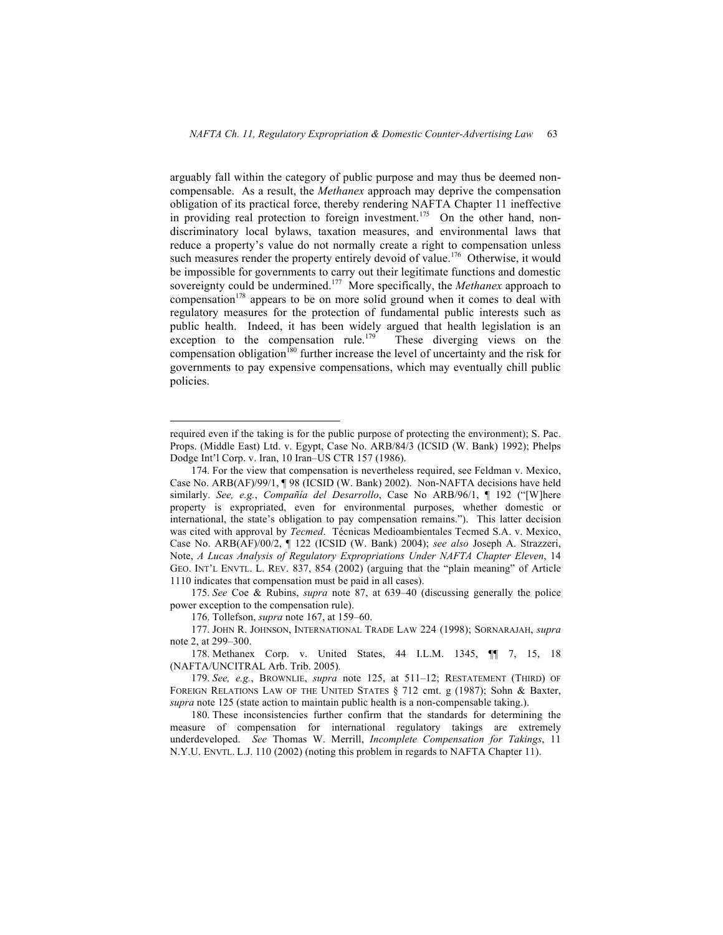arguably fall within the category of public purpose and may thus be deemed noncompensable. As a result, the *Methanex* approach may deprive the compensation obligation of its practical force, thereby rendering NAFTA Chapter 11 ineffective in providing real protection to foreign investment.<sup>175</sup> On the other hand, nondiscriminatory local bylaws, taxation measures, and environmental laws that reduce a property's value do not normally create a right to compensation unless such measures render the property entirely devoid of value.<sup>176</sup> Otherwise, it would be impossible for governments to carry out their legitimate functions and domestic sovereignty could be undermined.<sup>177</sup> More specifically, the *Methanex* approach to compensation<sup>178</sup> appears to be on more solid ground when it comes to deal with regulatory measures for the protection of fundamental public interests such as public health. Indeed, it has been widely argued that health legislation is an exception to the compensation rule.<sup>179</sup> These diverging views on the compensation obligation<sup>180</sup> further increase the level of uncertainty and the risk for governments to pay expensive compensations, which may eventually chill public policies.

175. *See* Coe & Rubins, *supra* note 87, at 639–40 (discussing generally the police power exception to the compensation rule).

176. Tollefson, *supra* note 167, at 159–60.

178. Methanex Corp. v. United States, 44 I.L.M. 1345, ¶¶ 7, 15, 18 (NAFTA/UNCITRAL Arb. Trib. 2005)*.*

179. *See, e.g.*, BROWNLIE, *supra* note 125, at 511–12; RESTATEMENT (THIRD) OF FOREIGN RELATIONS LAW OF THE UNITED STATES § 712 cmt. g (1987); Sohn & Baxter, *supra* note 125 (state action to maintain public health is a non-compensable taking.).

180. These inconsistencies further confirm that the standards for determining the measure of compensation for international regulatory takings are extremely underdeveloped. *See* Thomas W. Merrill, *Incomplete Compensation for Takings*, 11 N.Y.U. ENVTL. L.J. 110 (2002) (noting this problem in regards to NAFTA Chapter 11).

required even if the taking is for the public purpose of protecting the environment); S. Pac. Props. (Middle East) Ltd. v. Egypt, Case No. ARB/84/3 (ICSID (W. Bank) 1992); Phelps Dodge Int'l Corp. v. Iran, 10 Iran–US CTR 157 (1986).

<sup>174.</sup> For the view that compensation is nevertheless required, see Feldman v. Mexico, Case No. ARB(AF)/99/1, ¶ 98 (ICSID (W. Bank) 2002). Non-NAFTA decisions have held similarly. *See, e.g.*, *Compañía del Desarrollo*, Case No ARB/96/1, ¶ 192 ("[W]here property is expropriated, even for environmental purposes, whether domestic or international, the state's obligation to pay compensation remains."). This latter decision was cited with approval by *Tecmed*. Técnicas Medioambientales Tecmed S.A. v. Mexico, Case No. ARB(AF)/00/2, ¶ 122 (ICSID (W. Bank) 2004); *see also* Joseph A. Strazzeri, Note, *A Lucas Analysis of Regulatory Expropriations Under NAFTA Chapter Eleven*, 14 GEO. INT'L ENVTL. L. REV. 837, 854 (2002) (arguing that the "plain meaning" of Article 1110 indicates that compensation must be paid in all cases).

<sup>177.</sup> JOHN R. JOHNSON, INTERNATIONAL TRADE LAW 224 (1998); SORNARAJAH, *supra* note 2, at 299–300.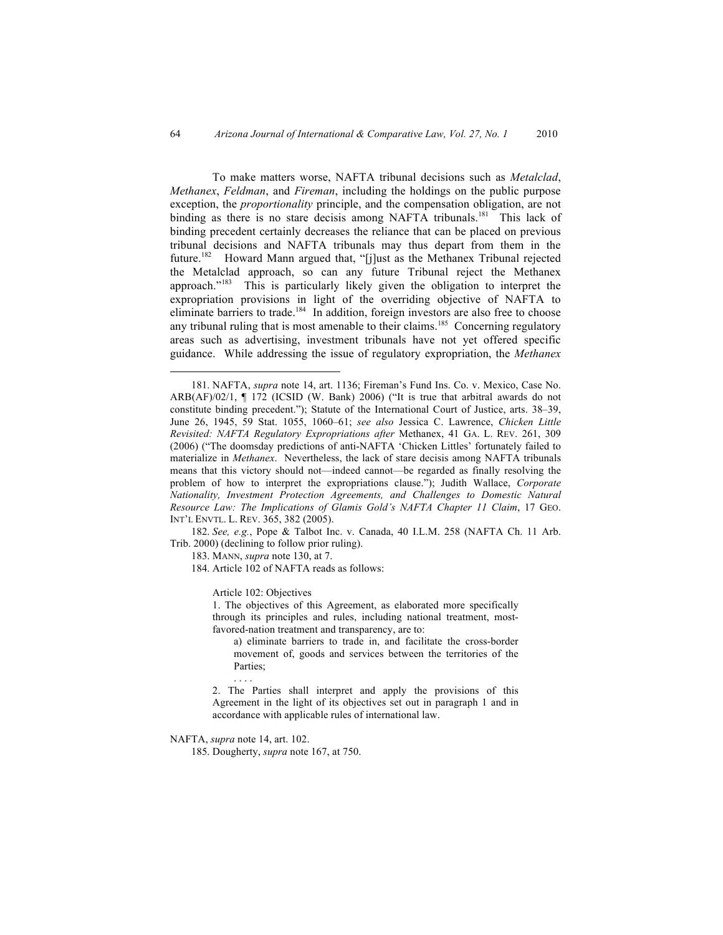To make matters worse, NAFTA tribunal decisions such as *Metalclad*, *Methanex*, *Feldman*, and *Fireman*, including the holdings on the public purpose exception, the *proportionality* principle, and the compensation obligation, are not binding as there is no stare decisis among NAFTA tribunals.<sup>181</sup> This lack of binding precedent certainly decreases the reliance that can be placed on previous tribunal decisions and NAFTA tribunals may thus depart from them in the future.<sup>182</sup> Howard Mann argued that, "[j]ust as the Methanex Tribunal rejected the Metalclad approach, so can any future Tribunal reject the Methanex approach."<sup>183</sup> This is particularly likely given the obligation to interpret the expropriation provisions in light of the overriding objective of NAFTA to eliminate barriers to trade.<sup>184</sup> In addition, foreign investors are also free to choose any tribunal ruling that is most amenable to their claims.<sup>185</sup> Concerning regulatory areas such as advertising, investment tribunals have not yet offered specific guidance. While addressing the issue of regulatory expropriation, the *Methanex*

182. *See, e.g.*, Pope & Talbot Inc. v. Canada, 40 I.L.M. 258 (NAFTA Ch. 11 Arb. Trib. 2000) (declining to follow prior ruling).

183. MANN, *supra* note 130, at 7.

184. Article 102 of NAFTA reads as follows:

Article 102: Objectives

1. The objectives of this Agreement, as elaborated more specifically through its principles and rules, including national treatment, mostfavored-nation treatment and transparency, are to:

a) eliminate barriers to trade in, and facilitate the cross-border movement of, goods and services between the territories of the Parties;

2. The Parties shall interpret and apply the provisions of this Agreement in the light of its objectives set out in paragraph 1 and in accordance with applicable rules of international law.

NAFTA, *supra* note 14, art. 102.

. . . .

185. Dougherty, *supra* note 167, at 750.

 <sup>181.</sup> NAFTA, *supra* note 14, art. 1136; Fireman's Fund Ins. Co. v. Mexico, Case No. ARB(AF)/02/1, ¶ 172 (ICSID (W. Bank) 2006) ("It is true that arbitral awards do not constitute binding precedent."); Statute of the International Court of Justice, arts. 38–39, June 26, 1945, 59 Stat. 1055, 1060–61; *see also* Jessica C. Lawrence, *Chicken Little Revisited: NAFTA Regulatory Expropriations after* Methanex, 41 GA. L. REV. 261, 309 (2006) ("The doomsday predictions of anti-NAFTA 'Chicken Littles' fortunately failed to materialize in *Methanex*. Nevertheless, the lack of stare decisis among NAFTA tribunals means that this victory should not—indeed cannot—be regarded as finally resolving the problem of how to interpret the expropriations clause."); Judith Wallace, *Corporate Nationality, Investment Protection Agreements, and Challenges to Domestic Natural Resource Law: The Implications of Glamis Gold's NAFTA Chapter 11 Claim*, 17 GEO. INT'L ENVTL. L. REV. 365, 382 (2005).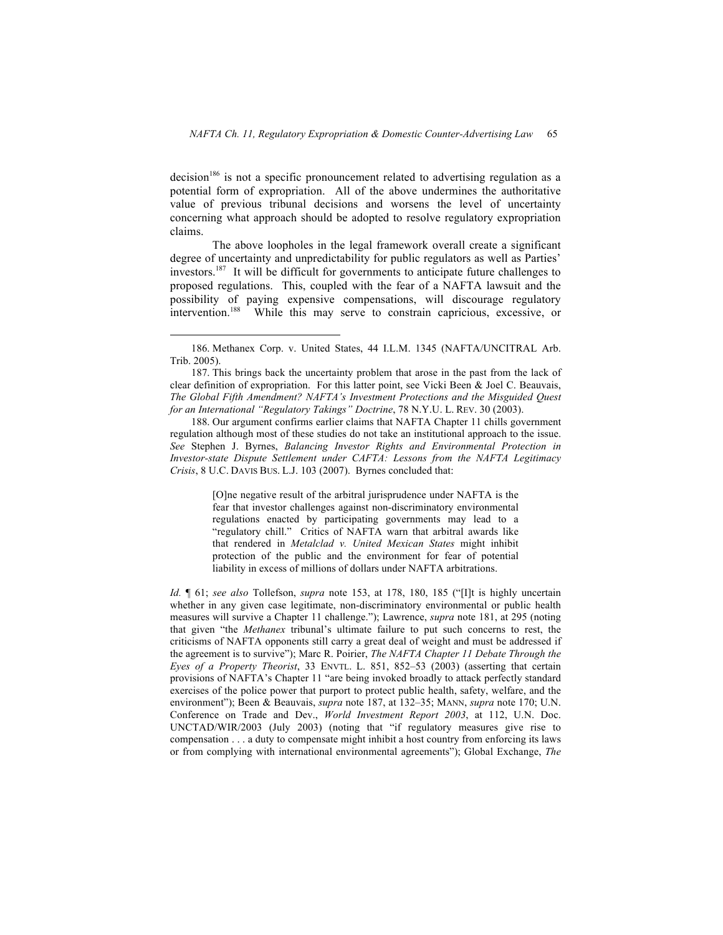decision<sup>186</sup> is not a specific pronouncement related to advertising regulation as a potential form of expropriation. All of the above undermines the authoritative value of previous tribunal decisions and worsens the level of uncertainty concerning what approach should be adopted to resolve regulatory expropriation claims.

The above loopholes in the legal framework overall create a significant degree of uncertainty and unpredictability for public regulators as well as Parties' investors.<sup>187</sup> It will be difficult for governments to anticipate future challenges to proposed regulations. This, coupled with the fear of a NAFTA lawsuit and the possibility of paying expensive compensations, will discourage regulatory intervention.<sup>188</sup> While this may serve to constrain capricious, excessive, or

188. Our argument confirms earlier claims that NAFTA Chapter 11 chills government regulation although most of these studies do not take an institutional approach to the issue. *See* Stephen J. Byrnes, *Balancing Investor Rights and Environmental Protection in Investor-state Dispute Settlement under CAFTA: Lessons from the NAFTA Legitimacy Crisis*, 8 U.C. DAVIS BUS. L.J. 103 (2007). Byrnes concluded that:

> [O]ne negative result of the arbitral jurisprudence under NAFTA is the fear that investor challenges against non-discriminatory environmental regulations enacted by participating governments may lead to a "regulatory chill." Critics of NAFTA warn that arbitral awards like that rendered in *Metalclad v. United Mexican States* might inhibit protection of the public and the environment for fear of potential liability in excess of millions of dollars under NAFTA arbitrations.

*Id.* ¶ 61; *see also* Tollefson, *supra* note 153, at 178, 180, 185 ("[I]t is highly uncertain whether in any given case legitimate, non-discriminatory environmental or public health measures will survive a Chapter 11 challenge."); Lawrence, *supra* note 181, at 295 (noting that given "the *Methanex* tribunal's ultimate failure to put such concerns to rest, the criticisms of NAFTA opponents still carry a great deal of weight and must be addressed if the agreement is to survive"); Marc R. Poirier, *The NAFTA Chapter 11 Debate Through the Eyes of a Property Theorist*, 33 ENVTL. L. 851, 852–53 (2003) (asserting that certain provisions of NAFTA's Chapter 11 "are being invoked broadly to attack perfectly standard exercises of the police power that purport to protect public health, safety, welfare, and the environment"); Been & Beauvais, *supra* note 187, at 132–35; MANN, *supra* note 170; U.N. Conference on Trade and Dev., *World Investment Report 2003*, at 112, U.N. Doc. UNCTAD/WIR/2003 (July 2003) (noting that "if regulatory measures give rise to compensation . . . a duty to compensate might inhibit a host country from enforcing its laws or from complying with international environmental agreements"); Global Exchange, *The* 

 <sup>186.</sup> Methanex Corp. v. United States, 44 I.L.M. 1345 (NAFTA/UNCITRAL Arb. Trib. 2005).

<sup>187.</sup> This brings back the uncertainty problem that arose in the past from the lack of clear definition of expropriation. For this latter point, see Vicki Been & Joel C. Beauvais, *The Global Fifth Amendment? NAFTA's Investment Protections and the Misguided Quest for an International "Regulatory Takings" Doctrine*, 78 N.Y.U. L. REV. 30 (2003).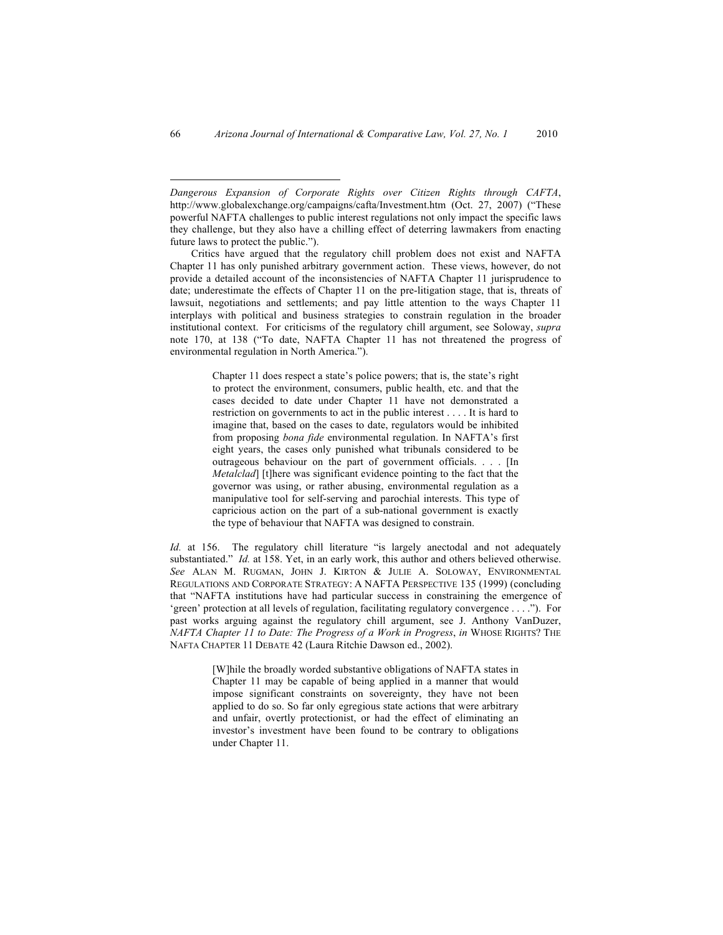Chapter 11 does respect a state's police powers; that is, the state's right to protect the environment, consumers, public health, etc. and that the cases decided to date under Chapter 11 have not demonstrated a restriction on governments to act in the public interest . . . . It is hard to imagine that, based on the cases to date, regulators would be inhibited from proposing *bona fide* environmental regulation. In NAFTA's first eight years, the cases only punished what tribunals considered to be outrageous behaviour on the part of government officials. . . . [In *Metalclad*] [t]here was significant evidence pointing to the fact that the governor was using, or rather abusing, environmental regulation as a manipulative tool for self-serving and parochial interests. This type of capricious action on the part of a sub-national government is exactly the type of behaviour that NAFTA was designed to constrain.

*Id.* at 156. The regulatory chill literature "is largely anectodal and not adequately substantiated." *Id.* at 158. Yet, in an early work, this author and others believed otherwise. *See* ALAN M. RUGMAN, JOHN J. KIRTON & JULIE A. SOLOWAY, ENVIRONMENTAL REGULATIONS AND CORPORATE STRATEGY: A NAFTA PERSPECTIVE 135 (1999) (concluding that "NAFTA institutions have had particular success in constraining the emergence of 'green' protection at all levels of regulation, facilitating regulatory convergence . . . ."). For past works arguing against the regulatory chill argument, see J. Anthony VanDuzer, *NAFTA Chapter 11 to Date: The Progress of a Work in Progress*, *in* WHOSE RIGHTS? THE NAFTA CHAPTER 11 DEBATE 42 (Laura Ritchie Dawson ed., 2002).

> [W]hile the broadly worded substantive obligations of NAFTA states in Chapter 11 may be capable of being applied in a manner that would impose significant constraints on sovereignty, they have not been applied to do so. So far only egregious state actions that were arbitrary and unfair, overtly protectionist, or had the effect of eliminating an investor's investment have been found to be contrary to obligations under Chapter 11.

 $\overline{a}$ 

*Dangerous Expansion of Corporate Rights over Citizen Rights through CAFTA*, http://www.globalexchange.org/campaigns/cafta/Investment.htm (Oct. 27, 2007) ("These powerful NAFTA challenges to public interest regulations not only impact the specific laws they challenge, but they also have a chilling effect of deterring lawmakers from enacting future laws to protect the public.").

Critics have argued that the regulatory chill problem does not exist and NAFTA Chapter 11 has only punished arbitrary government action. These views, however, do not provide a detailed account of the inconsistencies of NAFTA Chapter 11 jurisprudence to date; underestimate the effects of Chapter 11 on the pre-litigation stage, that is, threats of lawsuit, negotiations and settlements; and pay little attention to the ways Chapter 11 interplays with political and business strategies to constrain regulation in the broader institutional context. For criticisms of the regulatory chill argument, see Soloway, *supra* note 170, at 138 ("To date, NAFTA Chapter 11 has not threatened the progress of environmental regulation in North America.").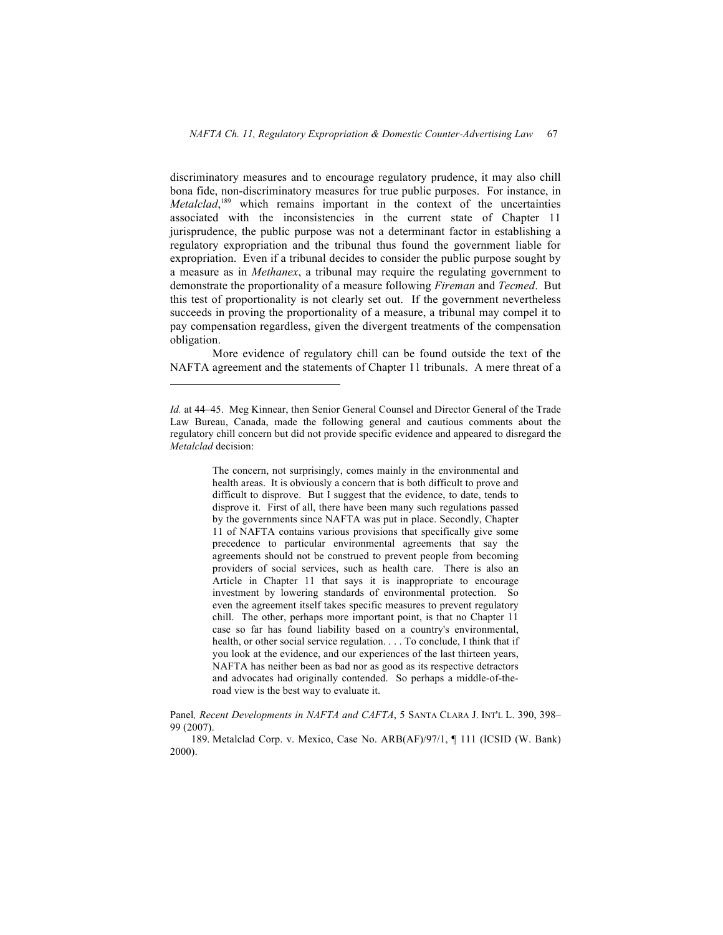discriminatory measures and to encourage regulatory prudence, it may also chill bona fide, non-discriminatory measures for true public purposes. For instance, in *Metalclad*,<sup>189</sup> which remains important in the context of the uncertainties associated with the inconsistencies in the current state of Chapter 11 jurisprudence, the public purpose was not a determinant factor in establishing a regulatory expropriation and the tribunal thus found the government liable for expropriation. Even if a tribunal decides to consider the public purpose sought by a measure as in *Methanex*, a tribunal may require the regulating government to demonstrate the proportionality of a measure following *Fireman* and *Tecmed*. But this test of proportionality is not clearly set out. If the government nevertheless succeeds in proving the proportionality of a measure, a tribunal may compel it to pay compensation regardless, given the divergent treatments of the compensation obligation.

More evidence of regulatory chill can be found outside the text of the NAFTA agreement and the statements of Chapter 11 tribunals. A mere threat of a

 $\overline{a}$ 

The concern, not surprisingly, comes mainly in the environmental and health areas. It is obviously a concern that is both difficult to prove and difficult to disprove. But I suggest that the evidence, to date, tends to disprove it. First of all, there have been many such regulations passed by the governments since NAFTA was put in place. Secondly, Chapter 11 of NAFTA contains various provisions that specifically give some precedence to particular environmental agreements that say the agreements should not be construed to prevent people from becoming providers of social services, such as health care. There is also an Article in Chapter 11 that says it is inappropriate to encourage investment by lowering standards of environmental protection. So even the agreement itself takes specific measures to prevent regulatory chill. The other, perhaps more important point, is that no Chapter 11 case so far has found liability based on a country's environmental, health, or other social service regulation. . . . To conclude, I think that if you look at the evidence, and our experiences of the last thirteen years, NAFTA has neither been as bad nor as good as its respective detractors and advocates had originally contended. So perhaps a middle-of-theroad view is the best way to evaluate it.

Panel*, Recent Developments in NAFTA and CAFTA*, 5 SANTA CLARA J. INT'L L. 390, 398– 99 (2007).

189. Metalclad Corp. v. Mexico, Case No. ARB(AF)/97/1, ¶ 111 (ICSID (W. Bank) 2000).

*Id.* at 44–45. Meg Kinnear, then Senior General Counsel and Director General of the Trade Law Bureau, Canada, made the following general and cautious comments about the regulatory chill concern but did not provide specific evidence and appeared to disregard the *Metalclad* decision: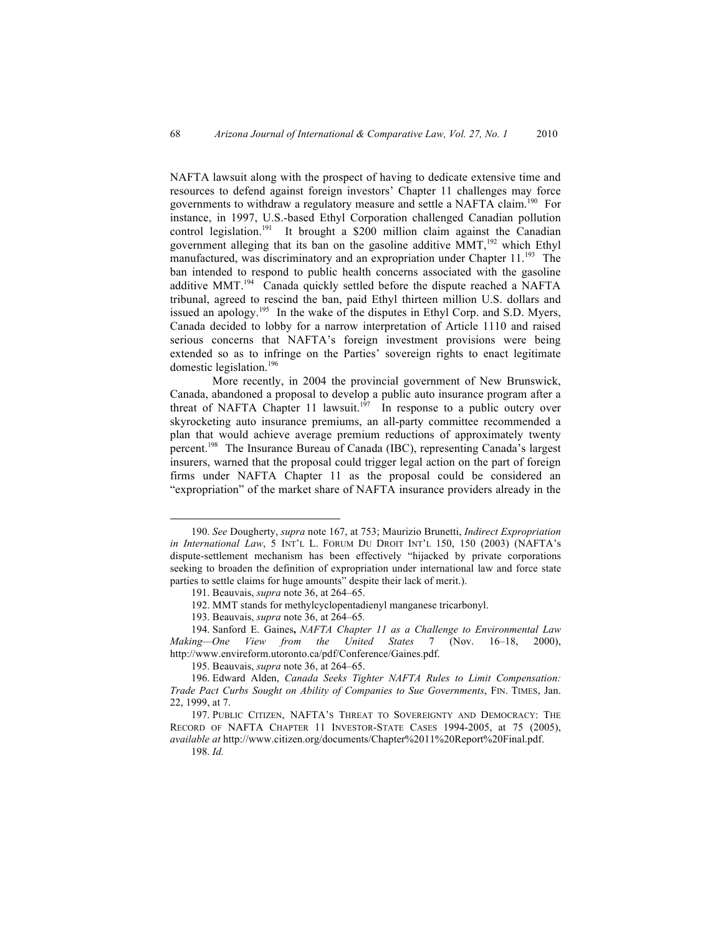NAFTA lawsuit along with the prospect of having to dedicate extensive time and resources to defend against foreign investors' Chapter 11 challenges may force governments to withdraw a regulatory measure and settle a NAFTA claim.<sup>190</sup> For instance, in 1997, U.S.-based Ethyl Corporation challenged Canadian pollution control legislation.<sup>191</sup> It brought a \$200 million claim against the Canadian government alleging that its ban on the gasoline additive  $MMT$ ,<sup>192</sup> which Ethyl manufactured, was discriminatory and an expropriation under Chapter  $11.^{193}$  The ban intended to respond to public health concerns associated with the gasoline additive MMT.<sup>194</sup> Canada quickly settled before the dispute reached a NAFTA tribunal, agreed to rescind the ban, paid Ethyl thirteen million U.S. dollars and issued an apology.<sup>195</sup> In the wake of the disputes in Ethyl Corp. and S.D. Myers, Canada decided to lobby for a narrow interpretation of Article 1110 and raised serious concerns that NAFTA's foreign investment provisions were being extended so as to infringe on the Parties' sovereign rights to enact legitimate domestic legislation.<sup>196</sup>

More recently, in 2004 the provincial government of New Brunswick, Canada, abandoned a proposal to develop a public auto insurance program after a threat of NAFTA Chapter 11 lawsuit.<sup>197</sup> In response to a public outcry over skyrocketing auto insurance premiums, an all-party committee recommended a plan that would achieve average premium reductions of approximately twenty percent.<sup>198</sup> The Insurance Bureau of Canada (IBC), representing Canada's largest insurers, warned that the proposal could trigger legal action on the part of foreign firms under NAFTA Chapter 11 as the proposal could be considered an "expropriation" of the market share of NAFTA insurance providers already in the

 <sup>190.</sup> *See* Dougherty, *supra* note 167, at 753; Maurizio Brunetti, *Indirect Expropriation in International Law*, 5 INT'L L. FORUM DU DROIT INT'L 150, 150 (2003) (NAFTA's dispute-settlement mechanism has been effectively "hijacked by private corporations seeking to broaden the definition of expropriation under international law and force state parties to settle claims for huge amounts" despite their lack of merit.).

<sup>191.</sup> Beauvais, *supra* note 36, at 264–65.

<sup>192.</sup> MMT stands for methylcyclopentadienyl manganese tricarbonyl.

<sup>193.</sup> Beauvais, *supra* note 36, at 264–65*.*

<sup>194.</sup> Sanford E. Gaines**,** *NAFTA Chapter 11 as a Challenge to Environmental Law Making—One View from the United States* 7 (Nov. 16–18, 2000), http://www.envireform.utoronto.ca/pdf/Conference/Gaines.pdf.

<sup>195.</sup> Beauvais, *supra* note 36, at 264–65.

<sup>196.</sup> Edward Alden, *Canada Seeks Tighter NAFTA Rules to Limit Compensation: Trade Pact Curbs Sought on Ability of Companies to Sue Governments*, FIN. TIMES, Jan. 22, 1999, at 7.

<sup>197.</sup> PUBLIC CITIZEN, NAFTA'S THREAT TO SOVEREIGNTY AND DEMOCRACY: THE RECORD OF NAFTA CHAPTER 11 INVESTOR-STATE CASES 1994-2005, at 75 (2005), *available at* http://www.citizen.org/documents/Chapter%2011%20Report%20Final.pdf.

<sup>198.</sup> *Id.*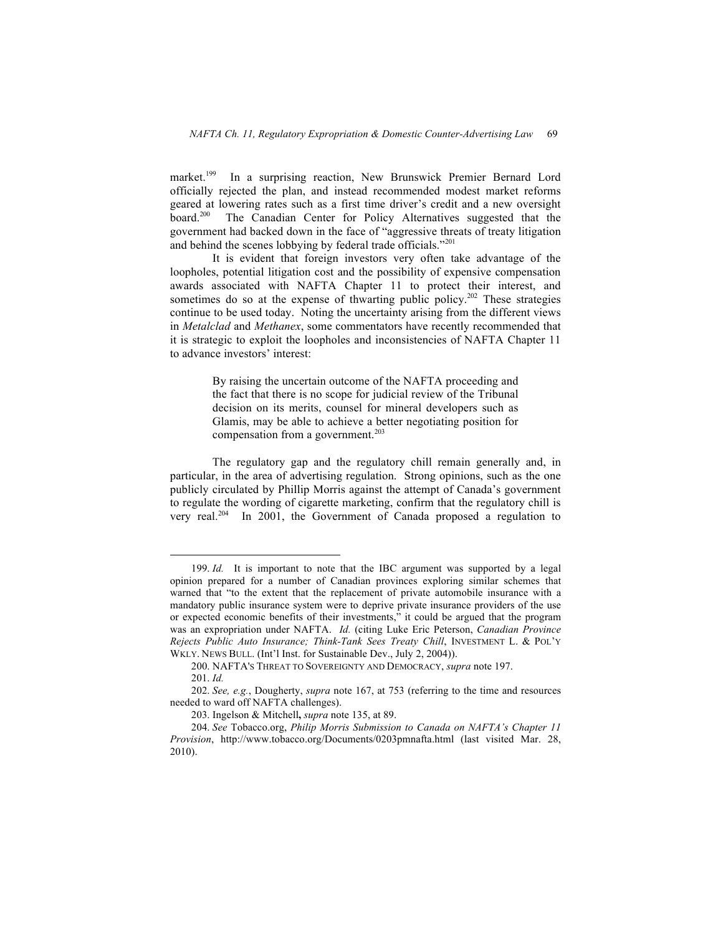market.<sup>199</sup> In a surprising reaction, New Brunswick Premier Bernard Lord officially rejected the plan, and instead recommended modest market reforms geared at lowering rates such as a first time driver's credit and a new oversight board.200 The Canadian Center for Policy Alternatives suggested that the government had backed down in the face of "aggressive threats of treaty litigation and behind the scenes lobbying by federal trade officials."<sup>201</sup>

It is evident that foreign investors very often take advantage of the loopholes, potential litigation cost and the possibility of expensive compensation awards associated with NAFTA Chapter 11 to protect their interest, and sometimes do so at the expense of thwarting public policy.<sup>202</sup> These strategies continue to be used today. Noting the uncertainty arising from the different views in *Metalclad* and *Methanex*, some commentators have recently recommended that it is strategic to exploit the loopholes and inconsistencies of NAFTA Chapter 11 to advance investors' interest:

> By raising the uncertain outcome of the NAFTA proceeding and the fact that there is no scope for judicial review of the Tribunal decision on its merits, counsel for mineral developers such as Glamis, may be able to achieve a better negotiating position for compensation from a government.<sup>203</sup>

The regulatory gap and the regulatory chill remain generally and, in particular, in the area of advertising regulation. Strong opinions, such as the one publicly circulated by Phillip Morris against the attempt of Canada's government to regulate the wording of cigarette marketing, confirm that the regulatory chill is very real.204 In 2001, the Government of Canada proposed a regulation to

 <sup>199.</sup> *Id.* It is important to note that the IBC argument was supported by a legal opinion prepared for a number of Canadian provinces exploring similar schemes that warned that "to the extent that the replacement of private automobile insurance with a mandatory public insurance system were to deprive private insurance providers of the use or expected economic benefits of their investments," it could be argued that the program was an expropriation under NAFTA. *Id.* (citing Luke Eric Peterson, *Canadian Province Rejects Public Auto Insurance; Think-Tank Sees Treaty Chill*, INVESTMENT L. & POL'Y WKLY. NEWS BULL. (Int'l Inst. for Sustainable Dev., July 2, 2004)).

<sup>200.</sup> NAFTA'S THREAT TO SOVEREIGNTY AND DEMOCRACY, *supra* note 197.

<sup>201.</sup> *Id.*

<sup>202.</sup> *See, e.g.*, Dougherty, *supra* note 167, at 753 (referring to the time and resources needed to ward off NAFTA challenges).

<sup>203.</sup> Ingelson & Mitchell**,** *supra* note 135, at 89.

<sup>204.</sup> *See* Tobacco.org, *Philip Morris Submission to Canada on NAFTA's Chapter 11 Provision*, http://www.tobacco.org/Documents/0203pmnafta.html (last visited Mar. 28, 2010).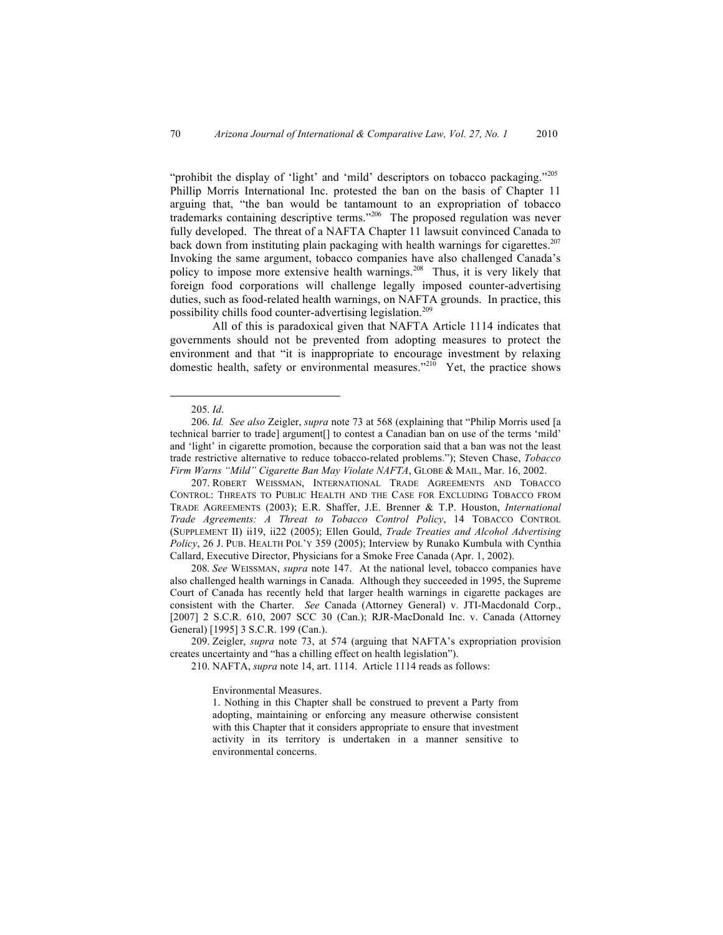"prohibit the display of 'light' and 'mild' descriptors on tobacco packaging."205 Phillip Morris International Inc. protested the ban on the basis of Chapter 11 arguing that, "the ban would be tantamount to an expropriation of tobacco trademarks containing descriptive terms."<sup>206</sup> The proposed regulation was never fully developed. The threat of a NAFTA Chapter 11 lawsuit convinced Canada to back down from instituting plain packaging with health warnings for cigarettes.<sup>207</sup> Invoking the same argument, tobacco companies have also challenged Canada's policy to impose more extensive health warnings.<sup>208</sup> Thus, it is very likely that foreign food corporations will challenge legally imposed counter-advertising duties, such as food-related health warnings, on NAFTA grounds. In practice, this possibility chills food counter-advertising legislation.<sup>209</sup>

All of this is paradoxical given that NAFTA Article 1114 indicates that governments should not be prevented from adopting measures to protect the environment and that "it is inappropriate to encourage investment by relaxing domestic health, safety or environmental measures. $210$  Yet, the practice shows

207. ROBERT WEISSMAN, INTERNATIONAL TRADE AGREEMENTS AND TOBACCO CONTROL: THREATS TO PUBLIC HEALTH AND THE CASE FOR EXCLUDING TOBACCO FROM TRADE AGREEMENTS (2003); E.R. Shaffer, J.E. Brenner & T.P. Houston, *International Trade Agreements: A Threat to Tobacco Control Policy*, 14 TOBACCO CONTROL (SUPPLEMENT II) ii19, ii22 (2005); Ellen Gould, *Trade Treaties and Alcohol Advertising Policy*, 26 J. PUB. HEALTH POL'Y 359 (2005); Interview by Runako Kumbula with Cynthia Callard, Executive Director, Physicians for a Smoke Free Canada (Apr. 1, 2002).

208. *See* WEISSMAN, *supra* note 147. At the national level, tobacco companies have also challenged health warnings in Canada. Although they succeeded in 1995, the Supreme Court of Canada has recently held that larger health warnings in cigarette packages are consistent with the Charter. *See* Canada (Attorney General) v. JTI-Macdonald Corp., [2007] 2 S.C.R. 610, 2007 SCC 30 (Can.); RJR-MacDonald Inc. v. Canada (Attorney General) [1995] 3 S.C.R. 199 (Can.).

209. Zeigler, *supra* note 73, at 574 (arguing that NAFTA's expropriation provision creates uncertainty and "has a chilling effect on health legislation").

210. NAFTA, *supra* note 14, art. 1114. Article 1114 reads as follows:

Environmental Measures.

1. Nothing in this Chapter shall be construed to prevent a Party from adopting, maintaining or enforcing any measure otherwise consistent with this Chapter that it considers appropriate to ensure that investment activity in its territory is undertaken in a manner sensitive to environmental concerns.

 <sup>205.</sup> *Id*.

<sup>206.</sup> *Id. See also* Zeigler, *supra* note 73 at 568 (explaining that "Philip Morris used [a technical barrier to trade] argument[] to contest a Canadian ban on use of the terms 'mild' and 'light' in cigarette promotion, because the corporation said that a ban was not the least trade restrictive alternative to reduce tobacco-related problems."); Steven Chase, *Tobacco Firm Warns "Mild" Cigarette Ban May Violate NAFTA*, GLOBE & MAIL, Mar. 16, 2002.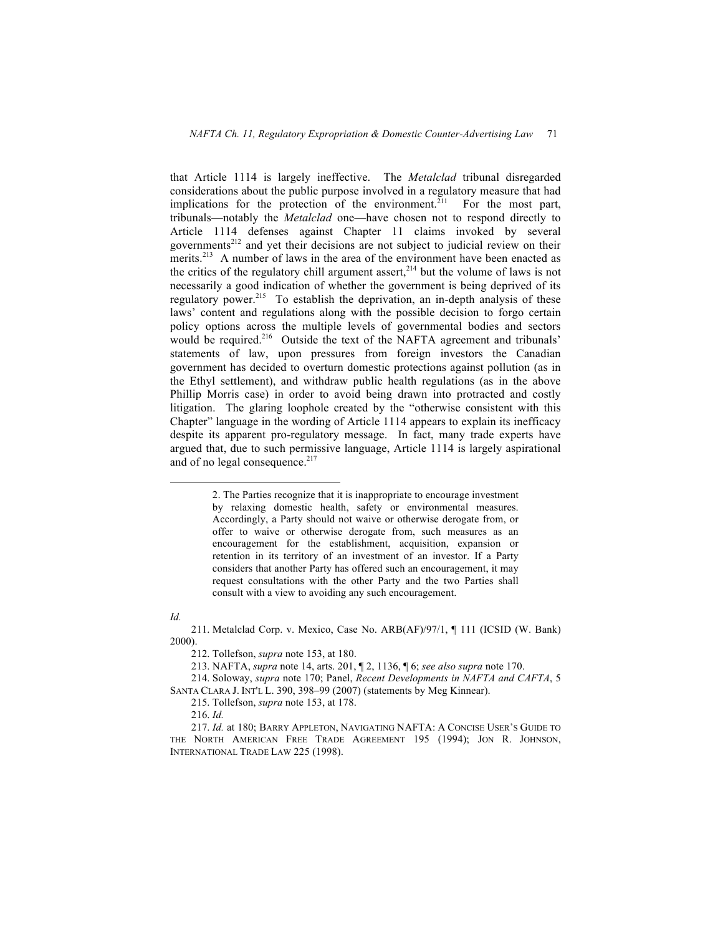that Article 1114 is largely ineffective. The *Metalclad* tribunal disregarded considerations about the public purpose involved in a regulatory measure that had implications for the protection of the environment.<sup>211</sup> For the most part, tribunals—notably the *Metalclad* one—have chosen not to respond directly to Article 1114 defenses against Chapter 11 claims invoked by several governments<sup>212</sup> and yet their decisions are not subject to judicial review on their merits.<sup>213</sup> A number of laws in the area of the environment have been enacted as the critics of the regulatory chill argument assert,<sup>214</sup> but the volume of laws is not necessarily a good indication of whether the government is being deprived of its regulatory power.<sup>215</sup> To establish the deprivation, an in-depth analysis of these laws' content and regulations along with the possible decision to forgo certain policy options across the multiple levels of governmental bodies and sectors would be required.<sup>216</sup> Outside the text of the NAFTA agreement and tribunals' statements of law, upon pressures from foreign investors the Canadian government has decided to overturn domestic protections against pollution (as in the Ethyl settlement), and withdraw public health regulations (as in the above Phillip Morris case) in order to avoid being drawn into protracted and costly litigation. The glaring loophole created by the "otherwise consistent with this Chapter" language in the wording of Article 1114 appears to explain its inefficacy despite its apparent pro-regulatory message. In fact, many trade experts have argued that, due to such permissive language, Article 1114 is largely aspirational and of no legal consequence.<sup>217</sup>

## *Id.*

 <sup>2.</sup> The Parties recognize that it is inappropriate to encourage investment by relaxing domestic health, safety or environmental measures. Accordingly, a Party should not waive or otherwise derogate from, or offer to waive or otherwise derogate from, such measures as an encouragement for the establishment, acquisition, expansion or retention in its territory of an investment of an investor. If a Party considers that another Party has offered such an encouragement, it may request consultations with the other Party and the two Parties shall consult with a view to avoiding any such encouragement.

<sup>211.</sup> Metalclad Corp. v. Mexico, Case No. ARB(AF)/97/1, ¶ 111 (ICSID (W. Bank) 2000).

<sup>212.</sup> Tollefson, *supra* note 153, at 180.

<sup>213.</sup> NAFTA, *supra* note 14, arts. 201, ¶ 2, 1136, ¶ 6; *see also supra* note 170.

<sup>214.</sup> Soloway, *supra* note 170; Panel, *Recent Developments in NAFTA and CAFTA*, 5

SANTA CLARA J. INT'L L. 390, 398–99 (2007) (statements by Meg Kinnear).

<sup>215.</sup> Tollefson, *supra* note 153, at 178.

<sup>216.</sup> *Id.*

<sup>217.</sup> *Id.* at 180; BARRY APPLETON, NAVIGATING NAFTA: A CONCISE USER'S GUIDE TO THE NORTH AMERICAN FREE TRADE AGREEMENT 195 (1994); JON R. JOHNSON, INTERNATIONAL TRADE LAW 225 (1998).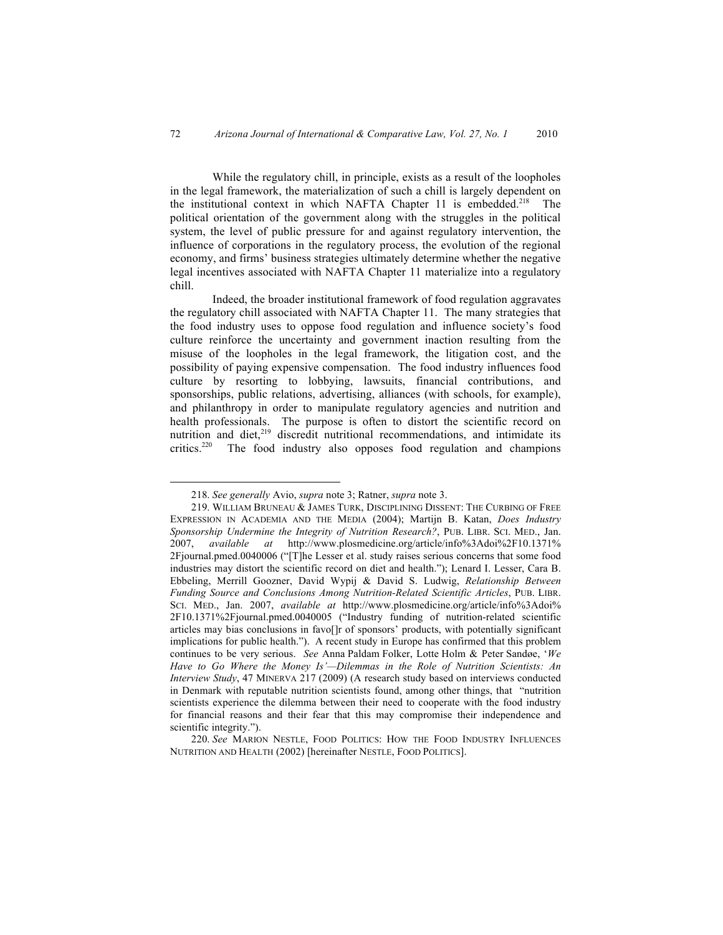While the regulatory chill, in principle, exists as a result of the loopholes in the legal framework, the materialization of such a chill is largely dependent on the institutional context in which NAFTA Chapter 11 is embedded.<sup>218</sup> The political orientation of the government along with the struggles in the political system, the level of public pressure for and against regulatory intervention, the influence of corporations in the regulatory process, the evolution of the regional economy, and firms' business strategies ultimately determine whether the negative legal incentives associated with NAFTA Chapter 11 materialize into a regulatory chill.

Indeed, the broader institutional framework of food regulation aggravates the regulatory chill associated with NAFTA Chapter 11. The many strategies that the food industry uses to oppose food regulation and influence society's food culture reinforce the uncertainty and government inaction resulting from the misuse of the loopholes in the legal framework, the litigation cost, and the possibility of paying expensive compensation. The food industry influences food culture by resorting to lobbying, lawsuits, financial contributions, and sponsorships, public relations, advertising, alliances (with schools, for example), and philanthropy in order to manipulate regulatory agencies and nutrition and health professionals. The purpose is often to distort the scientific record on nutrition and diet, $2^{19}$  discredit nutritional recommendations, and intimidate its critics. $2^{20}$  The food industry also opposes food regulation and champions The food industry also opposes food regulation and champions

 <sup>218.</sup> *See generally* Avio, *supra* note 3; Ratner, *supra* note 3.

<sup>219.</sup> WILLIAM BRUNEAU & JAMES TURK, DISCIPLINING DISSENT: THE CURBING OF FREE EXPRESSION IN ACADEMIA AND THE MEDIA (2004); Martijn B. Katan, *Does Industry Sponsorship Undermine the Integrity of Nutrition Research?*, PUB. LIBR. SCI. MED., Jan. 2007, *available at* http://www.plosmedicine.org/article/info%3Adoi%2F10.1371% 2Fjournal.pmed.0040006 ("[T]he Lesser et al. study raises serious concerns that some food industries may distort the scientific record on diet and health."); Lenard I. Lesser, Cara B. Ebbeling, Merrill Goozner, David Wypij & David S. Ludwig, *Relationship Between Funding Source and Conclusions Among Nutrition-Related Scientific Articles*, PUB. LIBR. SCI. MED., Jan. 2007, *available at* http://www.plosmedicine.org/article/info%3Adoi% 2F10.1371%2Fjournal.pmed.0040005 ("Industry funding of nutrition-related scientific articles may bias conclusions in favo[]r of sponsors' products, with potentially significant implications for public health."). A recent study in Europe has confirmed that this problem continues to be very serious. *See* Anna Paldam Folker, Lotte Holm & Peter Sandøe, '*We Have to Go Where the Money Is'—Dilemmas in the Role of Nutrition Scientists: An Interview Study*, 47 MINERVA 217 (2009) (A research study based on interviews conducted in Denmark with reputable nutrition scientists found, among other things, that "nutrition scientists experience the dilemma between their need to cooperate with the food industry for financial reasons and their fear that this may compromise their independence and scientific integrity.").

<sup>220.</sup> *See* MARION NESTLE, FOOD POLITICS: HOW THE FOOD INDUSTRY INFLUENCES NUTRITION AND HEALTH (2002) [hereinafter NESTLE, FOOD POLITICS].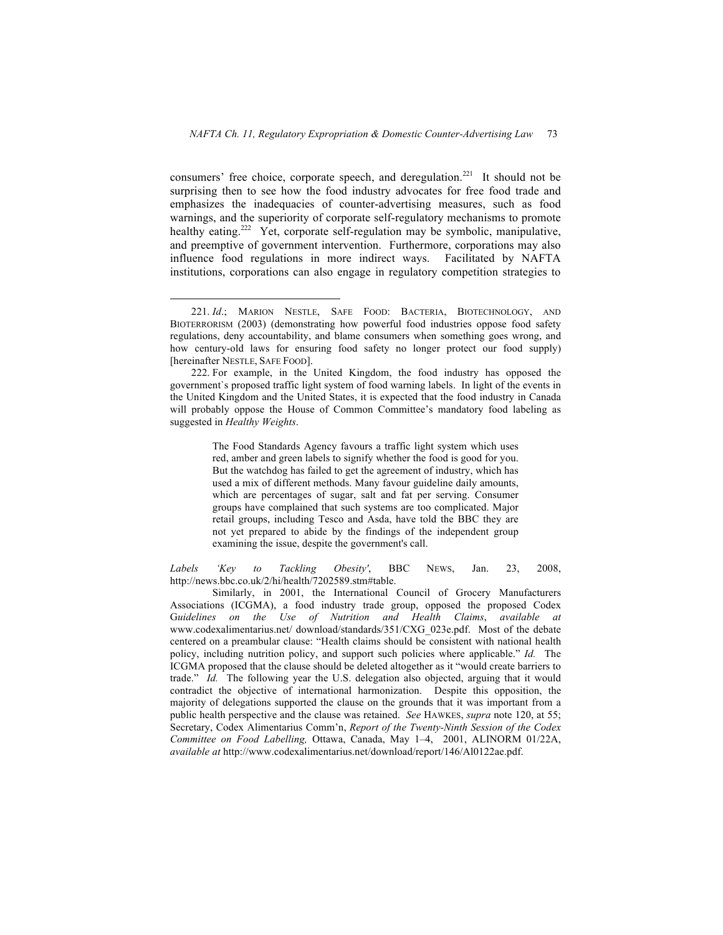consumers' free choice, corporate speech, and deregulation.<sup>221</sup> It should not be surprising then to see how the food industry advocates for free food trade and emphasizes the inadequacies of counter-advertising measures, such as food warnings, and the superiority of corporate self-regulatory mechanisms to promote healthy eating.<sup>222</sup> Yet, corporate self-regulation may be symbolic, manipulative, and preemptive of government intervention. Furthermore, corporations may also influence food regulations in more indirect ways. Facilitated by NAFTA institutions, corporations can also engage in regulatory competition strategies to

The Food Standards Agency favours a traffic light system which uses red, amber and green labels to signify whether the food is good for you. But the watchdog has failed to get the agreement of industry, which has used a mix of different methods. Many favour guideline daily amounts, which are percentages of sugar, salt and fat per serving. Consumer groups have complained that such systems are too complicated. Major retail groups, including Tesco and Asda, have told the BBC they are not yet prepared to abide by the findings of the independent group examining the issue, despite the government's call.

*Labels 'Key to Tackling Obesity'*, BBC NEWS, Jan. 23, 2008, http://news.bbc.co.uk/2/hi/health/7202589.stm#table.

Similarly, in 2001, the International Council of Grocery Manufacturers Associations (ICGMA), a food industry trade group, opposed the proposed Codex G*uidelines on the Use of Nutrition and Health Claims*, *available at*  www.codexalimentarius.net/ download/standards/351/CXG\_023e.pdf.Most of the debate centered on a preambular clause: "Health claims should be consistent with national health policy, including nutrition policy, and support such policies where applicable." *Id.* The ICGMA proposed that the clause should be deleted altogether as it "would create barriers to trade." *Id.* The following year the U.S. delegation also objected, arguing that it would contradict the objective of international harmonization. Despite this opposition, the majority of delegations supported the clause on the grounds that it was important from a public health perspective and the clause was retained. *See* HAWKES, *supra* note 120, at 55; Secretary, Codex Alimentarius Comm'n, *Report of the Twenty-Ninth Session of the Codex Committee on Food Labelling,* Ottawa, Canada, May 1–4, 2001, ALINORM 01/22A, *available at* http://www.codexalimentarius.net/download/report/146/Al0122ae.pdf.

 <sup>221.</sup> *Id*.; MARION NESTLE, SAFE FOOD: BACTERIA, BIOTECHNOLOGY, AND BIOTERRORISM (2003) (demonstrating how powerful food industries oppose food safety regulations, deny accountability, and blame consumers when something goes wrong, and how century-old laws for ensuring food safety no longer protect our food supply) [hereinafter NESTLE, SAFE FOOD].

<sup>222.</sup> For example, in the United Kingdom, the food industry has opposed the government`s proposed traffic light system of food warning labels. In light of the events in the United Kingdom and the United States, it is expected that the food industry in Canada will probably oppose the House of Common Committee's mandatory food labeling as suggested in *Healthy Weights*.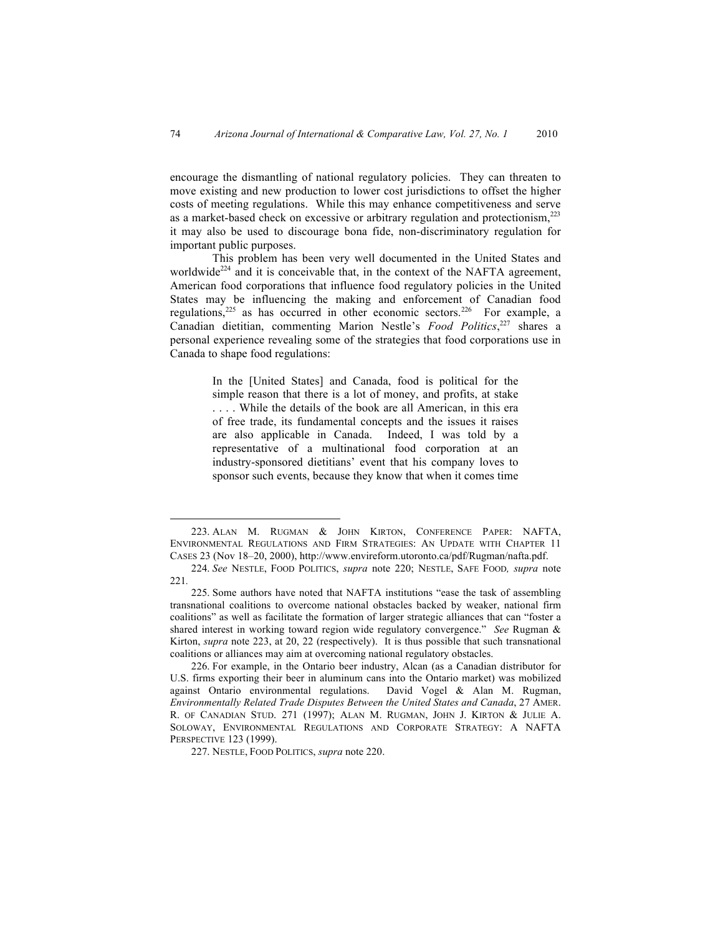encourage the dismantling of national regulatory policies. They can threaten to move existing and new production to lower cost jurisdictions to offset the higher costs of meeting regulations. While this may enhance competitiveness and serve as a market-based check on excessive or arbitrary regulation and protectionism,223 it may also be used to discourage bona fide, non-discriminatory regulation for important public purposes.

This problem has been very well documented in the United States and worldwide<sup>224</sup> and it is conceivable that, in the context of the NAFTA agreement, American food corporations that influence food regulatory policies in the United States may be influencing the making and enforcement of Canadian food regulations,<sup>225</sup> as has occurred in other economic sectors.<sup>226</sup> For example, a Canadian dietitian, commenting Marion Nestle's *Food Politics*, 227 shares a personal experience revealing some of the strategies that food corporations use in Canada to shape food regulations:

> In the [United States] and Canada, food is political for the simple reason that there is a lot of money, and profits, at stake . . . . While the details of the book are all American, in this era of free trade, its fundamental concepts and the issues it raises are also applicable in Canada. Indeed, I was told by a representative of a multinational food corporation at an industry-sponsored dietitians' event that his company loves to sponsor such events, because they know that when it comes time

 <sup>223.</sup> ALAN M. RUGMAN & JOHN KIRTON, CONFERENCE PAPER: NAFTA, ENVIRONMENTAL REGULATIONS AND FIRM STRATEGIES: AN UPDATE WITH CHAPTER 11 CASES 23 (Nov 18–20, 2000), http://www.envireform.utoronto.ca/pdf/Rugman/nafta.pdf.

<sup>224.</sup> *See* NESTLE, FOOD POLITICS, *supra* note 220; NESTLE, SAFE FOOD*, supra* note 221*.*

<sup>225.</sup> Some authors have noted that NAFTA institutions "ease the task of assembling transnational coalitions to overcome national obstacles backed by weaker, national firm coalitions" as well as facilitate the formation of larger strategic alliances that can "foster a shared interest in working toward region wide regulatory convergence." *See* Rugman & Kirton, *supra* note 223, at 20, 22 (respectively). It is thus possible that such transnational coalitions or alliances may aim at overcoming national regulatory obstacles.

<sup>226.</sup> For example, in the Ontario beer industry, Alcan (as a Canadian distributor for U.S. firms exporting their beer in aluminum cans into the Ontario market) was mobilized against Ontario environmental regulations. David Vogel & Alan M. Rugman, *Environmentally Related Trade Disputes Between the United States and Canada*, 27 AMER. R. OF CANADIAN STUD. 271 (1997); ALAN M. RUGMAN, JOHN J. KIRTON & JULIE A. SOLOWAY, ENVIRONMENTAL REGULATIONS AND CORPORATE STRATEGY: A NAFTA PERSPECTIVE 123 (1999).

<sup>227.</sup> NESTLE, FOOD POLITICS, *supra* note 220.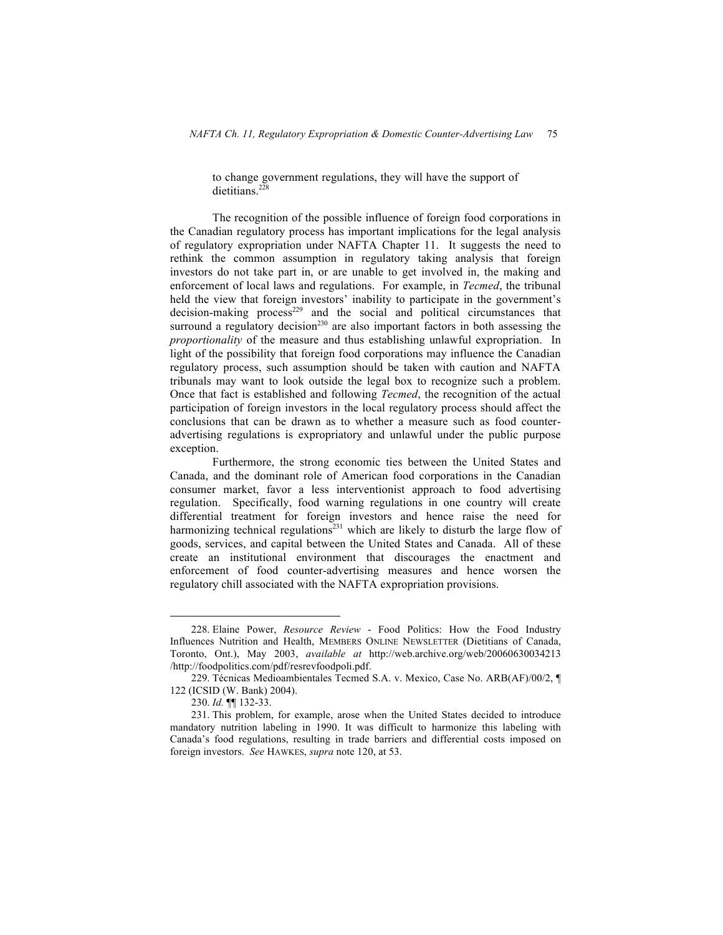to change government regulations, they will have the support of dietitians.<sup>228</sup>

The recognition of the possible influence of foreign food corporations in the Canadian regulatory process has important implications for the legal analysis of regulatory expropriation under NAFTA Chapter 11. It suggests the need to rethink the common assumption in regulatory taking analysis that foreign investors do not take part in, or are unable to get involved in, the making and enforcement of local laws and regulations. For example, in *Tecmed*, the tribunal held the view that foreign investors' inability to participate in the government's decision-making process<sup>229</sup> and the social and political circumstances that surround a regulatory decision<sup>230</sup> are also important factors in both assessing the *proportionality* of the measure and thus establishing unlawful expropriation. In light of the possibility that foreign food corporations may influence the Canadian regulatory process, such assumption should be taken with caution and NAFTA tribunals may want to look outside the legal box to recognize such a problem. Once that fact is established and following *Tecmed*, the recognition of the actual participation of foreign investors in the local regulatory process should affect the conclusions that can be drawn as to whether a measure such as food counteradvertising regulations is expropriatory and unlawful under the public purpose exception.

Furthermore, the strong economic ties between the United States and Canada, and the dominant role of American food corporations in the Canadian consumer market, favor a less interventionist approach to food advertising regulation. Specifically, food warning regulations in one country will create differential treatment for foreign investors and hence raise the need for harmonizing technical regulations<sup>231</sup> which are likely to disturb the large flow of goods, services, and capital between the United States and Canada. All of these create an institutional environment that discourages the enactment and enforcement of food counter-advertising measures and hence worsen the regulatory chill associated with the NAFTA expropriation provisions.

 <sup>228.</sup> Elaine Power, *Resource Review* - Food Politics: How the Food Industry Influences Nutrition and Health, MEMBERS ONLINE NEWSLETTER (Dietitians of Canada, Toronto, Ont.), May 2003, *available at* http://web.archive.org/web/20060630034213 /http://foodpolitics.com/pdf/resrevfoodpoli.pdf.

<sup>229.</sup> Técnicas Medioambientales Tecmed S.A. v. Mexico, Case No. ARB(AF)/00/2, ¶ 122 (ICSID (W. Bank) 2004).

<sup>230.</sup> *Id.* ¶¶ 132-33.

<sup>231.</sup> This problem, for example, arose when the United States decided to introduce mandatory nutrition labeling in 1990. It was difficult to harmonize this labeling with Canada's food regulations, resulting in trade barriers and differential costs imposed on foreign investors. *See* HAWKES, *supra* note 120, at 53.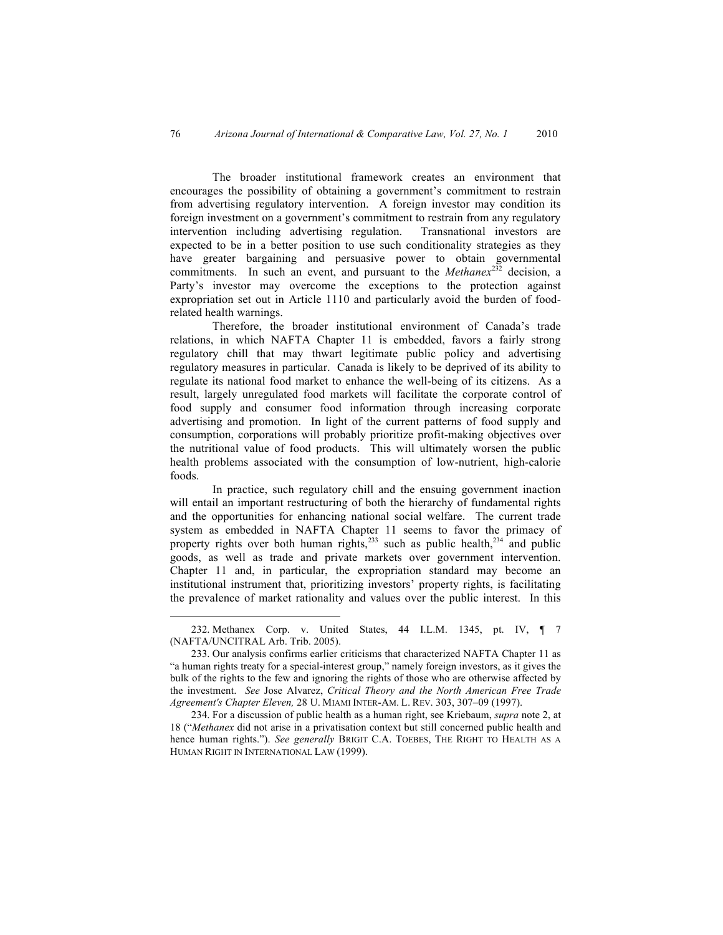The broader institutional framework creates an environment that encourages the possibility of obtaining a government's commitment to restrain from advertising regulatory intervention. A foreign investor may condition its foreign investment on a government's commitment to restrain from any regulatory intervention including advertising regulation. Transnational investors are expected to be in a better position to use such conditionality strategies as they have greater bargaining and persuasive power to obtain governmental commitments. In such an event, and pursuant to the *Methanex*<sup>232</sup> decision, a Party's investor may overcome the exceptions to the protection against expropriation set out in Article 1110 and particularly avoid the burden of foodrelated health warnings.

Therefore, the broader institutional environment of Canada's trade relations, in which NAFTA Chapter 11 is embedded, favors a fairly strong regulatory chill that may thwart legitimate public policy and advertising regulatory measures in particular. Canada is likely to be deprived of its ability to regulate its national food market to enhance the well-being of its citizens. As a result, largely unregulated food markets will facilitate the corporate control of food supply and consumer food information through increasing corporate advertising and promotion. In light of the current patterns of food supply and consumption, corporations will probably prioritize profit-making objectives over the nutritional value of food products. This will ultimately worsen the public health problems associated with the consumption of low-nutrient, high-calorie foods.

In practice, such regulatory chill and the ensuing government inaction will entail an important restructuring of both the hierarchy of fundamental rights and the opportunities for enhancing national social welfare. The current trade system as embedded in NAFTA Chapter 11 seems to favor the primacy of property rights over both human rights, $233$  such as public health, $234$  and public goods, as well as trade and private markets over government intervention. Chapter 11 and, in particular, the expropriation standard may become an institutional instrument that, prioritizing investors' property rights, is facilitating the prevalence of market rationality and values over the public interest. In this

 <sup>232.</sup> Methanex Corp. v. United States, 44 I.L.M. 1345, pt. IV, ¶ 7 (NAFTA/UNCITRAL Arb. Trib. 2005).

<sup>233.</sup> Our analysis confirms earlier criticisms that characterized NAFTA Chapter 11 as "a human rights treaty for a special-interest group," namely foreign investors, as it gives the bulk of the rights to the few and ignoring the rights of those who are otherwise affected by the investment. *See* Jose Alvarez, *Critical Theory and the North American Free Trade Agreement's Chapter Eleven,* 28 U. MIAMI INTER-AM. L. REV. 303, 307–09 (1997).

<sup>234.</sup> For a discussion of public health as a human right, see Kriebaum, *supra* note 2, at 18 ("*Methanex* did not arise in a privatisation context but still concerned public health and hence human rights."). *See generally* BRIGIT C.A. TOEBES, THE RIGHT TO HEALTH AS A HUMAN RIGHT IN INTERNATIONAL LAW (1999).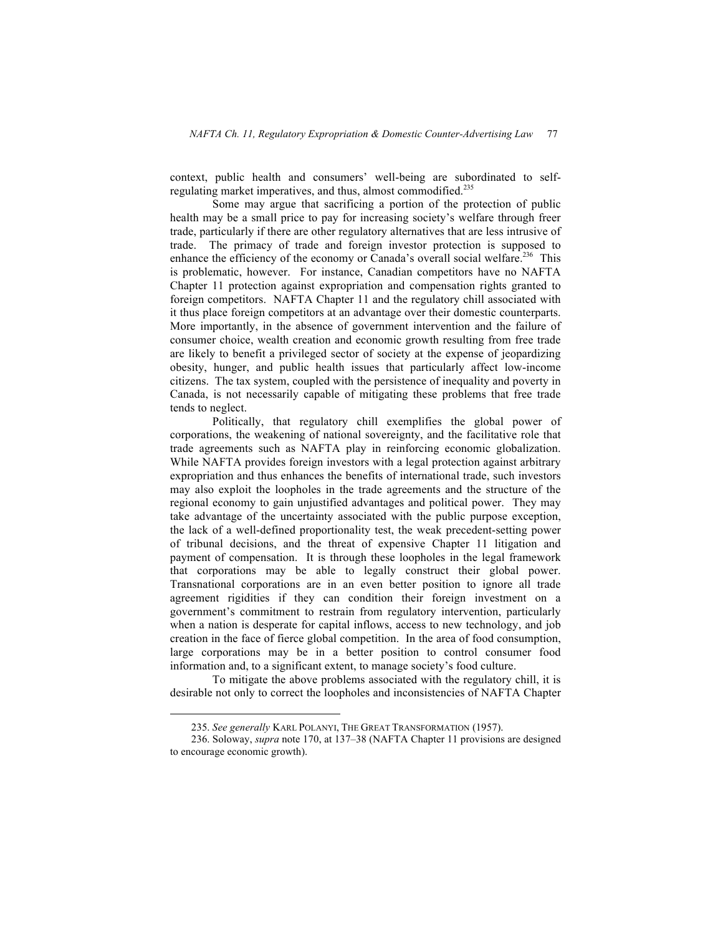context, public health and consumers' well-being are subordinated to selfregulating market imperatives, and thus, almost commodified.<sup>235</sup>

Some may argue that sacrificing a portion of the protection of public health may be a small price to pay for increasing society's welfare through freer trade, particularly if there are other regulatory alternatives that are less intrusive of trade. The primacy of trade and foreign investor protection is supposed to enhance the efficiency of the economy or Canada's overall social welfare.<sup>236</sup> This is problematic, however. For instance, Canadian competitors have no NAFTA Chapter 11 protection against expropriation and compensation rights granted to foreign competitors. NAFTA Chapter 11 and the regulatory chill associated with it thus place foreign competitors at an advantage over their domestic counterparts. More importantly, in the absence of government intervention and the failure of consumer choice, wealth creation and economic growth resulting from free trade are likely to benefit a privileged sector of society at the expense of jeopardizing obesity, hunger, and public health issues that particularly affect low-income citizens. The tax system, coupled with the persistence of inequality and poverty in Canada, is not necessarily capable of mitigating these problems that free trade tends to neglect.

Politically, that regulatory chill exemplifies the global power of corporations, the weakening of national sovereignty, and the facilitative role that trade agreements such as NAFTA play in reinforcing economic globalization. While NAFTA provides foreign investors with a legal protection against arbitrary expropriation and thus enhances the benefits of international trade, such investors may also exploit the loopholes in the trade agreements and the structure of the regional economy to gain unjustified advantages and political power. They may take advantage of the uncertainty associated with the public purpose exception, the lack of a well-defined proportionality test, the weak precedent-setting power of tribunal decisions, and the threat of expensive Chapter 11 litigation and payment of compensation. It is through these loopholes in the legal framework that corporations may be able to legally construct their global power. Transnational corporations are in an even better position to ignore all trade agreement rigidities if they can condition their foreign investment on a government's commitment to restrain from regulatory intervention, particularly when a nation is desperate for capital inflows, access to new technology, and job creation in the face of fierce global competition. In the area of food consumption, large corporations may be in a better position to control consumer food information and, to a significant extent, to manage society's food culture.

To mitigate the above problems associated with the regulatory chill, it is desirable not only to correct the loopholes and inconsistencies of NAFTA Chapter

 <sup>235.</sup> *See generally* KARL POLANYI, THE GREAT TRANSFORMATION (1957).

<sup>236.</sup> Soloway, *supra* note 170, at 137–38 (NAFTA Chapter 11 provisions are designed to encourage economic growth).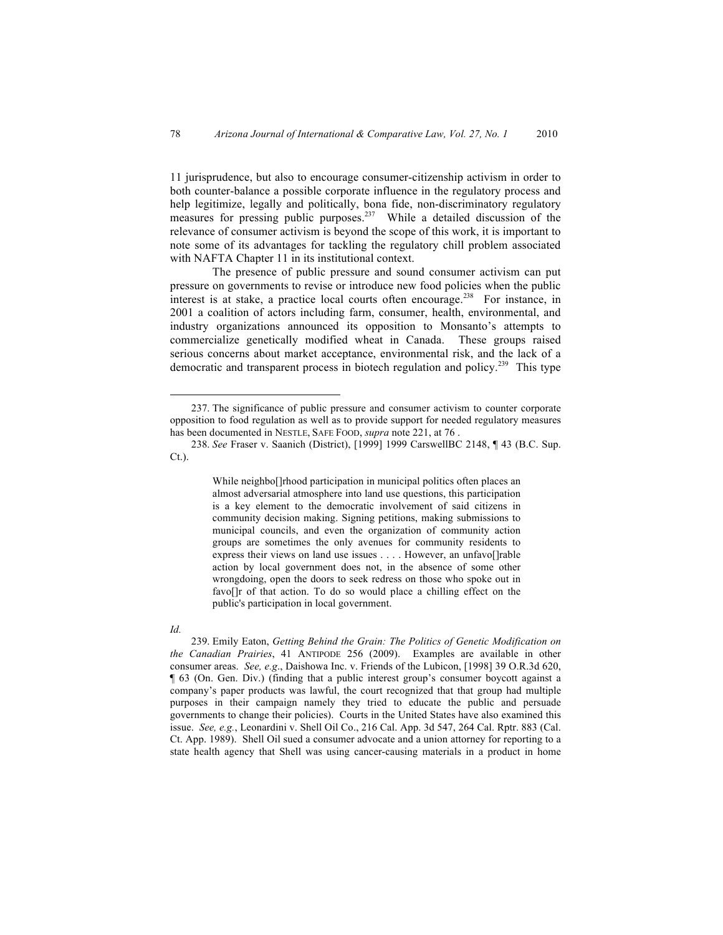11 jurisprudence, but also to encourage consumer-citizenship activism in order to both counter-balance a possible corporate influence in the regulatory process and help legitimize, legally and politically, bona fide, non-discriminatory regulatory measures for pressing public purposes.<sup>237</sup> While a detailed discussion of the relevance of consumer activism is beyond the scope of this work, it is important to note some of its advantages for tackling the regulatory chill problem associated with NAFTA Chapter 11 in its institutional context.

The presence of public pressure and sound consumer activism can put pressure on governments to revise or introduce new food policies when the public interest is at stake, a practice local courts often encourage.<sup>238</sup> For instance, in 2001 a coalition of actors including farm, consumer, health, environmental, and industry organizations announced its opposition to Monsanto's attempts to commercialize genetically modified wheat in Canada. These groups raised serious concerns about market acceptance, environmental risk, and the lack of a democratic and transparent process in biotech regulation and policy.<sup>239</sup> This type

While neighbo[]rhood participation in municipal politics often places an almost adversarial atmosphere into land use questions, this participation is a key element to the democratic involvement of said citizens in community decision making. Signing petitions, making submissions to municipal councils, and even the organization of community action groups are sometimes the only avenues for community residents to express their views on land use issues . . . . However, an unfavo[]rable action by local government does not, in the absence of some other wrongdoing, open the doors to seek redress on those who spoke out in favo[]r of that action. To do so would place a chilling effect on the public's participation in local government.

*Id.*

239. Emily Eaton, *Getting Behind the Grain: The Politics of Genetic Modification on the Canadian Prairies*, 41 ANTIPODE 256 (2009). Examples are available in other consumer areas. *See, e.g*., Daishowa Inc. v. Friends of the Lubicon, [1998] 39 O.R.3d 620, ¶ 63 (On. Gen. Div.) (finding that a public interest group's consumer boycott against a company's paper products was lawful, the court recognized that that group had multiple purposes in their campaign namely they tried to educate the public and persuade governments to change their policies). Courts in the United States have also examined this issue. *See, e.g.*, Leonardini v. Shell Oil Co., 216 Cal. App. 3d 547, 264 Cal. Rptr. 883 (Cal. Ct. App. 1989). Shell Oil sued a consumer advocate and a union attorney for reporting to a state health agency that Shell was using cancer-causing materials in a product in home

 <sup>237.</sup> The significance of public pressure and consumer activism to counter corporate opposition to food regulation as well as to provide support for needed regulatory measures has been documented in NESTLE, SAFE FOOD, *supra* note 221, at 76 .

<sup>238.</sup> *See* Fraser v. Saanich (District), [1999] 1999 CarswellBC 2148, ¶ 43 (B.C. Sup. Ct.).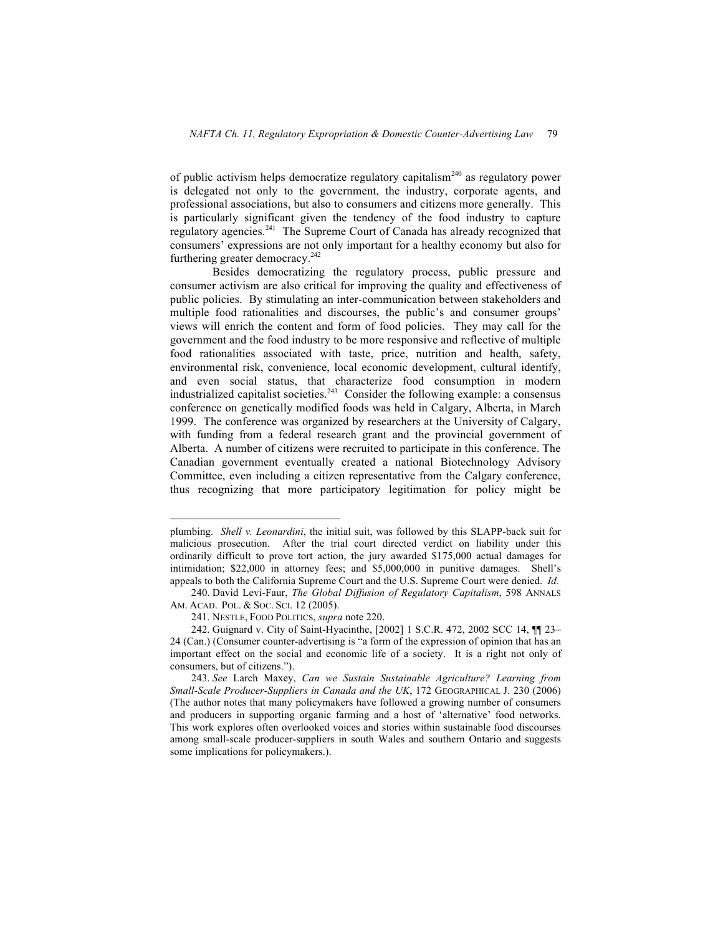of public activism helps democratize regulatory capitalism<sup>240</sup> as regulatory power is delegated not only to the government, the industry, corporate agents, and professional associations, but also to consumers and citizens more generally. This is particularly significant given the tendency of the food industry to capture regulatory agencies.<sup>241</sup> The Supreme Court of Canada has already recognized that consumers' expressions are not only important for a healthy economy but also for furthering greater democracy. $242$ 

Besides democratizing the regulatory process, public pressure and consumer activism are also critical for improving the quality and effectiveness of public policies. By stimulating an inter-communication between stakeholders and multiple food rationalities and discourses, the public's and consumer groups' views will enrich the content and form of food policies. They may call for the government and the food industry to be more responsive and reflective of multiple food rationalities associated with taste, price, nutrition and health, safety, environmental risk, convenience, local economic development, cultural identify, and even social status, that characterize food consumption in modern industrialized capitalist societies.<sup>243</sup> Consider the following example: a consensus conference on genetically modified foods was held in Calgary, Alberta, in March 1999. The conference was organized by researchers at the University of Calgary, with funding from a federal research grant and the provincial government of Alberta. A number of citizens were recruited to participate in this conference. The Canadian government eventually created a national Biotechnology Advisory Committee, even including a citizen representative from the Calgary conference, thus recognizing that more participatory legitimation for policy might be

plumbing. *Shell v. Leonardini*, the initial suit, was followed by this SLAPP-back suit for malicious prosecution. After the trial court directed verdict on liability under this ordinarily difficult to prove tort action, the jury awarded \$175,000 actual damages for intimidation; \$22,000 in attorney fees; and \$5,000,000 in punitive damages. Shell's appeals to both the California Supreme Court and the U.S. Supreme Court were denied. *Id.*

<sup>240.</sup> David Levi-Faur, *The Global Diffusion of Regulatory Capitalism*, 598 ANNALS AM. ACAD. POL. & SOC. SCI. 12 (2005).

<sup>241.</sup> NESTLE, FOOD POLITICS, *supra* note 220.

<sup>242.</sup> Guignard v. City of Saint-Hyacinthe, [2002] 1 S.C.R. 472, 2002 SCC 14, ¶¶ 23– 24 (Can.) (Consumer counter-advertising is "a form of the expression of opinion that has an important effect on the social and economic life of a society. It is a right not only of consumers, but of citizens.").

<sup>243.</sup> *See* Larch Maxey, *Can we Sustain Sustainable Agriculture? Learning from Small-Scale Producer-Suppliers in Canada and the UK*, 172 GEOGRAPHICAL J. 230 (2006) (The author notes that many policymakers have followed a growing number of consumers and producers in supporting organic farming and a host of 'alternative' food networks. This work explores often overlooked voices and stories within sustainable food discourses among small-scale producer-suppliers in south Wales and southern Ontario and suggests some implications for policymakers.).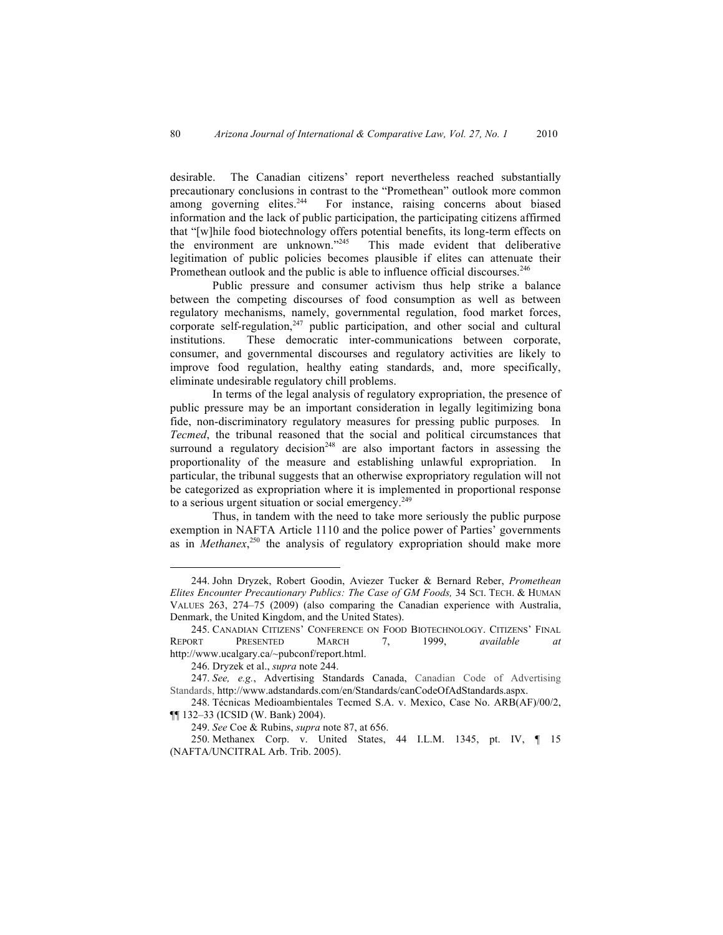desirable. The Canadian citizens' report nevertheless reached substantially precautionary conclusions in contrast to the "Promethean" outlook more common among governing elites.<sup>244</sup> For instance, raising concerns about biased information and the lack of public participation, the participating citizens affirmed that "[w]hile food biotechnology offers potential benefits, its long-term effects on the environment are unknown."245 This made evident that deliberative legitimation of public policies becomes plausible if elites can attenuate their Promethean outlook and the public is able to influence official discourses.<sup>246</sup>

Public pressure and consumer activism thus help strike a balance between the competing discourses of food consumption as well as between regulatory mechanisms, namely, governmental regulation, food market forces, corporate self-regulation, $247$  public participation, and other social and cultural institutions. These democratic inter-communications between corporate, consumer, and governmental discourses and regulatory activities are likely to improve food regulation, healthy eating standards, and, more specifically, eliminate undesirable regulatory chill problems.

In terms of the legal analysis of regulatory expropriation, the presence of public pressure may be an important consideration in legally legitimizing bona fide, non-discriminatory regulatory measures for pressing public purposes*.* In *Tecmed*, the tribunal reasoned that the social and political circumstances that surround a regulatory decision<sup>248</sup> are also important factors in assessing the proportionality of the measure and establishing unlawful expropriation. In particular, the tribunal suggests that an otherwise expropriatory regulation will not be categorized as expropriation where it is implemented in proportional response to a serious urgent situation or social emergency.<sup>249</sup>

Thus, in tandem with the need to take more seriously the public purpose exemption in NAFTA Article 1110 and the police power of Parties' governments as in *Methanex*<sup>250</sup>, the analysis of regulatory expropriation should make more

 <sup>244.</sup> John Dryzek, Robert Goodin, Aviezer Tucker & Bernard Reber, *Promethean Elites Encounter Precautionary Publics: The Case of GM Foods,* 34 SCI. TECH. & HUMAN VALUES 263, 274–75 (2009) (also comparing the Canadian experience with Australia, Denmark, the United Kingdom, and the United States).

<sup>245.</sup> CANADIAN CITIZENS' CONFERENCE ON FOOD BIOTECHNOLOGY. CITIZENS' FINAL REPORT PRESENTED MARCH 7, 1999, *available at* http://www.ucalgary.ca/~pubconf/report.html.

<sup>246.</sup> Dryzek et al., *supra* note 244.

<sup>247.</sup> *See, e.g.*, Advertising Standards Canada, Canadian Code of Advertising Standards, http://www.adstandards.com/en/Standards/canCodeOfAdStandards.aspx.

<sup>248.</sup> Técnicas Medioambientales Tecmed S.A. v. Mexico, Case No. ARB(AF)/00/2, ¶¶ 132–33 (ICSID (W. Bank) 2004).

<sup>249.</sup> *See* Coe & Rubins, *supra* note 87, at 656.

<sup>250.</sup> Methanex Corp. v. United States, 44 I.L.M. 1345, pt. IV, ¶ 15 (NAFTA/UNCITRAL Arb. Trib. 2005).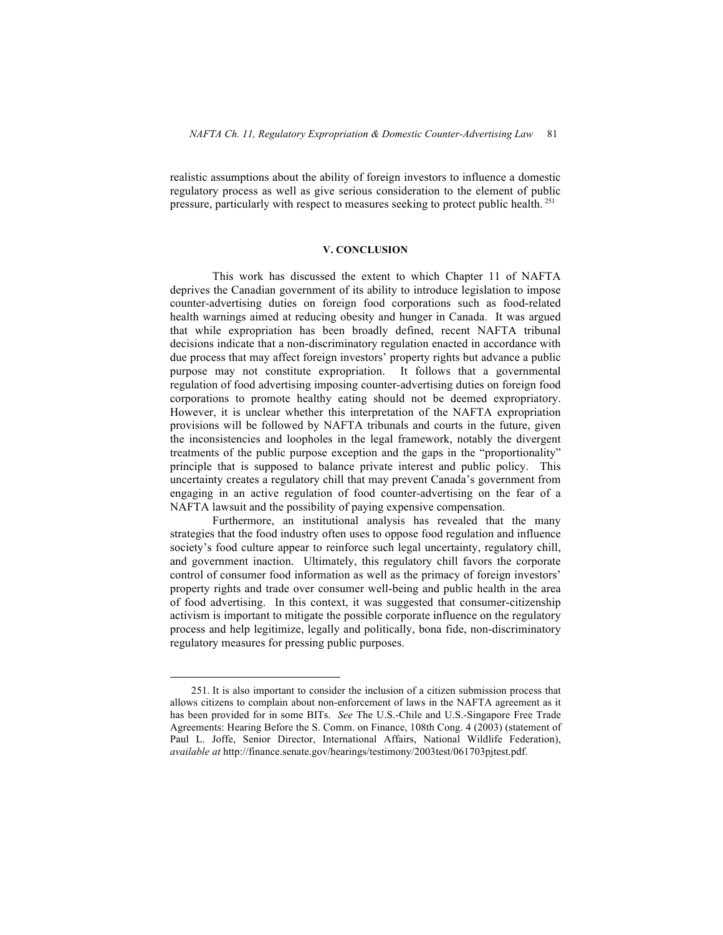realistic assumptions about the ability of foreign investors to influence a domestic regulatory process as well as give serious consideration to the element of public pressure, particularly with respect to measures seeking to protect public health. <sup>251</sup>

### **V. CONCLUSION**

This work has discussed the extent to which Chapter 11 of NAFTA deprives the Canadian government of its ability to introduce legislation to impose counter-advertising duties on foreign food corporations such as food-related health warnings aimed at reducing obesity and hunger in Canada. It was argued that while expropriation has been broadly defined, recent NAFTA tribunal decisions indicate that a non-discriminatory regulation enacted in accordance with due process that may affect foreign investors' property rights but advance a public purpose may not constitute expropriation. It follows that a governmental regulation of food advertising imposing counter-advertising duties on foreign food corporations to promote healthy eating should not be deemed expropriatory. However, it is unclear whether this interpretation of the NAFTA expropriation provisions will be followed by NAFTA tribunals and courts in the future, given the inconsistencies and loopholes in the legal framework, notably the divergent treatments of the public purpose exception and the gaps in the "proportionality" principle that is supposed to balance private interest and public policy. This uncertainty creates a regulatory chill that may prevent Canada's government from engaging in an active regulation of food counter-advertising on the fear of a NAFTA lawsuit and the possibility of paying expensive compensation.

Furthermore, an institutional analysis has revealed that the many strategies that the food industry often uses to oppose food regulation and influence society's food culture appear to reinforce such legal uncertainty, regulatory chill, and government inaction. Ultimately, this regulatory chill favors the corporate control of consumer food information as well as the primacy of foreign investors' property rights and trade over consumer well-being and public health in the area of food advertising. In this context, it was suggested that consumer-citizenship activism is important to mitigate the possible corporate influence on the regulatory process and help legitimize, legally and politically, bona fide, non-discriminatory regulatory measures for pressing public purposes.

 <sup>251.</sup> It is also important to consider the inclusion of a citizen submission process that allows citizens to complain about non-enforcement of laws in the NAFTA agreement as it has been provided for in some BITs. *See* The U.S.-Chile and U.S.-Singapore Free Trade Agreements: Hearing Before the S. Comm. on Finance, 108th Cong. 4 (2003) (statement of Paul L. Joffe, Senior Director, International Affairs, National Wildlife Federation), *available at* http://finance.senate.gov/hearings/testimony/2003test/061703pjtest.pdf.